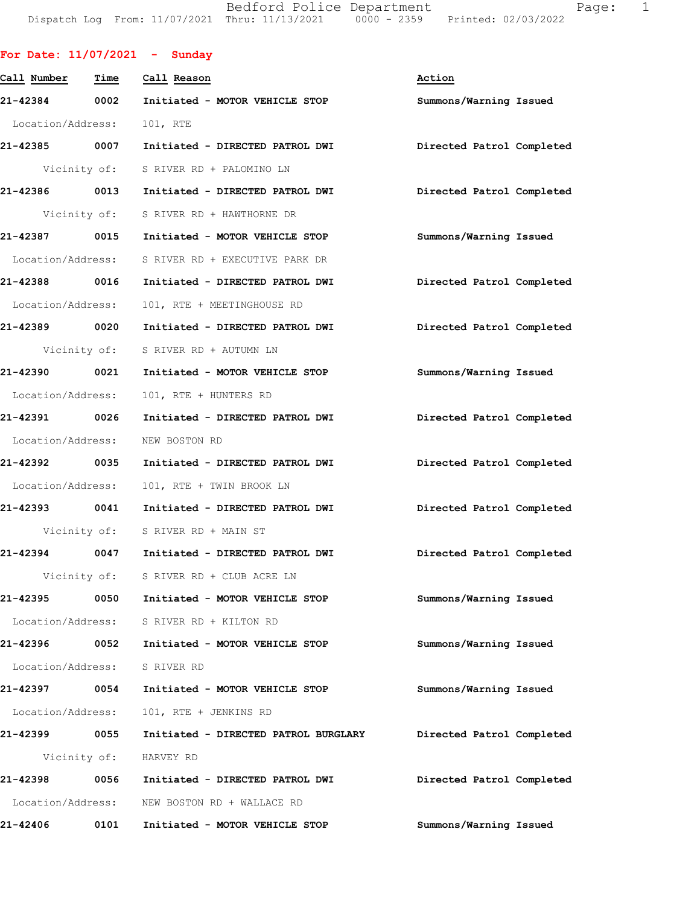Bedford Police Department Fage: 1 Dispatch Log From: 11/07/2021 Thru: 11/13/2021 0000 - 2359 Printed: 02/03/2022

|                                |      | For Date: $11/07/2021$ - Sunday                                         |                           |
|--------------------------------|------|-------------------------------------------------------------------------|---------------------------|
| Call Number  Time  Call Reason |      |                                                                         | Action                    |
|                                |      | 21-42384 0002 Initiated - MOTOR VEHICLE STOP                            | Summons/Warning Issued    |
| Location/Address:              |      | 101, RTE                                                                |                           |
|                                |      | 21-42385 0007 Initiated - DIRECTED PATROL DWI Directed Patrol Completed |                           |
|                                |      | Vicinity of: S RIVER RD + PALOMINO LN                                   |                           |
|                                |      | 21-42386 0013 Initiated - DIRECTED PATROL DWI Directed Patrol Completed |                           |
|                                |      | Vicinity of: S RIVER RD + HAWTHORNE DR                                  |                           |
|                                |      | 21-42387 0015 Initiated - MOTOR VEHICLE STOP                            | Summons/Warning Issued    |
|                                |      | Location/Address: S RIVER RD + EXECUTIVE PARK DR                        |                           |
| 21-42388 0016                  |      | Initiated - DIRECTED PATROL DWI Directed Patrol Completed               |                           |
| Location/Address:              |      | 101, RTE + MEETINGHOUSE RD                                              |                           |
|                                |      | 21-42389 0020 Initiated - DIRECTED PATROL DWI Directed Patrol Completed |                           |
|                                |      | Vicinity of: S RIVER RD + AUTUMN LN                                     |                           |
|                                |      | 21-42390 0021 Initiated - MOTOR VEHICLE STOP                            | Summons/Warning Issued    |
| Location/Address:              |      | 101, RTE + HUNTERS RD                                                   |                           |
| 21-42391 0026                  |      | Initiated - DIRECTED PATROL DWI Directed Patrol Completed               |                           |
|                                |      | Location/Address: NEW BOSTON RD                                         |                           |
|                                |      | 21-42392 0035 Initiated - DIRECTED PATROL DWI                           | Directed Patrol Completed |
|                                |      | Location/Address: 101, RTE + TWIN BROOK LN                              |                           |
|                                |      | 21-42393 0041 Initiated - DIRECTED PATROL DWI                           | Directed Patrol Completed |
|                                |      | Vicinity of: S RIVER RD + MAIN ST                                       |                           |
|                                |      | 21-42394 0047 Initiated - DIRECTED PATROL DWI                           | Directed Patrol Completed |
|                                |      | Vicinity of: S RIVER RD + CLUB ACRE LN                                  |                           |
|                                |      | 21-42395 0050 Initiated - MOTOR VEHICLE STOP                            | Summons/Warning Issued    |
|                                |      | Location/Address: S RIVER RD + KILTON RD                                |                           |
| 21-42396                       |      | 0052 Initiated - MOTOR VEHICLE STOP                                     | Summons/Warning Issued    |
|                                |      | Location/Address: S RIVER RD                                            |                           |
|                                |      | 21-42397 0054 Initiated - MOTOR VEHICLE STOP                            | Summons/Warning Issued    |
| Location/Address:              |      | 101, RTE + JENKINS RD                                                   |                           |
| 21-42399 0055                  |      | Initiated - DIRECTED PATROL BURGLARY                                    | Directed Patrol Completed |
|                                |      | Vicinity of: HARVEY RD                                                  |                           |
| 21-42398                       | 0056 | Initiated - DIRECTED PATROL DWI                                         | Directed Patrol Completed |
|                                |      | Location/Address: NEW BOSTON RD + WALLACE RD                            |                           |
| 21-42406                       | 0101 | Initiated - MOTOR VEHICLE STOP                                          | Summons/Warning Issued    |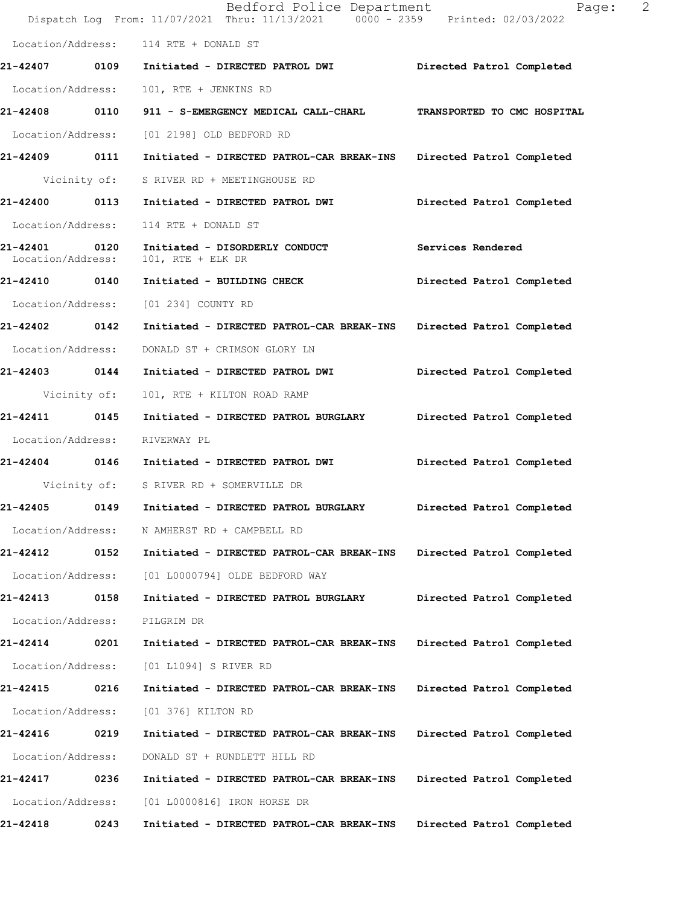|                                    |      | Bedford Police Department<br>Dispatch Log From: 11/07/2021 Thru: 11/13/2021 0000 - 2359 Printed: 02/03/2022 | 2<br>Page:                  |
|------------------------------------|------|-------------------------------------------------------------------------------------------------------------|-----------------------------|
| Location/Address:                  |      | 114 RTE + DONALD ST                                                                                         |                             |
|                                    |      |                                                                                                             | Directed Patrol Completed   |
| Location/Address:                  |      | 101, RTE + JENKINS RD                                                                                       |                             |
| 21-42408 0110                      |      | 911 - S-EMERGENCY MEDICAL CALL-CHARL                                                                        | TRANSPORTED TO CMC HOSPITAL |
| Location/Address:                  |      | [01 2198] OLD BEDFORD RD                                                                                    |                             |
| 21-42409 0111                      |      | Initiated - DIRECTED PATROL-CAR BREAK-INS Directed Patrol Completed                                         |                             |
| Vicinity of:                       |      | S RIVER RD + MEETINGHOUSE RD                                                                                |                             |
| 21-42400 0113                      |      | Initiated - DIRECTED PATROL DWI                                                                             | Directed Patrol Completed   |
| Location/Address:                  |      | 114 RTE + DONALD ST                                                                                         |                             |
| 21-42401 0120<br>Location/Address: |      | Initiated - DISORDERLY CONDUCT<br>$101$ , RTE + ELK DR                                                      | Services Rendered           |
| 21-42410 0140                      |      | Initiated - BUILDING CHECK                                                                                  | Directed Patrol Completed   |
|                                    |      | Location/Address: [01 234] COUNTY RD                                                                        |                             |
| 21-42402 0142                      |      | Initiated - DIRECTED PATROL-CAR BREAK-INS                                                                   | Directed Patrol Completed   |
| Location/Address:                  |      | DONALD ST + CRIMSON GLORY LN                                                                                |                             |
| 21-42403 0144                      |      | Initiated - DIRECTED PATROL DWI                                                                             | Directed Patrol Completed   |
| Vicinity of:                       |      | 101, RTE + KILTON ROAD RAMP                                                                                 |                             |
| 21-42411 0145                      |      | Initiated - DIRECTED PATROL BURGLARY Directed Patrol Completed                                              |                             |
| Location/Address:                  |      | RIVERWAY PL                                                                                                 |                             |
|                                    |      | 21-42404 0146 Initiated - DIRECTED PATROL DWI                                                               | Directed Patrol Completed   |
|                                    |      | Vicinity of: S RIVER RD + SOMERVILLE DR                                                                     |                             |
| 21-42405                           | 0149 | Initiated - DIRECTED PATROL BURGLARY                                                                        | Directed Patrol Completed   |
| Location/Address:                  |      | N AMHERST RD + CAMPBELL RD                                                                                  |                             |
| 21-42412                           | 0152 | Initiated - DIRECTED PATROL-CAR BREAK-INS                                                                   | Directed Patrol Completed   |
| Location/Address:                  |      | [01 L0000794] OLDE BEDFORD WAY                                                                              |                             |
| 21-42413                           | 0158 | Initiated - DIRECTED PATROL BURGLARY                                                                        | Directed Patrol Completed   |
| Location/Address:                  |      | PILGRIM DR                                                                                                  |                             |
| 21-42414                           | 0201 | Initiated - DIRECTED PATROL-CAR BREAK-INS                                                                   | Directed Patrol Completed   |
| Location/Address:                  |      | [01 L1094] S RIVER RD                                                                                       |                             |
| 21-42415                           | 0216 | Initiated - DIRECTED PATROL-CAR BREAK-INS                                                                   | Directed Patrol Completed   |
| Location/Address:                  |      | [01 376] KILTON RD                                                                                          |                             |
| 21-42416                           | 0219 | Initiated - DIRECTED PATROL-CAR BREAK-INS                                                                   | Directed Patrol Completed   |
| Location/Address:                  |      | DONALD ST + RUNDLETT HILL RD                                                                                |                             |
| 21-42417                           | 0236 | Initiated - DIRECTED PATROL-CAR BREAK-INS                                                                   | Directed Patrol Completed   |
| Location/Address:                  |      | [01 L0000816] IRON HORSE DR                                                                                 |                             |
| 21-42418                           | 0243 | Initiated - DIRECTED PATROL-CAR BREAK-INS                                                                   | Directed Patrol Completed   |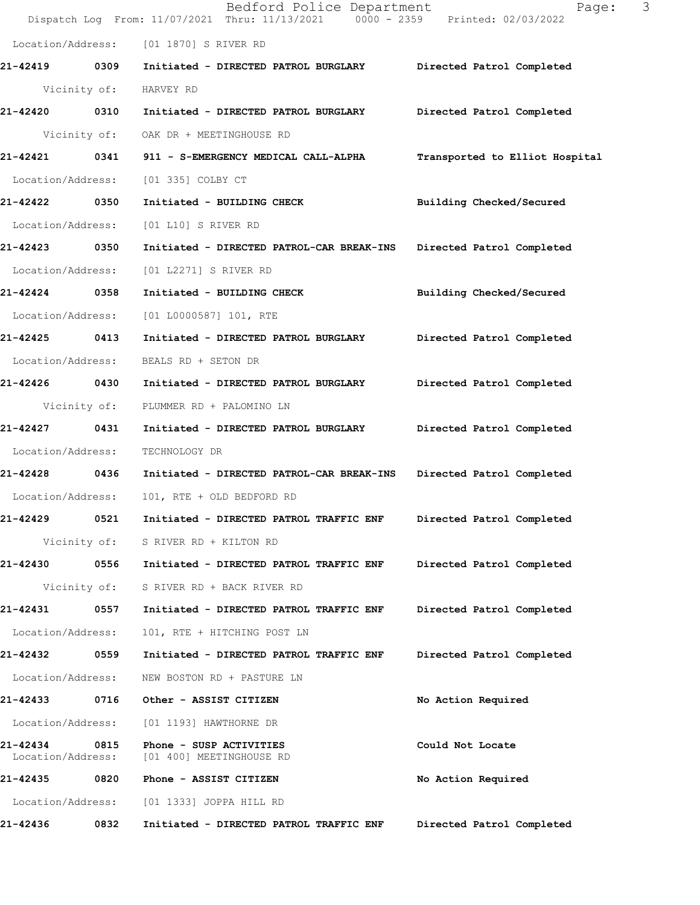|                               |              | Bedford Police Department<br>Dispatch Log From: 11/07/2021 Thru: 11/13/2021   0000 - 2359   Printed: 02/03/2022 | 3<br>Page:                     |
|-------------------------------|--------------|-----------------------------------------------------------------------------------------------------------------|--------------------------------|
|                               |              | Location/Address: [01 1870] S RIVER RD                                                                          |                                |
| 21-42419 0309                 |              | Initiated - DIRECTED PATROL BURGLARY Directed Patrol Completed                                                  |                                |
|                               | Vicinity of: | HARVEY RD                                                                                                       |                                |
| 21-42420 0310                 |              | Initiated - DIRECTED PATROL BURGLARY                                                                            | Directed Patrol Completed      |
|                               | Vicinity of: | OAK DR + MEETINGHOUSE RD                                                                                        |                                |
| 21-42421 0341                 |              | 911 - S-EMERGENCY MEDICAL CALL-ALPHA                                                                            | Transported to Elliot Hospital |
| Location/Address:             |              | [01 335] COLBY CT                                                                                               |                                |
| 21-42422 0350                 |              | Initiated - BUILDING CHECK                                                                                      | Building Checked/Secured       |
| Location/Address:             |              | [01 L10] S RIVER RD                                                                                             |                                |
| 21-42423 0350                 |              | Initiated - DIRECTED PATROL-CAR BREAK-INS                                                                       | Directed Patrol Completed      |
| Location/Address:             |              | [01 L2271] S RIVER RD                                                                                           |                                |
| 21-42424 0358                 |              | Initiated - BUILDING CHECK                                                                                      | Building Checked/Secured       |
| Location/Address:             |              | [01 L0000587] 101, RTE                                                                                          |                                |
| 21-42425 0413                 |              | Initiated - DIRECTED PATROL BURGLARY                                                                            | Directed Patrol Completed      |
| Location/Address:             |              | BEALS RD + SETON DR                                                                                             |                                |
| 21-42426 0430                 |              | Initiated - DIRECTED PATROL BURGLARY                                                                            | Directed Patrol Completed      |
|                               | Vicinity of: | PLUMMER RD + PALOMINO LN                                                                                        |                                |
| 21-42427                      | 0431         | Initiated - DIRECTED PATROL BURGLARY                                                                            | Directed Patrol Completed      |
| Location/Address:             |              | TECHNOLOGY DR                                                                                                   |                                |
| 21-42428 0436                 |              | Initiated - DIRECTED PATROL-CAR BREAK-INS                                                                       | Directed Patrol Completed      |
| Location/Address:             |              | 101, RTE + OLD BEDFORD RD                                                                                       |                                |
| 21-42429                      | 0521         | Initiated - DIRECTED PATROL TRAFFIC ENF                                                                         | Directed Patrol Completed      |
|                               | Vicinity of: | S RIVER RD + KILTON RD                                                                                          |                                |
| 21-42430                      | 0556         | Initiated - DIRECTED PATROL TRAFFIC ENF                                                                         | Directed Patrol Completed      |
|                               | Vicinity of: | S RIVER RD + BACK RIVER RD                                                                                      |                                |
| 21-42431                      | 0557         | Initiated - DIRECTED PATROL TRAFFIC ENF                                                                         | Directed Patrol Completed      |
| Location/Address:             |              | 101, RTE + HITCHING POST LN                                                                                     |                                |
| 21-42432                      | 0559         | Initiated - DIRECTED PATROL TRAFFIC ENF                                                                         | Directed Patrol Completed      |
| Location/Address:             |              | NEW BOSTON RD + PASTURE LN                                                                                      |                                |
| 21-42433                      | 0716         | Other - ASSIST CITIZEN                                                                                          | No Action Required             |
| Location/Address:             |              | [01 1193] HAWTHORNE DR                                                                                          |                                |
| 21-42434<br>Location/Address: | 0815         | Phone - SUSP ACTIVITIES<br>[01 400] MEETINGHOUSE RD                                                             | Could Not Locate               |
| 21-42435                      | 0820         | Phone - ASSIST CITIZEN                                                                                          | No Action Required             |
| Location/Address:             |              | [01 1333] JOPPA HILL RD                                                                                         |                                |
| 21-42436                      | 0832         | Initiated - DIRECTED PATROL TRAFFIC ENF                                                                         | Directed Patrol Completed      |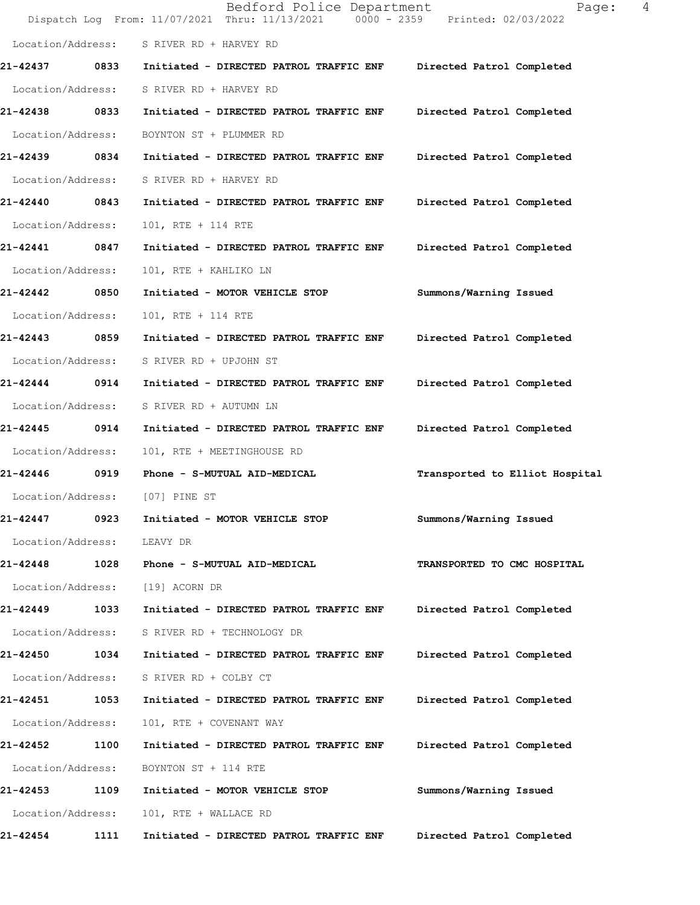|                   |      | Bedford Police Department<br>Dispatch Log From: 11/07/2021 Thru: 11/13/2021 0000 - 2359 Printed: 02/03/2022 | 4<br>Page:                     |
|-------------------|------|-------------------------------------------------------------------------------------------------------------|--------------------------------|
| Location/Address: |      | S RIVER RD + HARVEY RD                                                                                      |                                |
| 21-42437          | 0833 | Initiated - DIRECTED PATROL TRAFFIC ENF                                                                     | Directed Patrol Completed      |
| Location/Address: |      | S RIVER RD + HARVEY RD                                                                                      |                                |
| 21-42438          | 0833 | Initiated - DIRECTED PATROL TRAFFIC ENF                                                                     | Directed Patrol Completed      |
| Location/Address: |      | BOYNTON ST + PLUMMER RD                                                                                     |                                |
| 21-42439 0834     |      | Initiated - DIRECTED PATROL TRAFFIC ENF                                                                     | Directed Patrol Completed      |
| Location/Address: |      | S RIVER RD + HARVEY RD                                                                                      |                                |
| 21-42440 0843     |      | Initiated - DIRECTED PATROL TRAFFIC ENF                                                                     | Directed Patrol Completed      |
| Location/Address: |      | 101, RTE + 114 RTE                                                                                          |                                |
| 21-42441          | 0847 | Initiated - DIRECTED PATROL TRAFFIC ENF                                                                     | Directed Patrol Completed      |
| Location/Address: |      | 101, RTE + KAHLIKO LN                                                                                       |                                |
| 21-42442          | 0850 | Initiated - MOTOR VEHICLE STOP                                                                              | Summons/Warning Issued         |
| Location/Address: |      | 101, RTE + 114 RTE                                                                                          |                                |
| 21-42443 0859     |      | Initiated - DIRECTED PATROL TRAFFIC ENF                                                                     | Directed Patrol Completed      |
| Location/Address: |      | S RIVER RD + UPJOHN ST                                                                                      |                                |
| 21-42444          | 0914 | Initiated - DIRECTED PATROL TRAFFIC ENF                                                                     | Directed Patrol Completed      |
| Location/Address: |      | S RIVER RD + AUTUMN LN                                                                                      |                                |
| 21-42445          | 0914 | Initiated - DIRECTED PATROL TRAFFIC ENF                                                                     | Directed Patrol Completed      |
| Location/Address: |      | 101, RTE + MEETINGHOUSE RD                                                                                  |                                |
| 21-42446 0919     |      | Phone - S-MUTUAL AID-MEDICAL                                                                                | Transported to Elliot Hospital |
|                   |      | Location/Address: [07] PINE ST                                                                              |                                |
| 21-42447          | 0923 | Initiated - MOTOR VEHICLE STOP                                                                              | Summons/Warning Issued         |
| Location/Address: |      | LEAVY DR                                                                                                    |                                |
| 21-42448 1028     |      | Phone - S-MUTUAL AID-MEDICAL                                                                                | TRANSPORTED TO CMC HOSPITAL    |
| Location/Address: |      | [19] ACORN DR                                                                                               |                                |
| 21-42449          | 1033 | Initiated - DIRECTED PATROL TRAFFIC ENF                                                                     | Directed Patrol Completed      |
| Location/Address: |      | S RIVER RD + TECHNOLOGY DR                                                                                  |                                |
| 21-42450          | 1034 | Initiated - DIRECTED PATROL TRAFFIC ENF                                                                     | Directed Patrol Completed      |
| Location/Address: |      | S RIVER RD + COLBY CT                                                                                       |                                |
| 21-42451 1053     |      | Initiated - DIRECTED PATROL TRAFFIC ENF                                                                     | Directed Patrol Completed      |
| Location/Address: |      | 101, RTE + COVENANT WAY                                                                                     |                                |
| 21-42452          | 1100 | Initiated - DIRECTED PATROL TRAFFIC ENF                                                                     | Directed Patrol Completed      |
| Location/Address: |      | BOYNTON ST + 114 RTE                                                                                        |                                |
| 21-42453          | 1109 | Initiated - MOTOR VEHICLE STOP                                                                              | Summons/Warning Issued         |
| Location/Address: |      | 101, RTE + WALLACE RD                                                                                       |                                |
| 21-42454          | 1111 | Initiated - DIRECTED PATROL TRAFFIC ENF                                                                     | Directed Patrol Completed      |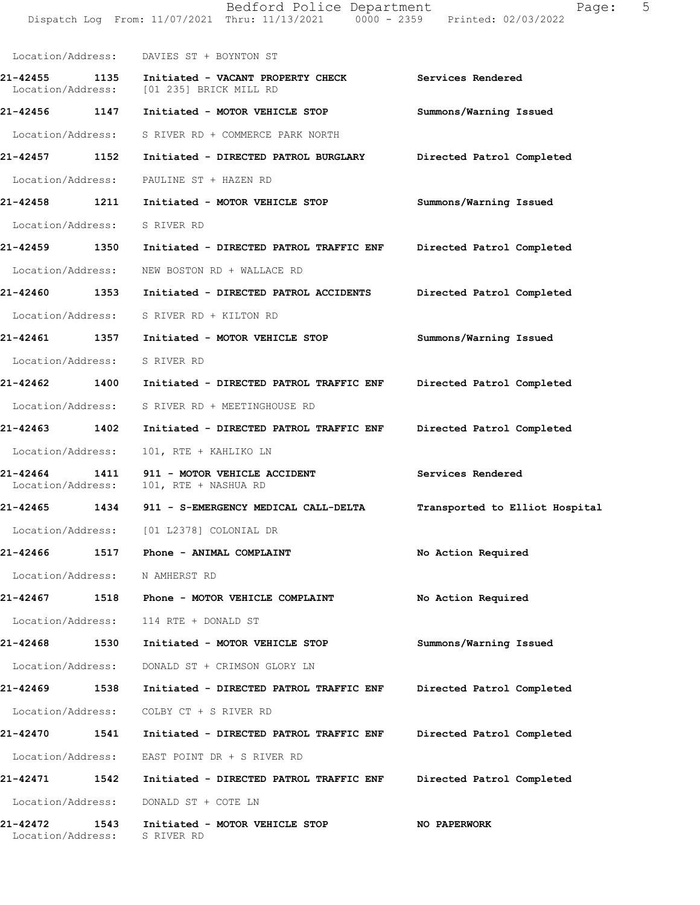|                               |      | Location/Address: DAVIES ST + BOYNTON ST                                                    |                                |
|-------------------------------|------|---------------------------------------------------------------------------------------------|--------------------------------|
|                               |      | 21-42455 1135 Initiated - VACANT PROPERTY CHECK<br>Location/Address: [01 235] BRICK MILL RD | <b>Services Rendered</b>       |
|                               |      |                                                                                             | Summons/Warning Issued         |
|                               |      | Location/Address: S RIVER RD + COMMERCE PARK NORTH                                          |                                |
| 21-42457 1152                 |      | Initiated - DIRECTED PATROL BURGLARY                                                        | Directed Patrol Completed      |
|                               |      | Location/Address: PAULINE ST + HAZEN RD                                                     |                                |
|                               |      | 21-42458 1211 Initiated - MOTOR VEHICLE STOP                                                | Summons/Warning Issued         |
| Location/Address: S RIVER RD  |      |                                                                                             |                                |
| 21-42459 1350                 |      | Initiated - DIRECTED PATROL TRAFFIC ENF                                                     | Directed Patrol Completed      |
|                               |      | Location/Address: NEW BOSTON RD + WALLACE RD                                                |                                |
| 21-42460 1353                 |      | Initiated - DIRECTED PATROL ACCIDENTS                                                       | Directed Patrol Completed      |
|                               |      | Location/Address: S RIVER RD + KILTON RD                                                    |                                |
|                               |      | 21-42461 1357 Initiated - MOTOR VEHICLE STOP                                                | Summons/Warning Issued         |
| Location/Address: S RIVER RD  |      |                                                                                             |                                |
| 21-42462 1400                 |      | Initiated - DIRECTED PATROL TRAFFIC ENF                                                     | Directed Patrol Completed      |
|                               |      | Location/Address: S RIVER RD + MEETINGHOUSE RD                                              |                                |
| 21-42463 1402                 |      | Initiated - DIRECTED PATROL TRAFFIC ENF                                                     | Directed Patrol Completed      |
| Location/Address:             |      | 101, RTE + KAHLIKO LN                                                                       |                                |
| 21-42464                      |      | 1411 911 - MOTOR VEHICLE ACCIDENT<br>Location/Address: 101, RTE + NASHUA RD                 | Services Rendered              |
|                               |      | 21-42465 1434 911 - S-EMERGENCY MEDICAL CALL-DELTA                                          | Transported to Elliot Hospital |
|                               |      | Location/Address: [01 L2378] COLONIAL DR                                                    |                                |
| 21-42466                      | 1517 | Phone - ANIMAL COMPLAINT                                                                    | No Action Required             |
|                               |      | Location/Address: N AMHERST RD                                                              |                                |
| 21-42467                      |      | 1518 Phone - MOTOR VEHICLE COMPLAINT                                                        | No Action Required             |
|                               |      | Location/Address: 114 RTE + DONALD ST                                                       |                                |
| 21-42468                      | 1530 | Initiated - MOTOR VEHICLE STOP                                                              | Summons/Warning Issued         |
|                               |      | Location/Address: DONALD ST + CRIMSON GLORY LN                                              |                                |
| 21-42469 1538                 |      | Initiated - DIRECTED PATROL TRAFFIC ENF                                                     | Directed Patrol Completed      |
| Location/Address:             |      | COLBY CT + S RIVER RD                                                                       |                                |
| <b>21-42470</b>               | 1541 | Initiated - DIRECTED PATROL TRAFFIC ENF                                                     | Directed Patrol Completed      |
|                               |      | Location/Address: EAST POINT DR + S RIVER RD                                                |                                |
| <b>21-42471</b>               | 1542 | Initiated - DIRECTED PATROL TRAFFIC ENF                                                     | Directed Patrol Completed      |
| Location/Address:             |      | DONALD ST + COTE LN                                                                         |                                |
| 21-42472<br>Location/Address: | 1543 | Initiated - MOTOR VEHICLE STOP<br>S RIVER RD                                                | NO PAPERWORK                   |

Bedford Police Department Fage: 5 Dispatch Log From: 11/07/2021 Thru: 11/13/2021 0000 - 2359 Printed: 02/03/2022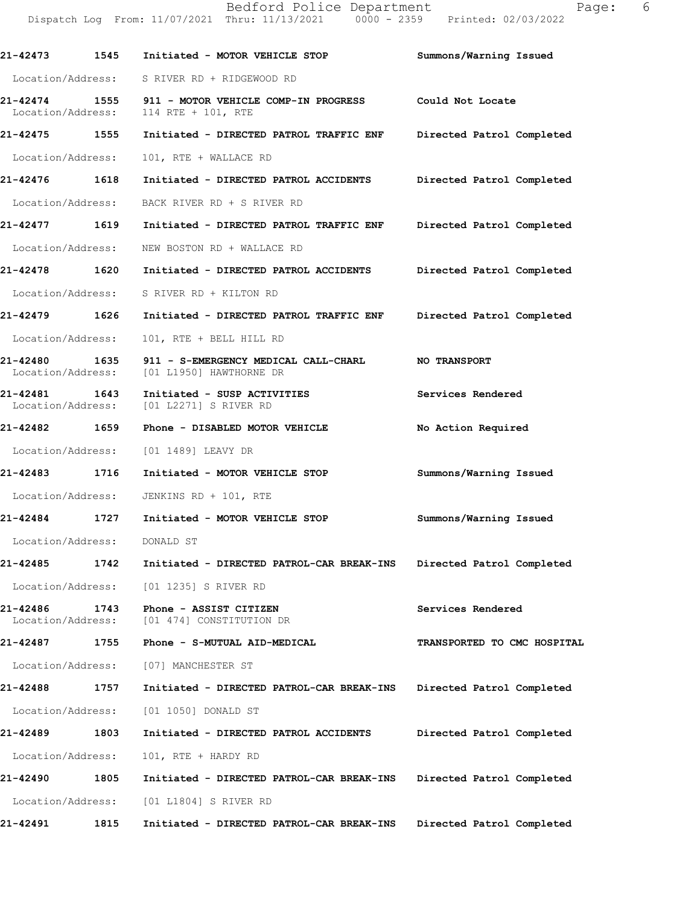**21-42473 1545 Initiated - MOTOR VEHICLE STOP Summons/Warning Issued**  Location/Address: S RIVER RD + RIDGEWOOD RD **21-42474 1555 911 - MOTOR VEHICLE COMP-IN PROGRESS Could Not Locate**  Location/Address: 114 RTE + 101, RTE **21-42475 1555 Initiated - DIRECTED PATROL TRAFFIC ENF Directed Patrol Completed**  Location/Address: 101, RTE + WALLACE RD **21-42476 1618 Initiated - DIRECTED PATROL ACCIDENTS Directed Patrol Completed**  Location/Address: BACK RIVER RD + S RIVER RD **21-42477 1619 Initiated - DIRECTED PATROL TRAFFIC ENF Directed Patrol Completed**  Location/Address: NEW BOSTON RD + WALLACE RD **21-42478 1620 Initiated - DIRECTED PATROL ACCIDENTS Directed Patrol Completed**  Location/Address: S RIVER RD + KILTON RD **21-42479 1626 Initiated - DIRECTED PATROL TRAFFIC ENF Directed Patrol Completed**  Location/Address: 101, RTE + BELL HILL RD **21-42480 1635 911 - S-EMERGENCY MEDICAL CALL-CHARL NO TRANSPORT**  Location/Address: [01 L1950] HAWTHORNE DR **21-42481 1643 Initiated - SUSP ACTIVITIES Services Rendered**  Location/Address: [01 L2271] S RIVER RD **21-42482 1659 Phone - DISABLED MOTOR VEHICLE No Action Required**  Location/Address: [01 1489] LEAVY DR **21-42483 1716 Initiated - MOTOR VEHICLE STOP Summons/Warning Issued**  Location/Address: JENKINS RD + 101, RTE **21-42484 1727 Initiated - MOTOR VEHICLE STOP Summons/Warning Issued**  Location/Address: DONALD ST **21-42485 1742 Initiated - DIRECTED PATROL-CAR BREAK-INS Directed Patrol Completed**  Location/Address: [01 1235] S RIVER RD **21-42486 1743 Phone - ASSIST CITIZEN Services Rendered**  Location/Address: [01 474] CONSTITUTION DR **21-42487 1755 Phone - S-MUTUAL AID-MEDICAL TRANSPORTED TO CMC HOSPITAL**  Location/Address: [07] MANCHESTER ST **21-42488 1757 Initiated - DIRECTED PATROL-CAR BREAK-INS Directed Patrol Completed**  Location/Address: [01 1050] DONALD ST **21-42489 1803 Initiated - DIRECTED PATROL ACCIDENTS Directed Patrol Completed**  Location/Address: 101, RTE + HARDY RD

**21-42490 1805 Initiated - DIRECTED PATROL-CAR BREAK-INS Directed Patrol Completed**  Location/Address: [01 L1804] S RIVER RD

**21-42491 1815 Initiated - DIRECTED PATROL-CAR BREAK-INS Directed Patrol Completed**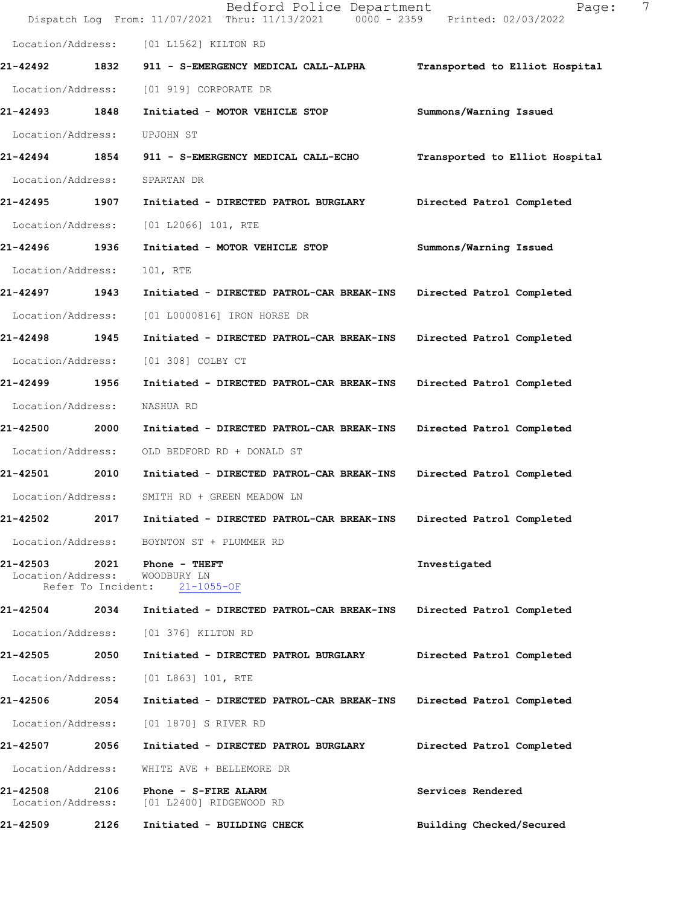|                                    |                    | Bedford Police Department<br>Dispatch Log From: 11/07/2021 Thru: 11/13/2021 0000 - 2359 Printed: 02/03/2022 | 7<br>Page:                     |
|------------------------------------|--------------------|-------------------------------------------------------------------------------------------------------------|--------------------------------|
| Location/Address:                  |                    | [01 L1562] KILTON RD                                                                                        |                                |
| 21-42492                           | 1832               | 911 - S-EMERGENCY MEDICAL CALL-ALPHA                                                                        | Transported to Elliot Hospital |
| Location/Address:                  |                    | [01 919] CORPORATE DR                                                                                       |                                |
| 21-42493                           | 1848               | Initiated - MOTOR VEHICLE STOP                                                                              | Summons/Warning Issued         |
| Location/Address:                  |                    | UPJOHN ST                                                                                                   |                                |
| 21-42494 1854                      |                    | 911 - S-EMERGENCY MEDICAL CALL-ECHO                                                                         | Transported to Elliot Hospital |
| Location/Address:                  |                    | SPARTAN DR                                                                                                  |                                |
| 21-42495                           | 1907               | Initiated - DIRECTED PATROL BURGLARY                                                                        | Directed Patrol Completed      |
| Location/Address:                  |                    | [01 L2066] 101, RTE                                                                                         |                                |
| 21-42496                           | 1936               | Initiated - MOTOR VEHICLE STOP                                                                              | Summons/Warning Issued         |
| Location/Address:                  |                    | 101, RTE                                                                                                    |                                |
| 21-42497                           | 1943               | Initiated - DIRECTED PATROL-CAR BREAK-INS                                                                   | Directed Patrol Completed      |
| Location/Address:                  |                    | [01 L0000816] IRON HORSE DR                                                                                 |                                |
| 21-42498 1945                      |                    | Initiated - DIRECTED PATROL-CAR BREAK-INS                                                                   | Directed Patrol Completed      |
| Location/Address:                  |                    | [01 308] COLBY CT                                                                                           |                                |
| 21-42499                           | 1956               | Initiated - DIRECTED PATROL-CAR BREAK-INS                                                                   | Directed Patrol Completed      |
| Location/Address:                  |                    | NASHUA RD                                                                                                   |                                |
| 21-42500                           | 2000               | Initiated - DIRECTED PATROL-CAR BREAK-INS                                                                   | Directed Patrol Completed      |
| Location/Address:                  |                    | OLD BEDFORD RD + DONALD ST                                                                                  |                                |
| <b>21-42501</b>                    | 2010               | Initiated - DIRECTED PATROL-CAR BREAK-INS                                                                   | Directed Patrol Completed      |
| Location/Address:                  |                    | SMITH RD + GREEN MEADOW LN                                                                                  |                                |
| 21-42502                           | 2017               | Initiated - DIRECTED PATROL-CAR BREAK-INS                                                                   | Directed Patrol Completed      |
| Location/Address:                  |                    | BOYNTON ST + PLUMMER RD                                                                                     |                                |
| 21-42503 2021<br>Location/Address: | Refer To Incident: | <b>Phone - THEFT</b><br>WOODBURY LN<br>$21 - 1055 - OF$                                                     | Investigated                   |
| 21-42504                           | 2034               | Initiated - DIRECTED PATROL-CAR BREAK-INS                                                                   | Directed Patrol Completed      |
| Location/Address:                  |                    | [01 376] KILTON RD                                                                                          |                                |
| 21-42505                           | 2050               | Initiated - DIRECTED PATROL BURGLARY                                                                        | Directed Patrol Completed      |
| Location/Address:                  |                    | $[01 L863] 101$ , RTE                                                                                       |                                |
| 21-42506                           | 2054               | Initiated - DIRECTED PATROL-CAR BREAK-INS                                                                   | Directed Patrol Completed      |
| Location/Address:                  |                    | [01 1870] S RIVER RD                                                                                        |                                |
| 21-42507                           | 2056               | Initiated - DIRECTED PATROL BURGLARY                                                                        | Directed Patrol Completed      |
| Location/Address:                  |                    | WHITE AVE + BELLEMORE DR                                                                                    |                                |
| 21-42508<br>Location/Address:      | 2106               | Phone - S-FIRE ALARM<br>[01 L2400] RIDGEWOOD RD                                                             | Services Rendered              |
| 21-42509                           | 2126               | Initiated - BUILDING CHECK                                                                                  | Building Checked/Secured       |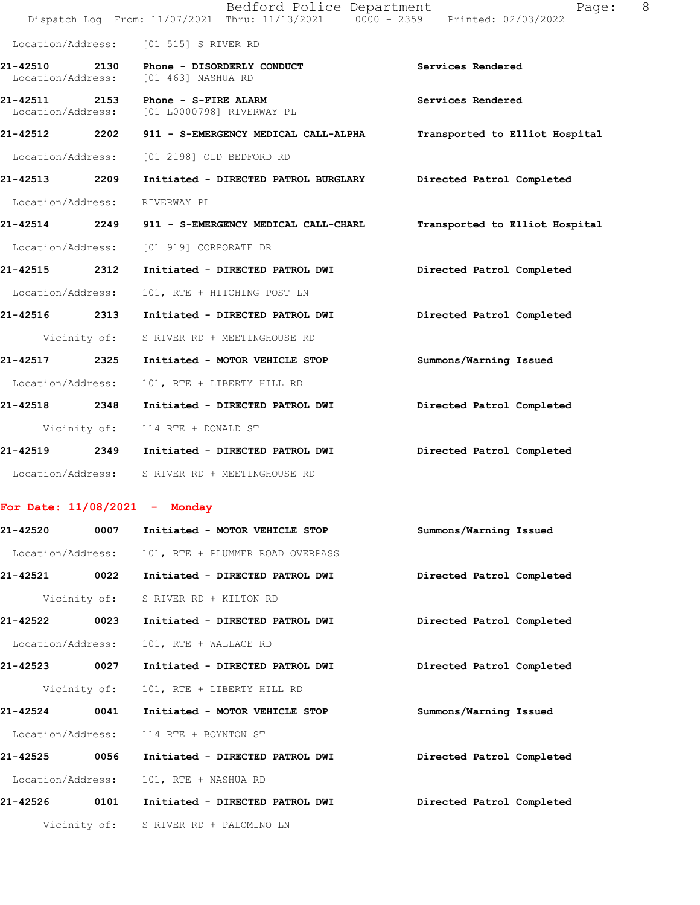|                                    |              | Bedford Police Department<br>Dispatch Log From: 11/07/2021 Thru: 11/13/2021 0000 - 2359 Printed: 02/03/2022 | 8<br>Page:                     |
|------------------------------------|--------------|-------------------------------------------------------------------------------------------------------------|--------------------------------|
|                                    |              | Location/Address: [01 515] S RIVER RD                                                                       |                                |
| 21-42510 2130<br>Location/Address: |              | Phone - DISORDERLY CONDUCT<br>[01 463] NASHUA RD                                                            | Services Rendered              |
| 21-42511<br>Location/Address:      |              | 2153 Phone - S-FIRE ALARM<br>[01 L0000798] RIVERWAY PL                                                      | Services Rendered              |
|                                    |              | 21-42512 2202 911 - S-EMERGENCY MEDICAL CALL-ALPHA                                                          | Transported to Elliot Hospital |
| Location/Address:                  |              | [01 2198] OLD BEDFORD RD                                                                                    |                                |
| 21-42513 2209                      |              | Initiated - DIRECTED PATROL BURGLARY Directed Patrol Completed                                              |                                |
| Location/Address:                  |              | RIVERWAY PL                                                                                                 |                                |
|                                    |              | 21-42514 2249 911 - S-EMERGENCY MEDICAL CALL-CHARL                                                          | Transported to Elliot Hospital |
|                                    |              | Location/Address: [01 919] CORPORATE DR                                                                     |                                |
| 21-42515 2312                      |              | Initiated - DIRECTED PATROL DWI                                                                             | Directed Patrol Completed      |
| Location/Address:                  |              | 101, RTE + HITCHING POST LN                                                                                 |                                |
| 21-42516 2313                      |              | Initiated - DIRECTED PATROL DWI                                                                             | Directed Patrol Completed      |
|                                    |              | Vicinity of: S RIVER RD + MEETINGHOUSE RD                                                                   |                                |
| 21-42517 2325                      |              | Initiated - MOTOR VEHICLE STOP                                                                              | Summons/Warning Issued         |
| Location/Address:                  |              | 101, RTE + LIBERTY HILL RD                                                                                  |                                |
| 21-42518 2348                      |              | Initiated - DIRECTED PATROL DWI                                                                             | Directed Patrol Completed      |
|                                    | Vicinity of: | 114 RTE + DONALD ST                                                                                         |                                |
|                                    |              | 21-42519 2349 Initiated - DIRECTED PATROL DWI                                                               | Directed Patrol Completed      |
|                                    |              | Location/Address: S RIVER RD + MEETINGHOUSE RD                                                              |                                |
|                                    |              | For Date: $11/08/2021$ - Monday                                                                             |                                |
| <b>21-42520</b>                    | 0007         | Initiated - MOTOR VEHICLE STOP                                                                              | Summons/Warning Issued         |
| Location/Address:                  |              | 101, RTE + PLUMMER ROAD OVERPASS                                                                            |                                |
| 21-42521                           | 0022         | Initiated - DIRECTED PATROL DWI                                                                             | Directed Patrol Completed      |
|                                    | Vicinity of: | S RIVER RD + KILTON RD                                                                                      |                                |
| 21-42522                           | 0023         | Initiated - DIRECTED PATROL DWI                                                                             | Directed Patrol Completed      |
| Location/Address:                  |              | 101, RTE + WALLACE RD                                                                                       |                                |
| 21-42523 0027                      |              | Initiated - DIRECTED PATROL DWI                                                                             | Directed Patrol Completed      |
|                                    | Vicinity of: | 101, RTE + LIBERTY HILL RD                                                                                  |                                |
| 21-42524                           | 0041         | Initiated - MOTOR VEHICLE STOP                                                                              | Summons/Warning Issued         |
| Location/Address:                  |              | 114 RTE + BOYNTON ST                                                                                        |                                |
| 21-42525                           | 0056         | Initiated - DIRECTED PATROL DWI                                                                             | Directed Patrol Completed      |
| Location/Address:                  |              | 101, RTE + NASHUA RD                                                                                        |                                |
| 21-42526                           | 0101         | Initiated - DIRECTED PATROL DWI                                                                             | Directed Patrol Completed      |
|                                    |              |                                                                                                             |                                |

Vicinity of: S RIVER RD + PALOMINO LN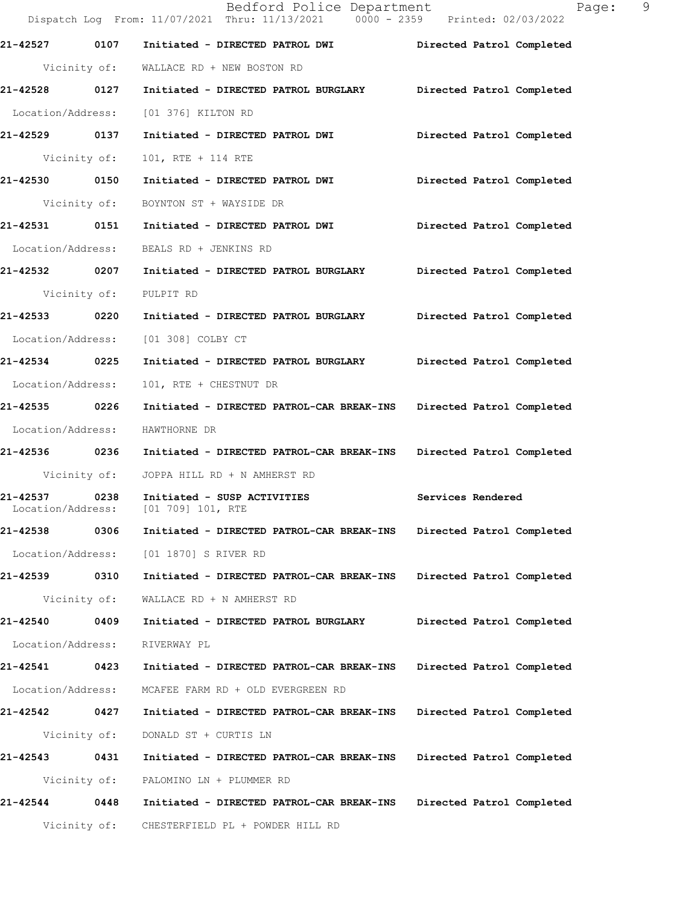|                                       | Bedford Police Department<br>Dispatch Log From: 11/07/2021 Thru: 11/13/2021 0000 - 2359 Printed: 02/03/2022 | $\overline{9}$<br>Page:   |
|---------------------------------------|-------------------------------------------------------------------------------------------------------------|---------------------------|
| 21-42527 0107                         |                                                                                                             |                           |
|                                       | Initiated - DIRECTED PATROL DWI<br>Vicinity of: WALLACE RD + NEW BOSTON RD                                  | Directed Patrol Completed |
|                                       | 21-42528 0127 Initiated - DIRECTED PATROL BURGLARY Directed Patrol Completed                                |                           |
| Location/Address:                     | [01 376] KILTON RD                                                                                          |                           |
| 21-42529 0137                         | Initiated - DIRECTED PATROL DWI                                                                             | Directed Patrol Completed |
| Vicinity of:                          | 101, RTE + 114 RTE                                                                                          |                           |
| 21-42530 0150                         | Initiated - DIRECTED PATROL DWI                                                                             | Directed Patrol Completed |
| Vicinity of:                          | BOYNTON ST + WAYSIDE DR                                                                                     |                           |
|                                       | 21-42531 0151 Initiated - DIRECTED PATROL DWI                                                               | Directed Patrol Completed |
| Location/Address:                     | BEALS RD + JENKINS RD                                                                                       |                           |
| 21-42532 0207                         | Initiated - DIRECTED PATROL BURGLARY Directed Patrol Completed                                              |                           |
| Vicinity of:                          | PULPIT RD                                                                                                   |                           |
| 21-42533 0220                         | Initiated - DIRECTED PATROL BURGLARY                                                                        | Directed Patrol Completed |
| Location/Address:                     | [01 308] COLBY CT                                                                                           |                           |
| 21-42534 0225                         | Initiated - DIRECTED PATROL BURGLARY Directed Patrol Completed                                              |                           |
| Location/Address:                     | 101, RTE + CHESTNUT DR                                                                                      |                           |
| 21-42535 0226                         | Initiated - DIRECTED PATROL-CAR BREAK-INS Directed Patrol Completed                                         |                           |
| Location/Address:                     | HAWTHORNE DR                                                                                                |                           |
| 21-42536 0236                         | Initiated - DIRECTED PATROL-CAR BREAK-INS Directed Patrol Completed                                         |                           |
| Vicinity of:                          | JOPPA HILL RD + N AMHERST RD                                                                                |                           |
| 21-42537<br>0238<br>Location/Address: | Initiated - SUSP ACTIVITIES<br>[01 709] 101, RTE                                                            | Services Rendered         |
| 21-42538<br>0306                      | Initiated - DIRECTED PATROL-CAR BREAK-INS                                                                   | Directed Patrol Completed |
| Location/Address:                     | [01 1870] S RIVER RD                                                                                        |                           |
| 21-42539 0310                         | Initiated - DIRECTED PATROL-CAR BREAK-INS                                                                   | Directed Patrol Completed |
| Vicinity of:                          | WALLACE RD + N AMHERST RD                                                                                   |                           |
| 21-42540<br>0409                      | Initiated - DIRECTED PATROL BURGLARY                                                                        | Directed Patrol Completed |
| Location/Address:                     | RIVERWAY PL                                                                                                 |                           |
| 21-42541<br>0423                      | Initiated - DIRECTED PATROL-CAR BREAK-INS                                                                   | Directed Patrol Completed |
| Location/Address:                     | MCAFEE FARM RD + OLD EVERGREEN RD                                                                           |                           |
| 21-42542 0427                         | Initiated - DIRECTED PATROL-CAR BREAK-INS                                                                   | Directed Patrol Completed |
| Vicinity of:                          | DONALD ST + CURTIS LN                                                                                       |                           |
| 21-42543<br>0431                      | Initiated - DIRECTED PATROL-CAR BREAK-INS                                                                   | Directed Patrol Completed |
| Vicinity of:                          | PALOMINO LN + PLUMMER RD                                                                                    |                           |
| 21-42544<br>0448                      | Initiated - DIRECTED PATROL-CAR BREAK-INS                                                                   | Directed Patrol Completed |
| Vicinity of:                          | CHESTERFIELD PL + POWDER HILL RD                                                                            |                           |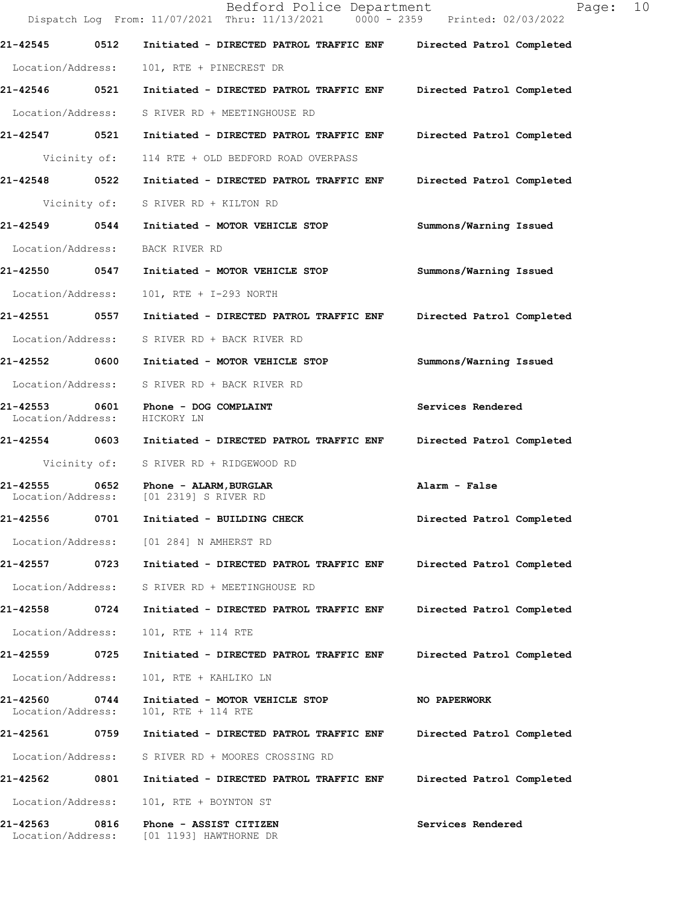|                                    |      | Bedford Police Department<br>Dispatch Log From: 11/07/2021 Thru: 11/13/2021 0000 - 2359 Printed: 02/03/2022 | Page: 10                  |
|------------------------------------|------|-------------------------------------------------------------------------------------------------------------|---------------------------|
| 21-42545                           | 0512 | Initiated - DIRECTED PATROL TRAFFIC ENF                                                                     | Directed Patrol Completed |
| Location/Address:                  |      | 101, RTE + PINECREST DR                                                                                     |                           |
| 21-42546 0521                      |      | Initiated - DIRECTED PATROL TRAFFIC ENF                                                                     | Directed Patrol Completed |
| Location/Address:                  |      | S RIVER RD + MEETINGHOUSE RD                                                                                |                           |
| 21-42547 0521                      |      | Initiated - DIRECTED PATROL TRAFFIC ENF                                                                     | Directed Patrol Completed |
|                                    |      | Vicinity of: 114 RTE + OLD BEDFORD ROAD OVERPASS                                                            |                           |
| 21-42548 0522                      |      | Initiated - DIRECTED PATROL TRAFFIC ENF                                                                     | Directed Patrol Completed |
| Vicinity of:                       |      | S RIVER RD + KILTON RD                                                                                      |                           |
| 21-42549 0544                      |      | Initiated - MOTOR VEHICLE STOP                                                                              | Summons/Warning Issued    |
| Location/Address:                  |      | BACK RIVER RD                                                                                               |                           |
| 21-42550 0547                      |      | Initiated - MOTOR VEHICLE STOP                                                                              | Summons/Warning Issued    |
| Location/Address:                  |      | 101, RTE + I-293 NORTH                                                                                      |                           |
| 21-42551 0557                      |      | Initiated - DIRECTED PATROL TRAFFIC ENF                                                                     | Directed Patrol Completed |
| Location/Address:                  |      | S RIVER RD + BACK RIVER RD                                                                                  |                           |
| 21-42552 0600                      |      | Initiated - MOTOR VEHICLE STOP                                                                              | Summons/Warning Issued    |
| Location/Address:                  |      | S RIVER RD + BACK RIVER RD                                                                                  |                           |
| 21-42553 0601<br>Location/Address: |      | Phone - DOG COMPLAINT<br>HICKORY LN                                                                         | Services Rendered         |
|                                    |      | 21-42554 0603 Initiated - DIRECTED PATROL TRAFFIC ENF                                                       | Directed Patrol Completed |
| Vicinity of:                       |      | S RIVER RD + RIDGEWOOD RD                                                                                   |                           |
| Location/Address:                  |      | 21-42555 0652 Phone - ALARM, BURGLAR<br>[01 2319] S RIVER RD                                                | Alarm - False             |
| 21-42556                           | 0701 | Initiated - BUILDING CHECK                                                                                  | Directed Patrol Completed |
| Location/Address:                  |      | [01 284] N AMHERST RD                                                                                       |                           |
| 21-42557 0723                      |      | Initiated - DIRECTED PATROL TRAFFIC ENF                                                                     | Directed Patrol Completed |
| Location/Address:                  |      | S RIVER RD + MEETINGHOUSE RD                                                                                |                           |
| 21-42558                           | 0724 | Initiated - DIRECTED PATROL TRAFFIC ENF                                                                     | Directed Patrol Completed |
| Location/Address:                  |      | 101, RTE + 114 RTE                                                                                          |                           |
| 21-42559                           | 0725 | Initiated - DIRECTED PATROL TRAFFIC ENF                                                                     | Directed Patrol Completed |
| Location/Address:                  |      | 101, RTE + KAHLIKO LN                                                                                       |                           |
| 21-42560<br>Location/Address:      | 0744 | Initiated - MOTOR VEHICLE STOP<br>101, RTE + 114 RTE                                                        | NO PAPERWORK              |
| 21-42561                           | 0759 | Initiated - DIRECTED PATROL TRAFFIC ENF                                                                     | Directed Patrol Completed |
| Location/Address:                  |      | S RIVER RD + MOORES CROSSING RD                                                                             |                           |
| 21-42562                           | 0801 | Initiated - DIRECTED PATROL TRAFFIC ENF                                                                     | Directed Patrol Completed |
| Location/Address:                  |      | 101, RTE + BOYNTON ST                                                                                       |                           |
| 21-42563<br>Location/Address:      | 0816 | Phone - ASSIST CITIZEN<br>[01 1193] HAWTHORNE DR                                                            | Services Rendered         |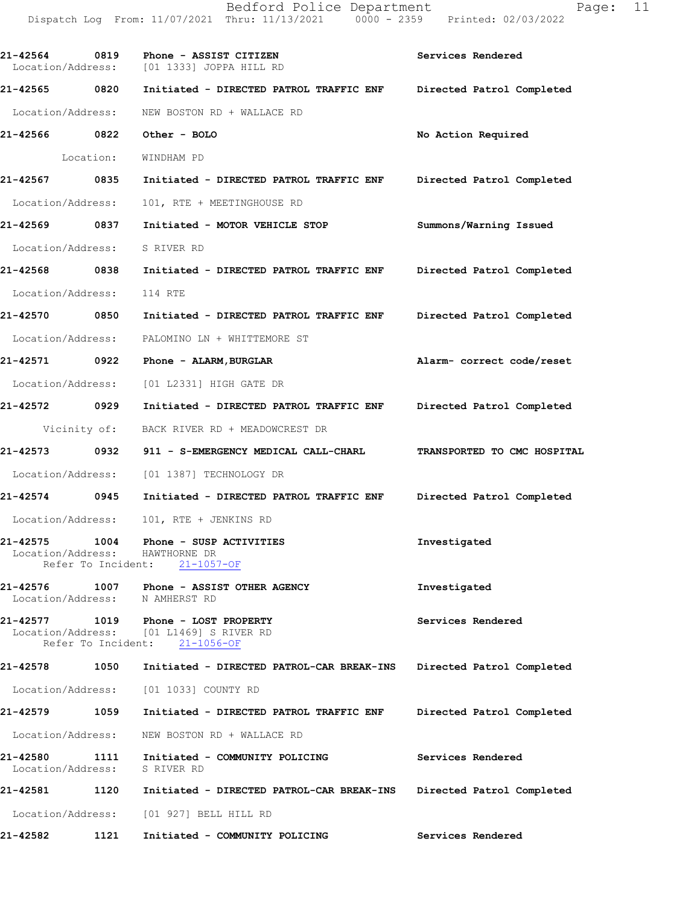| 21-42564<br>Location/Address:            | 0819      | Phone - ASSIST CITIZEN<br>[01 1333] JOPPA HILL RD                                                               | Services Rendered           |
|------------------------------------------|-----------|-----------------------------------------------------------------------------------------------------------------|-----------------------------|
| 21-42565 0820                            |           | Initiated - DIRECTED PATROL TRAFFIC ENF                                                                         | Directed Patrol Completed   |
| Location/Address:                        |           | NEW BOSTON RD + WALLACE RD                                                                                      |                             |
| 21-42566 0822                            |           | Other - BOLO                                                                                                    | No Action Required          |
|                                          | Location: | WINDHAM PD                                                                                                      |                             |
| 21-42567 0835                            |           | Initiated - DIRECTED PATROL TRAFFIC ENF                                                                         | Directed Patrol Completed   |
| Location/Address:                        |           | 101, RTE + MEETINGHOUSE RD                                                                                      |                             |
| 21-42569 0837                            |           | Initiated - MOTOR VEHICLE STOP                                                                                  | Summons/Warning Issued      |
| Location/Address:                        |           | S RIVER RD                                                                                                      |                             |
| 21-42568 0838                            |           | Initiated - DIRECTED PATROL TRAFFIC ENF Directed Patrol Completed                                               |                             |
| Location/Address:                        |           | 114 RTE                                                                                                         |                             |
| 21-42570 0850                            |           | Initiated - DIRECTED PATROL TRAFFIC ENF                                                                         | Directed Patrol Completed   |
| Location/Address:                        |           | PALOMINO LN + WHITTEMORE ST                                                                                     |                             |
| 21-42571 0922                            |           | Phone - ALARM, BURGLAR                                                                                          | Alarm- correct code/reset   |
| Location/Address:                        |           | [01 L2331] HIGH GATE DR                                                                                         |                             |
| 21-42572 0929                            |           | Initiated - DIRECTED PATROL TRAFFIC ENF                                                                         | Directed Patrol Completed   |
| Vicinity of:                             |           | BACK RIVER RD + MEADOWCREST DR                                                                                  |                             |
| 21-42573 0932                            |           | 911 - S-EMERGENCY MEDICAL CALL-CHARL                                                                            | TRANSPORTED TO CMC HOSPITAL |
| Location/Address:                        |           | [01 1387] TECHNOLOGY DR                                                                                         |                             |
| 21-42574 0945                            |           | Initiated - DIRECTED PATROL TRAFFIC ENF                                                                         | Directed Patrol Completed   |
| Location/Address:                        |           | 101, RTE + JENKINS RD                                                                                           |                             |
| 21-42575<br>Location/Address:            | 1004      | Phone - SUSP ACTIVITIES<br>HAWTHORNE DR<br>Refer To Incident: 21-1057-OF                                        | Investigated                |
| Location/Address: N AMHERST RD           |           | 21-42576 1007 Phone - ASSIST OTHER AGENCY                                                                       | Investigated                |
|                                          |           | 21-42577 1019 Phone - LOST PROPERTY<br>Location/Address: [01 L1469] S RIVER RD<br>Refer To Incident: 21-1056-OF | Services Rendered           |
| 21-42578                                 |           | 1050 Initiated - DIRECTED PATROL-CAR BREAK-INS Directed Patrol Completed                                        |                             |
|                                          |           | Location/Address: [01 1033] COUNTY RD                                                                           |                             |
| 21-42579 1059                            |           | Initiated - DIRECTED PATROL TRAFFIC ENF                                                                         | Directed Patrol Completed   |
|                                          |           | Location/Address: NEW BOSTON RD + WALLACE RD                                                                    |                             |
| 21-42580<br>Location/Address: S RIVER RD |           | 1111 Initiated - COMMUNITY POLICING                                                                             | Services Rendered           |
| 21-42581                                 |           | 1120 Initiated - DIRECTED PATROL-CAR BREAK-INS Directed Patrol Completed                                        |                             |
|                                          |           | Location/Address: [01 927] BELL HILL RD                                                                         |                             |
| 21-42582                                 | 1121      | Initiated - COMMUNITY POLICING                                                                                  | Services Rendered           |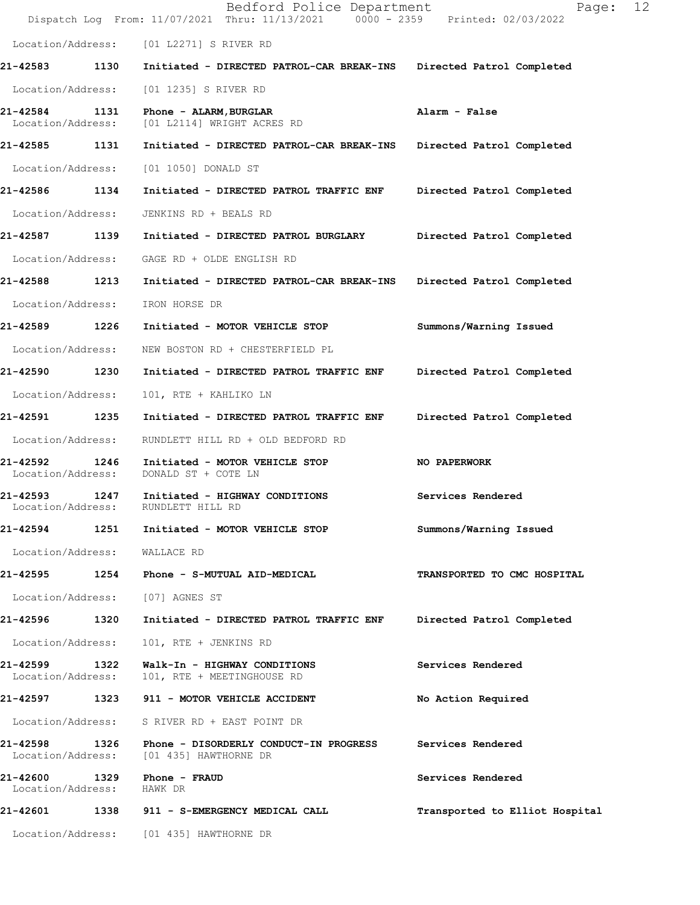|                                    |      | Bedford Police Department<br>Dispatch Log From: 11/07/2021 Thru: 11/13/2021 0000 - 2359 Printed: 02/03/2022 | 12<br>Page:                    |
|------------------------------------|------|-------------------------------------------------------------------------------------------------------------|--------------------------------|
|                                    |      | Location/Address: [01 L2271] S RIVER RD                                                                     |                                |
| 21-42583 1130                      |      | Initiated - DIRECTED PATROL-CAR BREAK-INS                                                                   | Directed Patrol Completed      |
| Location/Address:                  |      | [01 1235] S RIVER RD                                                                                        |                                |
| 21-42584<br>Location/Address:      | 1131 | Phone - ALARM, BURGLAR<br>[01 L2114] WRIGHT ACRES RD                                                        | Alarm - False                  |
| 21-42585 1131                      |      | Initiated - DIRECTED PATROL-CAR BREAK-INS                                                                   | Directed Patrol Completed      |
| Location/Address:                  |      | [01 1050] DONALD ST                                                                                         |                                |
| 21-42586 1134                      |      | Initiated - DIRECTED PATROL TRAFFIC ENF                                                                     | Directed Patrol Completed      |
| Location/Address:                  |      | JENKINS RD + BEALS RD                                                                                       |                                |
| 21-42587 1139                      |      | Initiated - DIRECTED PATROL BURGLARY                                                                        | Directed Patrol Completed      |
|                                    |      | Location/Address: GAGE RD + OLDE ENGLISH RD                                                                 |                                |
| 21-42588 1213                      |      | Initiated - DIRECTED PATROL-CAR BREAK-INS                                                                   | Directed Patrol Completed      |
| Location/Address:                  |      | IRON HORSE DR                                                                                               |                                |
| 21-42589 1226                      |      | Initiated - MOTOR VEHICLE STOP                                                                              | Summons/Warning Issued         |
| Location/Address:                  |      | NEW BOSTON RD + CHESTERFIELD PL                                                                             |                                |
| 21-42590                           | 1230 | Initiated - DIRECTED PATROL TRAFFIC ENF                                                                     | Directed Patrol Completed      |
| Location/Address:                  |      | 101, RTE + KAHLIKO LN                                                                                       |                                |
| 21-42591 1235                      |      | Initiated - DIRECTED PATROL TRAFFIC ENF                                                                     | Directed Patrol Completed      |
| Location/Address:                  |      | RUNDLETT HILL RD + OLD BEDFORD RD                                                                           |                                |
| 21-42592<br>Location/Address:      | 1246 | Initiated - MOTOR VEHICLE STOP<br>DONALD ST + COTE LN                                                       | NO PAPERWORK                   |
| 21-42593 1247<br>Location/Address: |      | Initiated - HIGHWAY CONDITIONS<br>RUNDLETT HILL RD                                                          | Services Rendered              |
| 21-42594                           | 1251 | Initiated - MOTOR VEHICLE STOP                                                                              | Summons/Warning Issued         |
| Location/Address: WALLACE RD       |      |                                                                                                             |                                |
|                                    |      | 21-42595 1254 Phone - S-MUTUAL AID-MEDICAL                                                                  | TRANSPORTED TO CMC HOSPITAL    |
|                                    |      | Location/Address: [07] AGNES ST                                                                             |                                |
| 21-42596 1320                      |      | Initiated - DIRECTED PATROL TRAFFIC ENF                                                                     | Directed Patrol Completed      |
| Location/Address:                  |      | 101, RTE + JENKINS RD                                                                                       |                                |
| 21-42599<br>Location/Address:      | 1322 | Walk-In - HIGHWAY CONDITIONS<br>101, RTE + MEETINGHOUSE RD                                                  | Services Rendered              |
|                                    |      | 21-42597 1323 911 - MOTOR VEHICLE ACCIDENT                                                                  | No Action Required             |
| Location/Address:                  |      | S RIVER RD + EAST POINT DR                                                                                  |                                |
| 21-42598<br>Location/Address:      | 1326 | Phone - DISORDERLY CONDUCT-IN PROGRESS<br>[01 435] HAWTHORNE DR                                             | Services Rendered              |
| 21-42600 1329<br>Location/Address: |      | Phone - FRAUD<br>HAWK DR                                                                                    | Services Rendered              |
|                                    |      | 21-42601 1338 911 - S-EMERGENCY MEDICAL CALL                                                                | Transported to Elliot Hospital |
|                                    |      | Location/Address: [01 435] HAWTHORNE DR                                                                     |                                |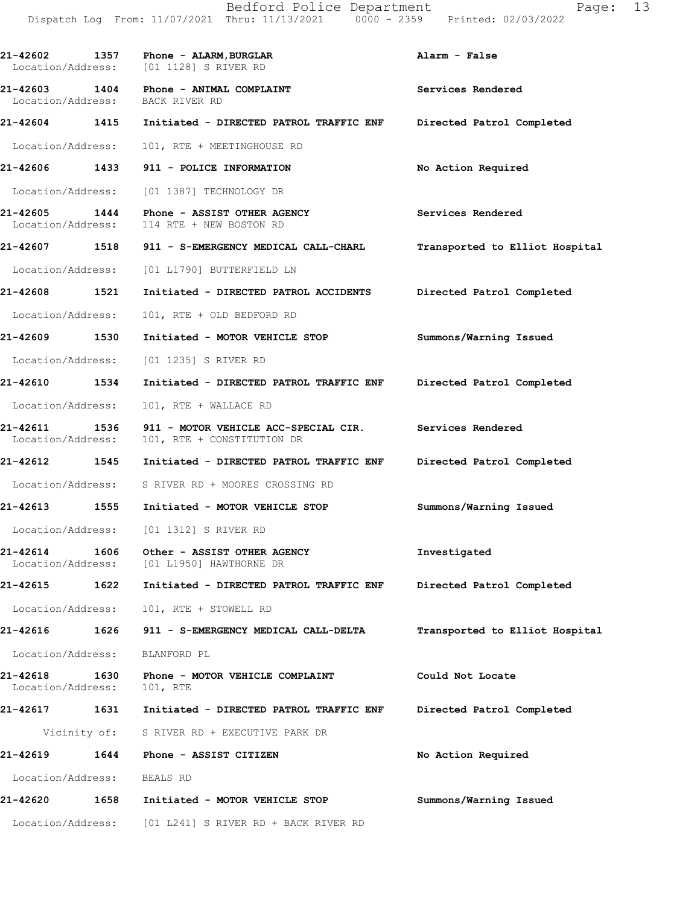**21-42602 1357 Phone - ALARM,BURGLAR Alarm - False**  Location/Address: [01 1128] S RIVER RD **21-42603 1404 Phone - ANIMAL COMPLAINT Services Rendered** Location/Address: BACK RIVER RD Location/Address: **21-42604 1415 Initiated - DIRECTED PATROL TRAFFIC ENF Directed Patrol Completed**  Location/Address: 101, RTE + MEETINGHOUSE RD **21-42606 1433 911 - POLICE INFORMATION No Action Required**  Location/Address: [01 1387] TECHNOLOGY DR **21-42605 1444 Phone - ASSIST OTHER AGENCY Services Rendered**  Location/Address: 114 RTE + NEW BOSTON RD **21-42607 1518 911 - S-EMERGENCY MEDICAL CALL-CHARL Transported to Elliot Hospital** Location/Address: [01 L1790] BUTTERFIELD LN **21-42608 1521 Initiated - DIRECTED PATROL ACCIDENTS Directed Patrol Completed**  Location/Address: 101, RTE + OLD BEDFORD RD **21-42609 1530 Initiated - MOTOR VEHICLE STOP Summons/Warning Issued**  Location/Address: [01 1235] S RIVER RD **21-42610 1534 Initiated - DIRECTED PATROL TRAFFIC ENF Directed Patrol Completed**  Location/Address: 101, RTE + WALLACE RD **21-42611 1536 911 - MOTOR VEHICLE ACC-SPECIAL CIR. Services Rendered**  Location/Address: 101, RTE + CONSTITUTION DR **21-42612 1545 Initiated - DIRECTED PATROL TRAFFIC ENF Directed Patrol Completed**  Location/Address: S RIVER RD + MOORES CROSSING RD **21-42613 1555 Initiated - MOTOR VEHICLE STOP Summons/Warning Issued**  Location/Address: [01 1312] S RIVER RD **21-42614 1606 Other - ASSIST OTHER AGENCY Investigated**  Location/Address: [01 L1950] HAWTHORNE DR **21-42615 1622 Initiated - DIRECTED PATROL TRAFFIC ENF Directed Patrol Completed**  Location/Address: 101, RTE + STOWELL RD **21-42616 1626 911 - S-EMERGENCY MEDICAL CALL-DELTA Transported to Elliot Hospital** Location/Address: BLANFORD PL **21-42618 1630 Phone - MOTOR VEHICLE COMPLAINT Could Not Locate**  Location/Address: 101, RTE **21-42617 1631 Initiated - DIRECTED PATROL TRAFFIC ENF Directed Patrol Completed**  Vicinity of: S RIVER RD + EXECUTIVE PARK DR **21-42619 1644 Phone - ASSIST CITIZEN No Action Required**  Location/Address: BEALS RD **21-42620 1658 Initiated - MOTOR VEHICLE STOP Summons/Warning Issued**  Location/Address: [01 L241] S RIVER RD + BACK RIVER RD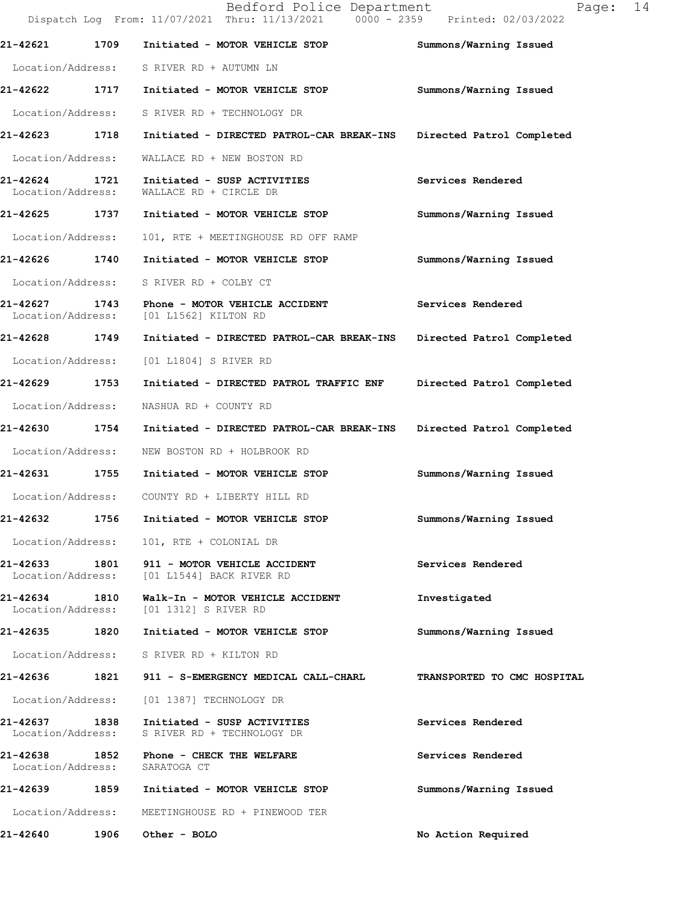|                                    |      | Bedford Police Department<br>Dispatch Log From: 11/07/2021 Thru: 11/13/2021 0000 - 2359 Printed: 02/03/2022 | 14<br>Page:                 |
|------------------------------------|------|-------------------------------------------------------------------------------------------------------------|-----------------------------|
| 21-42621                           | 1709 | Initiated - MOTOR VEHICLE STOP                                                                              | Summons/Warning Issued      |
|                                    |      | Location/Address: S RIVER RD + AUTUMN LN                                                                    |                             |
| 21-42622 1717                      |      | Initiated - MOTOR VEHICLE STOP                                                                              | Summons/Warning Issued      |
| Location/Address:                  |      | S RIVER RD + TECHNOLOGY DR                                                                                  |                             |
| 21-42623 1718                      |      | Initiated - DIRECTED PATROL-CAR BREAK-INS                                                                   | Directed Patrol Completed   |
| Location/Address:                  |      | WALLACE RD + NEW BOSTON RD                                                                                  |                             |
| 21-42624<br>Location/Address:      | 1721 | Initiated - SUSP ACTIVITIES<br>WALLACE RD + CIRCLE DR                                                       | Services Rendered           |
| 21-42625 1737                      |      | Initiated - MOTOR VEHICLE STOP                                                                              | Summons/Warning Issued      |
| Location/Address:                  |      | 101, RTE + MEETINGHOUSE RD OFF RAMP                                                                         |                             |
| 21-42626 1740                      |      | Initiated - MOTOR VEHICLE STOP                                                                              | Summons/Warning Issued      |
| Location/Address:                  |      | S RIVER RD + COLBY CT                                                                                       |                             |
| 21-42627 1743<br>Location/Address: |      | Phone - MOTOR VEHICLE ACCIDENT<br>[01 L1562] KILTON RD                                                      | Services Rendered           |
| 21-42628 1749                      |      | Initiated - DIRECTED PATROL-CAR BREAK-INS                                                                   | Directed Patrol Completed   |
| Location/Address:                  |      | [01 L1804] S RIVER RD                                                                                       |                             |
| 21-42629                           | 1753 | Initiated - DIRECTED PATROL TRAFFIC ENF                                                                     | Directed Patrol Completed   |
| Location/Address:                  |      | NASHUA RD + COUNTY RD                                                                                       |                             |
| 21-42630                           | 1754 | Initiated - DIRECTED PATROL-CAR BREAK-INS                                                                   | Directed Patrol Completed   |
| Location/Address:                  |      | NEW BOSTON RD + HOLBROOK RD                                                                                 |                             |
| 21-42631 1755                      |      | Initiated - MOTOR VEHICLE STOP                                                                              | Summons/Warning Issued      |
|                                    |      | Location/Address: COUNTY RD + LIBERTY HILL RD                                                               |                             |
| 21-42632                           | 1756 | Initiated - MOTOR VEHICLE STOP                                                                              | Summons/Warning Issued      |
| Location/Address:                  |      | 101, RTE + COLONIAL DR                                                                                      |                             |
|                                    |      | 21-42633 1801 911 - MOTOR VEHICLE ACCIDENT<br>Location/Address: [01 L1544] BACK RIVER RD                    | Services Rendered           |
| 21-42634 1810<br>Location/Address: |      | Walk-In - MOTOR VEHICLE ACCIDENT<br>[01 1312] S RIVER RD                                                    | Investigated                |
| 21-42635 1820                      |      | Initiated - MOTOR VEHICLE STOP                                                                              | Summons/Warning Issued      |
|                                    |      | Location/Address: S RIVER RD + KILTON RD                                                                    |                             |
|                                    |      | 21-42636 1821 911 - S-EMERGENCY MEDICAL CALL-CHARL                                                          | TRANSPORTED TO CMC HOSPITAL |
| Location/Address:                  |      | [01 1387] TECHNOLOGY DR                                                                                     |                             |
| Location/Address:                  |      | 21-42637 1838 Initiated - SUSP ACTIVITIES<br>S RIVER RD + TECHNOLOGY DR                                     | Services Rendered           |
| 21-42638 1852<br>Location/Address: |      | Phone - CHECK THE WELFARE<br>SARATOGA CT                                                                    | Services Rendered           |
| 21-42639                           |      | 1859 Initiated - MOTOR VEHICLE STOP                                                                         | Summons/Warning Issued      |
| Location/Address:                  |      | MEETINGHOUSE RD + PINEWOOD TER                                                                              |                             |
| 21-42640                           | 1906 | Other - BOLO                                                                                                | No Action Required          |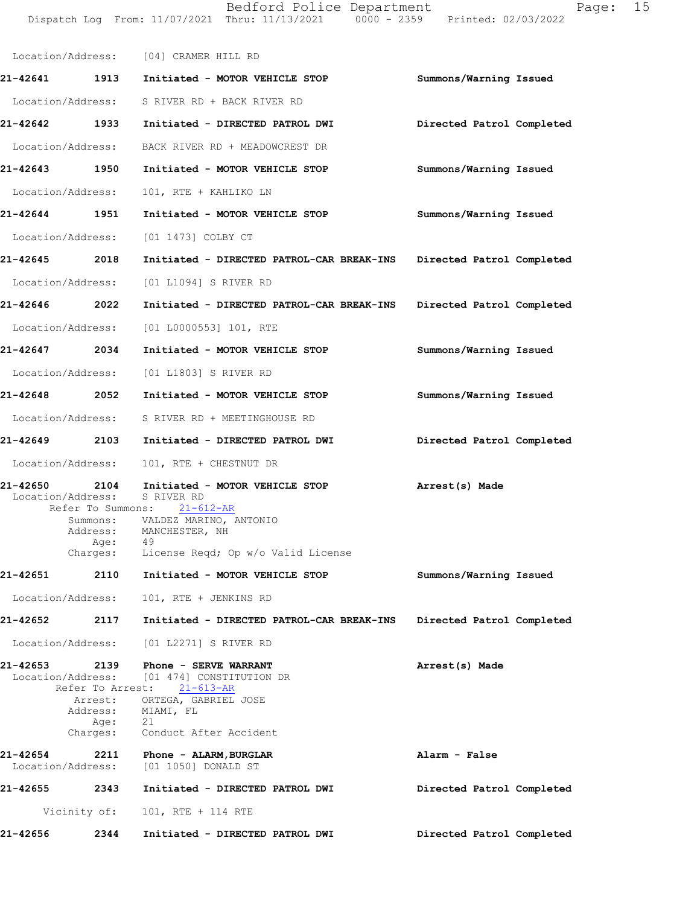Location/Address: [04] CRAMER HILL RD **21-42641 1913 Initiated - MOTOR VEHICLE STOP Summons/Warning Issued** Location/Address: S RIVER RD + BACK RIVER RD **21-42642 1933 Initiated - DIRECTED PATROL DWI Directed Patrol Completed** Location/Address: BACK RIVER RD + MEADOWCREST DR **21-42643 1950 Initiated - MOTOR VEHICLE STOP Summons/Warning Issued** Location/Address: 101, RTE + KAHLIKO LN **21-42644 1951 Initiated - MOTOR VEHICLE STOP Summons/Warning Issued** Location/Address: [01 1473] COLBY CT **21-42645 2018 Initiated - DIRECTED PATROL-CAR BREAK-INS Directed Patrol Completed** Location/Address: [01 L1094] S RIVER RD **21-42646 2022 Initiated - DIRECTED PATROL-CAR BREAK-INS Directed Patrol Completed** Location/Address: [01 L0000553] 101, RTE **21-42647 2034 Initiated - MOTOR VEHICLE STOP Summons/Warning Issued** Location/Address: [01 L1803] S RIVER RD **21-42648 2052 Initiated - MOTOR VEHICLE STOP Summons/Warning Issued** Location/Address: S RIVER RD + MEETINGHOUSE RD **21-42649 2103 Initiated - DIRECTED PATROL DWI Directed Patrol Completed** Location/Address: 101, RTE + CHESTNUT DR 21-42650 2104 Initiated - MOTOR VEHICLE STOP **Arrest(s)** Made Location/Address: S RIVER RD Refer To Summons: 21-612-AR **Summons/Warning Issued Directed Patrol Completed**  21-42653 2139 Phone - SERVE WARRANT **Phone Arrest(s)** Made Location/Address: [01 474] CONSTITUTION DR Refer To Arrest: 21-613-AR **Alarm - False Directed Patrol Completed Directed Patrol Completed**  Summons: VALDEZ MARINO, ANTONIO<br>Address: MANCHESTER, NH MANCHESTER, NH Age: 49 Charges: License Reqd; Op w/o Valid License **21-42651 2110 Initiated - MOTOR VEHICLE STOP** Location/Address: 101, RTE + JENKINS RD **21-42652 2117 Initiated - DIRECTED PATROL-CAR BREAK-INS** Location/Address: [01 L2271] S RIVER RD Arrest: ORTEGA, GABRIEL JOSE Address: MIAMI, FL Age: 21 Charges: Conduct After Accident **21-42654 2211 Phone - ALARM,BURGLAR** Location/Address: [01 1050] DONALD ST **21-42655 2343 Initiated - DIRECTED PATROL DWI** Vicinity of: 101, RTE + 114 RTE **21-42656 2344 Initiated - DIRECTED PATROL DWI**

Dispatch Log From: 11/07/2021 Thru: 11/13/2021 0000 - 2359 Printed: 02/03/2022

Bedford Police Department Page: 15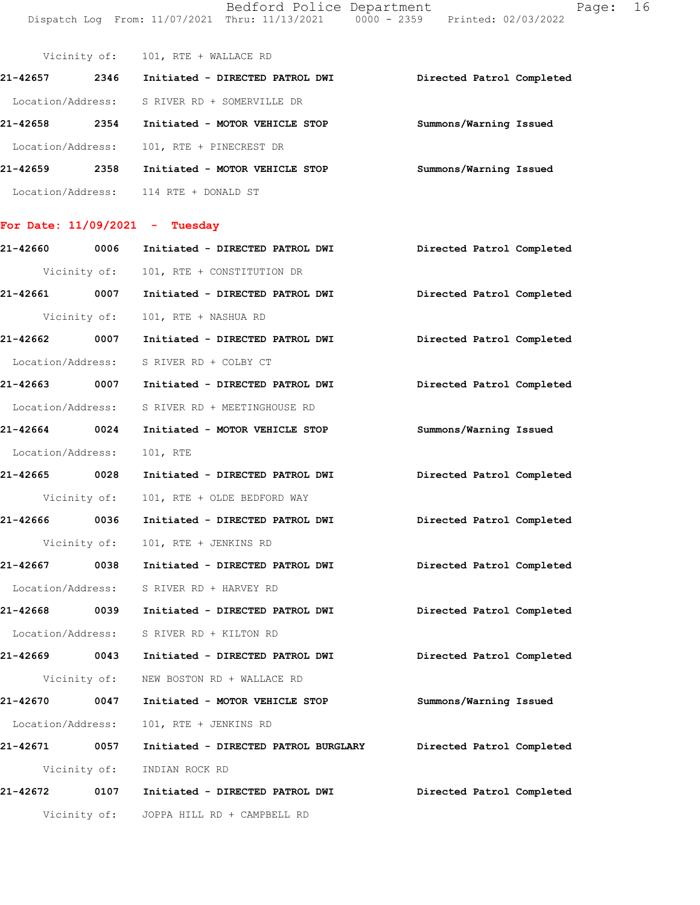Bedford Police Department Dispatch Log From: 11/07/2021 Thru: 11/13/2021 0000 - 2359 Printed: 02/03/2022

| Page: | 16 |
|-------|----|
|-------|----|

|                                  | Vicinity of: | 101, RTE + WALLACE RD           |                           |  |
|----------------------------------|--------------|---------------------------------|---------------------------|--|
| 21-42657                         | 2346         | Initiated - DIRECTED PATROL DWI | Directed Patrol Completed |  |
| Location/Address:                |              | S RIVER RD + SOMERVILLE DR      |                           |  |
| 21-42658                         | 2354         | Initiated - MOTOR VEHICLE STOP  | Summons/Warning Issued    |  |
| Location/Address:                |              | 101, RTE + PINECREST DR         |                           |  |
| 21-42659                         | 2358         | Initiated - MOTOR VEHICLE STOP  | Summons/Warning Issued    |  |
| Location/Address:                |              | 114 RTE + DONALD ST             |                           |  |
| For Date: $11/09/2021$ - Tuesday |              |                                 |                           |  |
| 21-42660                         | 0006         | Initiated - DIRECTED PATROL DWI | Directed Patrol Completed |  |

|                   |              | Vicinity of: 101, RTE + CONSTITUTION DR                                      |                           |
|-------------------|--------------|------------------------------------------------------------------------------|---------------------------|
|                   |              | 21-42661 0007 Initiated - DIRECTED PATROL DWI Directed Patrol Completed      |                           |
|                   | Vicinity of: | 101, RTE + NASHUA RD                                                         |                           |
|                   |              | 21-42662 0007 Initiated - DIRECTED PATROL DWI Directed Patrol Completed      |                           |
|                   |              | Location/Address: S RIVER RD + COLBY CT                                      |                           |
|                   |              | 21-42663 0007 Initiated - DIRECTED PATROL DWI Directed Patrol Completed      |                           |
|                   |              | Location/Address: S RIVER RD + MEETINGHOUSE RD                               |                           |
|                   |              | 21-42664 0024 Initiated - MOTOR VEHICLE STOP                                 | Summons/Warning Issued    |
| Location/Address: |              | 101, RTE                                                                     |                           |
|                   |              | 21-42665 0028 Initiated - DIRECTED PATROL DWI Directed Patrol Completed      |                           |
| Vicinity of:      |              | 101, RTE + OLDE BEDFORD WAY                                                  |                           |
|                   |              | 21-42666 0036 Initiated - DIRECTED PATROL DWI                                | Directed Patrol Completed |
| Vicinity of:      |              | 101, RTE + JENKINS RD                                                        |                           |
|                   |              | 21-42667 0038 Initiated - DIRECTED PATROL DWI Directed Patrol Completed      |                           |
|                   |              | Location/Address: S RIVER RD + HARVEY RD                                     |                           |
|                   |              | 21-42668 0039 Initiated - DIRECTED PATROL DWI Directed Patrol Completed      |                           |
|                   |              | Location/Address: S RIVER RD + KILTON RD                                     |                           |
|                   |              | 21-42669 0043 Initiated - DIRECTED PATROL DWI Directed Patrol Completed      |                           |
|                   |              | Vicinity of: NEW BOSTON RD + WALLACE RD                                      |                           |
|                   |              | 21-42670 0047 Initiated - MOTOR VEHICLE STOP                                 | Summons/Warning Issued    |
|                   |              | Location/Address: 101, RTE + JENKINS RD                                      |                           |
|                   |              | 21-42671 0057 Initiated - DIRECTED PATROL BURGLARY Directed Patrol Completed |                           |
|                   |              | Vicinity of: INDIAN ROCK RD                                                  |                           |
|                   |              | 21-42672 0107 Initiated - DIRECTED PATROL DWI                                | Directed Patrol Completed |
|                   |              | Vicinity of: JOPPA HILL RD + CAMPBELL RD                                     |                           |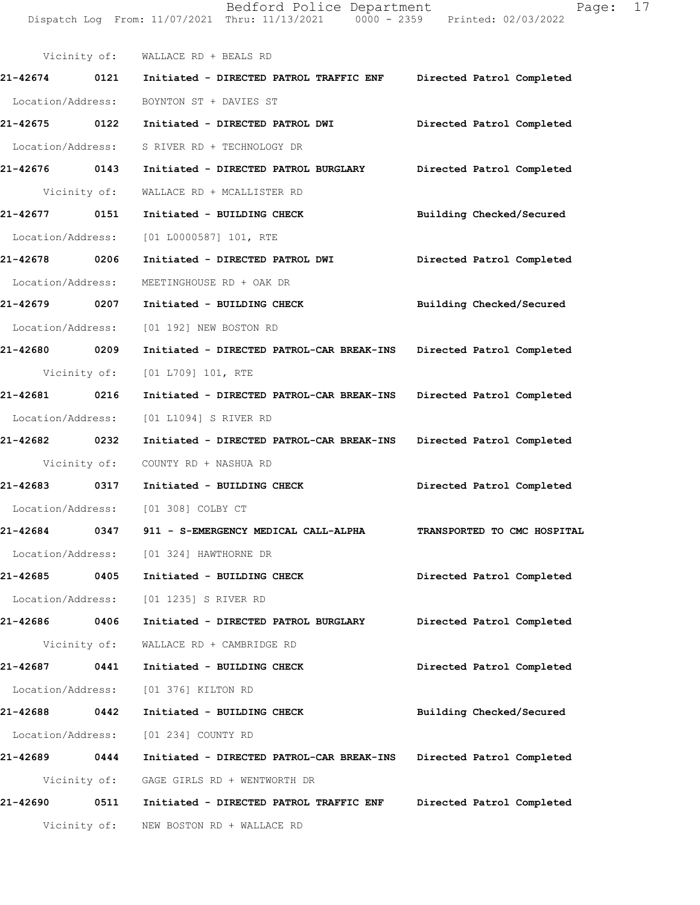Vicinity of: WALLACE RD + BEALS RD **21-42674 0121 Initiated - DIRECTED PATROL TRAFFIC ENF Directed Patrol Completed**  Location/Address: BOYNTON ST + DAVIES ST **21-42675 0122 Initiated - DIRECTED PATROL DWI Directed Patrol Completed**  Location/Address: S RIVER RD + TECHNOLOGY DR **21-42676 0143 Initiated - DIRECTED PATROL BURGLARY Directed Patrol Completed**  Vicinity of: WALLACE RD + MCALLISTER RD **21-42677 0151 Initiated - BUILDING CHECK Building Checked/Secured**  Location/Address: [01 L0000587] 101, RTE **21-42678 0206 Initiated - DIRECTED PATROL DWI Directed Patrol Completed**  Location/Address: MEETINGHOUSE RD + OAK DR **21-42679 0207 Initiated - BUILDING CHECK Building Checked/Secured**  Location/Address: [01 192] NEW BOSTON RD **21-42680 0209 Initiated - DIRECTED PATROL-CAR BREAK-INS Directed Patrol Completed**  Vicinity of: [01 L709] 101, RTE **21-42681 0216 Initiated - DIRECTED PATROL-CAR BREAK-INS Directed Patrol Completed**  Location/Address: [01 L1094] S RIVER RD **21-42682 0232 Initiated - DIRECTED PATROL-CAR BREAK-INS Directed Patrol Completed**  Vicinity of: COUNTY RD + NASHUA RD **21-42683 0317 Initiated - BUILDING CHECK Directed Patrol Completed**  Location/Address: [01 308] COLBY CT **21-42684 0347 911 - S-EMERGENCY MEDICAL CALL-ALPHA TRANSPORTED TO CMC HOSPITAL**  Location/Address: [01 324] HAWTHORNE DR **21-42685 0405 Initiated - BUILDING CHECK Directed Patrol Completed**  Location/Address: [01 1235] S RIVER RD **21-42686 0406 Initiated - DIRECTED PATROL BURGLARY Directed Patrol Completed**  Vicinity of: WALLACE RD + CAMBRIDGE RD **21-42687 0441 Initiated - BUILDING CHECK Directed Patrol Completed**  Location/Address: [01 376] KILTON RD **21-42688 0442 Initiated - BUILDING CHECK Building Checked/Secured**  Location/Address: [01 234] COUNTY RD **21-42689 0444 Initiated - DIRECTED PATROL-CAR BREAK-INS Directed Patrol Completed**  Vicinity of: GAGE GIRLS RD + WENTWORTH DR **21-42690 0511 Initiated - DIRECTED PATROL TRAFFIC ENF Directed Patrol Completed**  Vicinity of: NEW BOSTON RD + WALLACE RD

Dispatch Log From: 11/07/2021 Thru: 11/13/2021 0000 - 2359 Printed: 02/03/2022

Bedford Police Department Fage: 17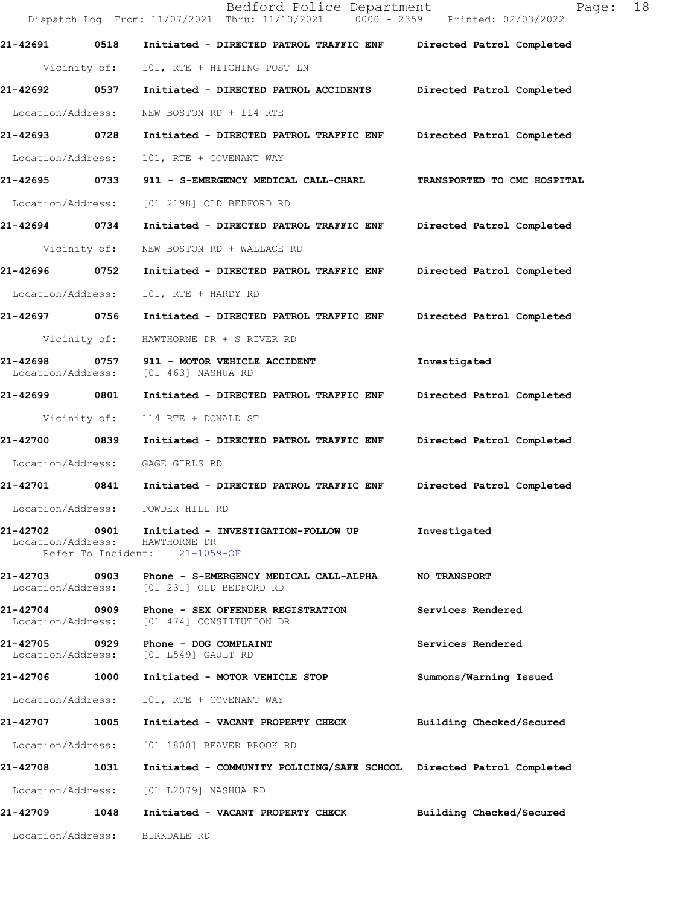Bedford Police Department Page: 18 Dispatch Log From: 11/07/2021 Thru: 11/13/2021 0000 - 2359 Printed: 02/03/2022 **21-42691 0518 Initiated - DIRECTED PATROL TRAFFIC ENF Directed Patrol Completed**  Vicinity of: 101, RTE + HITCHING POST LN **21-42692 0537 Initiated - DIRECTED PATROL ACCIDENTS Directed Patrol Completed**  Location/Address: NEW BOSTON RD + 114 RTE **21-42693 0728 Initiated - DIRECTED PATROL TRAFFIC ENF Directed Patrol Completed**  Location/Address: 101, RTE + COVENANT WAY **21-42695 0733 911 - S-EMERGENCY MEDICAL CALL-CHARL TRANSPORTED TO CMC HOSPITAL**  Location/Address: [01 2198] OLD BEDFORD RD **21-42694 0734 Initiated - DIRECTED PATROL TRAFFIC ENF Directed Patrol Completed**  Vicinity of: NEW BOSTON RD + WALLACE RD **21-42696 0752 Initiated - DIRECTED PATROL TRAFFIC ENF Directed Patrol Completed**  Location/Address: 101, RTE + HARDY RD **21-42697 0756 Initiated - DIRECTED PATROL TRAFFIC ENF Directed Patrol Completed**  Vicinity of: HAWTHORNE DR + S RIVER RD **21-42698 0757 911 - MOTOR VEHICLE ACCIDENT Investigated**  Location/Address: [01 463] NASHUA RD **21-42699 0801 Initiated - DIRECTED PATROL TRAFFIC ENF Directed Patrol Completed**  Vicinity of: 114 RTE + DONALD ST **21-42700 0839 Initiated - DIRECTED PATROL TRAFFIC ENF Directed Patrol Completed**  Location/Address: GAGE GIRLS RD **21-42701 0841 Initiated - DIRECTED PATROL TRAFFIC ENF Directed Patrol Completed**  Location/Address: POWDER HILL RD **21-42702 0901 Initiated - INVESTIGATION-FOLLOW UP Investigated**  Location/Address: HAWTHORNE DR Refer To Incident: 21-1059-OF **21-42703 0903 Phone - S-EMERGENCY MEDICAL CALL-ALPHA NO TRANSPORT**  Location/Address: [01 231] OLD BEDFORD RD **21-42704 0909 Phone - SEX OFFENDER REGISTRATION Services Rendered**  Location/Address: [01 474] CONSTITUTION DR **21-42705 0929 Phone - DOG COMPLAINT Services Rendered**  Location/Address: [01 L549] GAULT RD **21-42706 1000 Initiated - MOTOR VEHICLE STOP Summons/Warning Issued**  Location/Address: 101, RTE + COVENANT WAY **21-42707 1005 Initiated - VACANT PROPERTY CHECK Building Checked/Secured**  Location/Address: [01 1800] BEAVER BROOK RD **21-42708 1031 Initiated - COMMUNITY POLICING/SAFE SCHOOL Directed Patrol Completed**  Location/Address: [01 L2079] NASHUA RD **21-42709 1048 Initiated - VACANT PROPERTY CHECK Building Checked/Secured**  Location/Address: BIRKDALE RD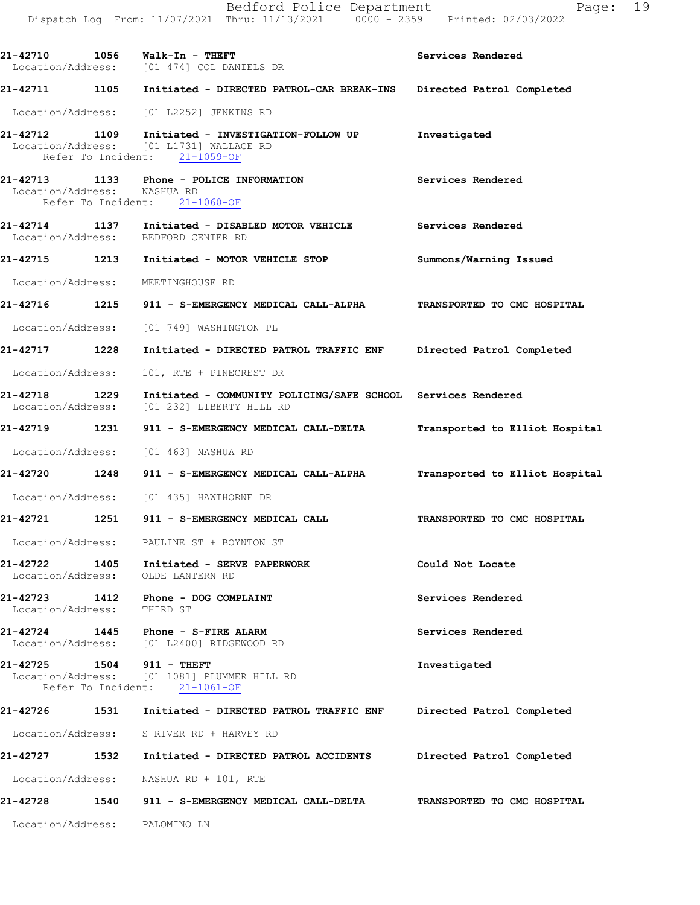**21-42711 1105 Initiated - DIRECTED PATROL-CAR BREAK-INS Directed Patrol Completed** 

Location/Address: [01 L2252] JENKINS RD

- **21-42712 1109 Initiated INVESTIGATION-FOLLOW UP Investigated**  Location/Address: [01 L1731] WALLACE RD Refer To Incident: 21-1059-OF
- **21-42713 1133 Phone POLICE INFORMATION Services Rendered**  Location/Address: NASHUA RD Refer To Incident: 21-1060-OF
- **21-42714 1137 Initiated DISABLED MOTOR VEHICLE Services Rendered**  Location/Address: BEDFORD CENTER RD
- **21-42715 1213 Initiated MOTOR VEHICLE STOP Summons/Warning Issued**  Location/Address: MEETINGHOUSE RD
- **21-42716 1215 911 S-EMERGENCY MEDICAL CALL-ALPHA TRANSPORTED TO CMC HOSPITAL**
- Location/Address: [01 749] WASHINGTON PL
- **21-42717 1228 Initiated DIRECTED PATROL TRAFFIC ENF Directed Patrol Completed** 
	- Location/Address: 101, RTE + PINECREST DR
- **21-42718 1229 Initiated COMMUNITY POLICING/SAFE SCHOOL Services Rendered**  Location/Address: [01 232] LIBERTY HILL RD
- **21-42719 1231 911 S-EMERGENCY MEDICAL CALL-DELTA Transported to Elliot Hospital**
- Location/Address: [01 463] NASHUA RD
- **21-42720 1248 911 S-EMERGENCY MEDICAL CALL-ALPHA Transported to Elliot Hospital**
- Location/Address: [01 435] HAWTHORNE DR
- **21-42721 1251 911 S-EMERGENCY MEDICAL CALL TRANSPORTED TO CMC HOSPITAL**

Location/Address: PAULINE ST + BOYNTON ST

- **21-42722 1405 Initiated SERVE PAPERWORK Could Not Locate**  Location/Address: OLDE LANTERN RD
- **21-42723 1412 Phone DOG COMPLAINT Services Rendered**  Location/Address: THIRD ST

**21-42724 1445 Phone - S-FIRE ALARM Services Rendered**  Location/Address: [01 L2400] RIDGEWOOD RD

**21-42725 1504 911 - THEFT Investigated**  Location/Address: [01 1081] PLUMMER HILL RD Refer To Incident: 21-1061-OF

- **21-42726 1531 Initiated DIRECTED PATROL TRAFFIC ENF Directed Patrol Completed**  Location/Address: S RIVER RD + HARVEY RD **21-42727 1532 Initiated - DIRECTED PATROL ACCIDENTS Directed Patrol Completed**
- Location/Address: NASHUA RD + 101, RTE
- **21-42728 1540 911 S-EMERGENCY MEDICAL CALL-DELTA TRANSPORTED TO CMC HOSPITAL**
- Location/Address: PALOMINO LN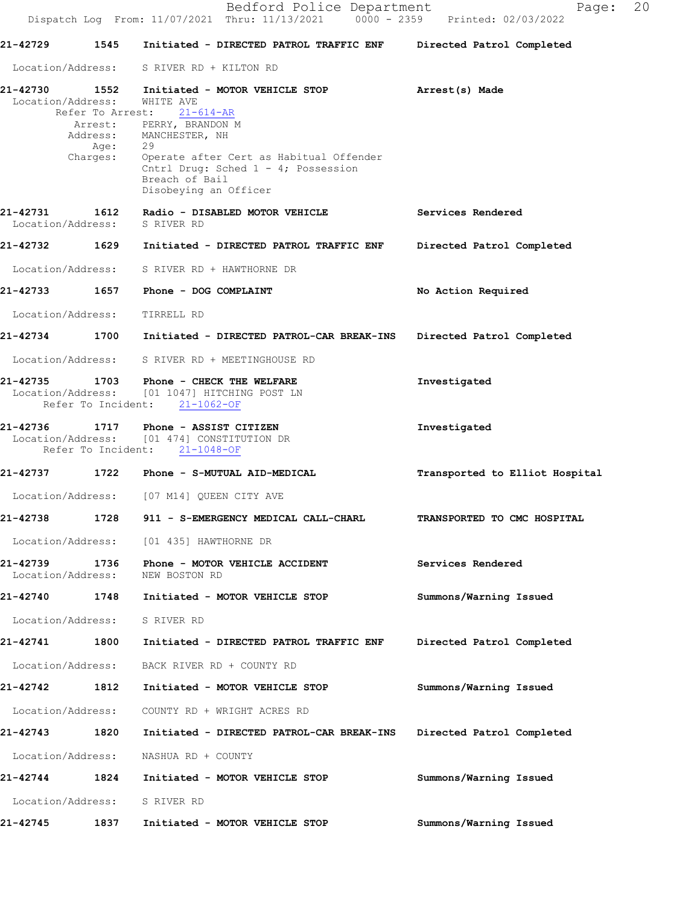**21-42729 1545 Initiated - DIRECTED PATROL TRAFFIC ENF Directed Patrol Completed** 

 Location/Address: S RIVER RD + KILTON RD **21-42730 1552 Initiated - MOTOR VEHICLE STOP Arrest(s) Made** Location/Address: WHITE AVE Refer To Arrest: 21-614-AR **21-42735 1703 Phone - CHECK THE WELFARE Investigated** Location/Address: [01 1047] HITCHING POST LN<br>Refer To Incident: 21-1062-OF Refer To Incident: **21-42736 1717 Phone - ASSIST CITIZEN Investigated** Location/Address: [01 474] CONSTITUTION DR<br>Refer To Incident: 21-1048-OF Refer To Incident: **21-42737 1722 Phone - S-MUTUAL AID-MEDICAL Transported to Elliot Hospital** Location/Address: [07 M14] QUEEN CITY AVE **21-42738 1728 911 - S-EMERGENCY MEDICAL CALL-CHARL TRANSPORTED TO CMC HOSPITAL**  Location/Address: [01 435] HAWTHORNE DR **21-42739 1736 Phone - MOTOR VEHICLE ACCIDENT Services Rendered**  Location/Address: NEW BOSTON RD **21-42740 1748 Initiated - MOTOR VEHICLE STOP Summons/Warning Issued**  Location/Address: S RIVER RD **21-42741 1800 Initiated - DIRECTED PATROL TRAFFIC ENF Directed Patrol Completed**  Location/Address: BACK RIVER RD + COUNTY RD **21-42742 1812 Initiated - MOTOR VEHICLE STOP Summons/Warning Issued**  Arrest: PERRY, BRANDON M Address: MANCHESTER, NH<br>Age: 29 Age: Charges: Operate after Cert as Habitual Offender Cntrl Drug: Sched 1 - 4; Possession Breach of Bail Disobeying an Officer **21-42731 1612 Radio - DISABLED MOTOR VEHICLE Services Rendered** Location/Address: S RIVER RD **21-42732 1629 Initiated - DIRECTED PATROL TRAFFIC ENF Directed Patrol Completed** Location/Address: S RIVER RD + HAWTHORNE DR **21-42733 1657 Phone - DOG COMPLAINT No Action Required** Location/Address: TIRRELL RD **21-42734 1700 Initiated - DIRECTED PATROL-CAR BREAK-INS Directed Patrol Completed** Location/Address: S RIVER RD + MEETINGHOUSE RD

**21-42743 1820 Initiated - DIRECTED PATROL-CAR BREAK-INS Directed Patrol Completed** 

**21-42744 1824 Initiated - MOTOR VEHICLE STOP Summons/Warning Issued** 

**21-42745 1837 Initiated - MOTOR VEHICLE STOP Summons/Warning Issued** 

Location/Address: COUNTY RD + WRIGHT ACRES RD

Location/Address: NASHUA RD + COUNTY

Location/Address: S RIVER RD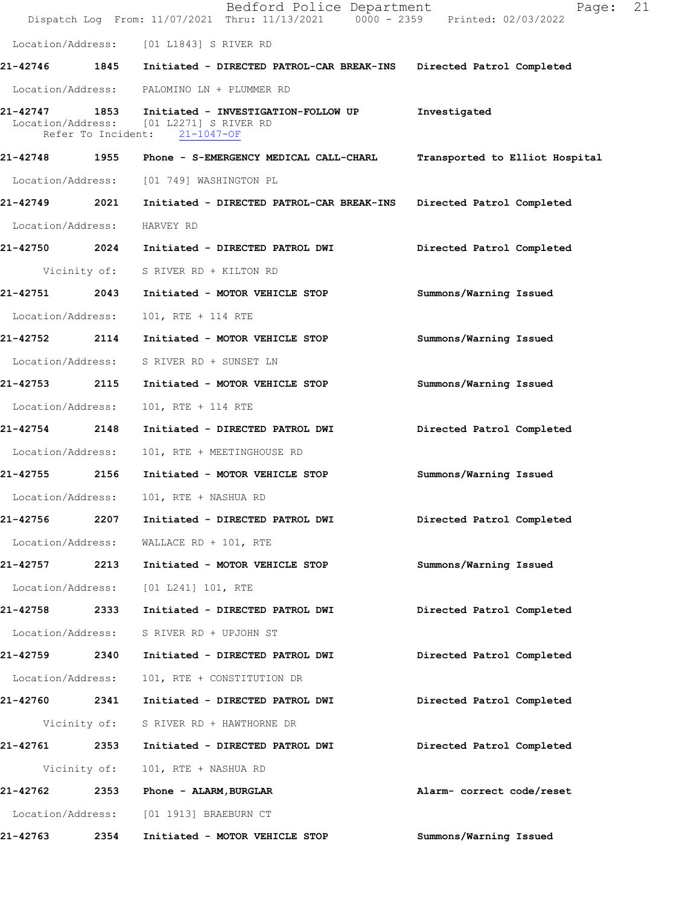|                   |              | Bedford Police Department<br>Dispatch Log From: 11/07/2021 Thru: 11/13/2021 0000 - 2359 Printed: 02/03/2022          | Page:                          | 21 |
|-------------------|--------------|----------------------------------------------------------------------------------------------------------------------|--------------------------------|----|
|                   |              | Location/Address: [01 L1843] S RIVER RD                                                                              |                                |    |
|                   |              | 21-42746 1845 Initiated - DIRECTED PATROL-CAR BREAK-INS Directed Patrol Completed                                    |                                |    |
|                   |              | Location/Address: PALOMINO LN + PLUMMER RD                                                                           |                                |    |
| 21-42747          |              | 1853 Initiated - INVESTIGATION-FOLLOW UP<br>Location/Address: [01 L2271] S RIVER RD<br>Refer To Incident: 21-1047-OF | Investigated                   |    |
|                   |              | 21-42748 1955 Phone - S-EMERGENCY MEDICAL CALL-CHARL                                                                 | Transported to Elliot Hospital |    |
| Location/Address: |              | [01 749] WASHINGTON PL                                                                                               |                                |    |
| 21-42749 2021     |              | Initiated - DIRECTED PATROL-CAR BREAK-INS                                                                            | Directed Patrol Completed      |    |
| Location/Address: |              | HARVEY RD                                                                                                            |                                |    |
| 21-42750 2024     |              | Initiated - DIRECTED PATROL DWI                                                                                      | Directed Patrol Completed      |    |
|                   | Vicinity of: | S RIVER RD + KILTON RD                                                                                               |                                |    |
| 21-42751          | 2043         | Initiated - MOTOR VEHICLE STOP                                                                                       | Summons/Warning Issued         |    |
| Location/Address: |              | 101, RTE + 114 RTE                                                                                                   |                                |    |
| 21-42752 2114     |              | Initiated - MOTOR VEHICLE STOP                                                                                       | Summons/Warning Issued         |    |
| Location/Address: |              | S RIVER RD + SUNSET LN                                                                                               |                                |    |
| 21-42753          | 2115         | Initiated - MOTOR VEHICLE STOP                                                                                       | Summons/Warning Issued         |    |
| Location/Address: |              | 101, RTE + 114 RTE                                                                                                   |                                |    |
| 21-42754          | 2148         | Initiated - DIRECTED PATROL DWI                                                                                      | Directed Patrol Completed      |    |
| Location/Address: |              | 101, RTE + MEETINGHOUSE RD                                                                                           |                                |    |
| 21-42755 2156     |              | Initiated - MOTOR VEHICLE STOP                                                                                       | Summons/Warning Issued         |    |
|                   |              | Location/Address: 101, RTE + NASHUA RD                                                                               |                                |    |
| 21-42756          | 2207         | Initiated - DIRECTED PATROL DWI                                                                                      | Directed Patrol Completed      |    |
| Location/Address: |              | WALLACE RD + 101, RTE                                                                                                |                                |    |
| 21-42757 2213     |              | Initiated - MOTOR VEHICLE STOP                                                                                       | Summons/Warning Issued         |    |
| Location/Address: |              | $[01 L241] 101$ , RTE                                                                                                |                                |    |
| 21-42758          | 2333         | Initiated - DIRECTED PATROL DWI                                                                                      | Directed Patrol Completed      |    |
| Location/Address: |              | S RIVER RD + UPJOHN ST                                                                                               |                                |    |
| 21-42759 2340     |              | Initiated - DIRECTED PATROL DWI                                                                                      | Directed Patrol Completed      |    |
| Location/Address: |              | 101, RTE + CONSTITUTION DR                                                                                           |                                |    |
| 21-42760 2341     |              | Initiated - DIRECTED PATROL DWI                                                                                      | Directed Patrol Completed      |    |
|                   | Vicinity of: | S RIVER RD + HAWTHORNE DR                                                                                            |                                |    |
| 21-42761 2353     |              | Initiated - DIRECTED PATROL DWI                                                                                      | Directed Patrol Completed      |    |
|                   | Vicinity of: | 101, RTE + NASHUA RD                                                                                                 |                                |    |
| 21-42762          | 2353         | Phone - ALARM, BURGLAR                                                                                               | Alarm- correct code/reset      |    |
| Location/Address: |              | [01 1913] BRAEBURN CT                                                                                                |                                |    |
| 21-42763          | 2354         | Initiated - MOTOR VEHICLE STOP                                                                                       | Summons/Warning Issued         |    |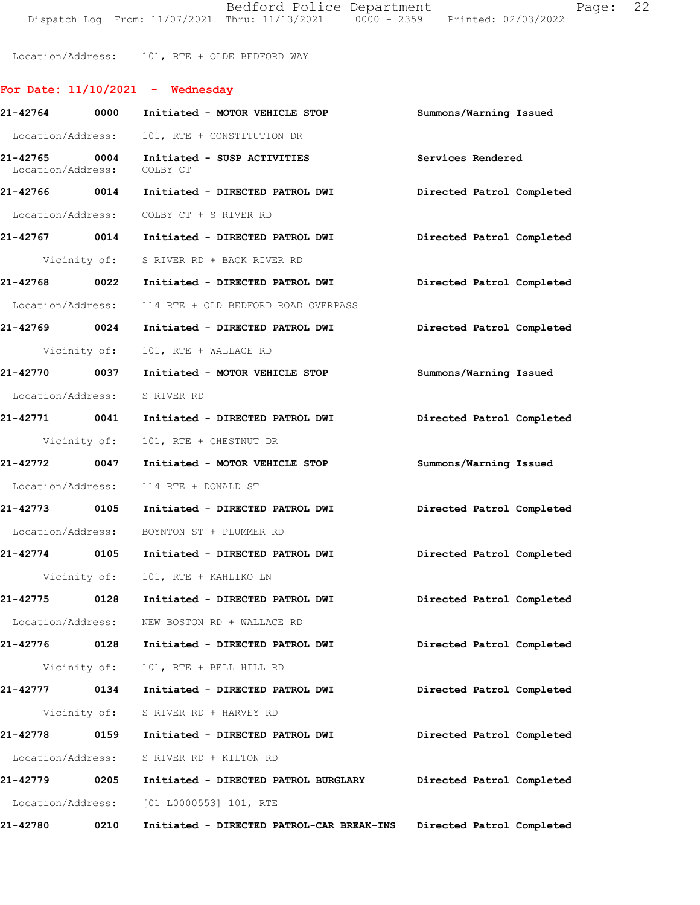Bedford Police Department Fage: 22 Dispatch Log From: 11/07/2021 Thru: 11/13/2021 0000 - 2359 Printed: 02/03/2022

Location/Address: 101, RTE + OLDE BEDFORD WAY

## **For Date: 11/10/2021 - Wednesday**

| 21-42764 0000                      | Initiated - MOTOR VEHICLE STOP                                          | Summons/Warning Issued    |
|------------------------------------|-------------------------------------------------------------------------|---------------------------|
|                                    | Location/Address: 101, RTE + CONSTITUTION DR                            |                           |
| 21-42765 0004<br>Location/Address: | Initiated - SUSP ACTIVITIES<br>COLBY CT                                 | Services Rendered         |
|                                    |                                                                         | Directed Patrol Completed |
|                                    | Location/Address: COLBY CT + S RIVER RD                                 |                           |
|                                    | 21-42767 0014 Initiated - DIRECTED PATROL DWI Directed Patrol Completed |                           |
|                                    | Vicinity of: S RIVER RD + BACK RIVER RD                                 |                           |
|                                    | 21-42768 0022 Initiated - DIRECTED PATROL DWI Directed Patrol Completed |                           |
|                                    | Location/Address: 114 RTE + OLD BEDFORD ROAD OVERPASS                   |                           |
| 21-42769 0024                      | Initiated - DIRECTED PATROL DWI                                         | Directed Patrol Completed |
| Vicinity of:                       | 101, RTE + WALLACE RD                                                   |                           |
|                                    | 21-42770 0037 Initiated - MOTOR VEHICLE STOP Summons/Warning Issued     |                           |
| Location/Address: S RIVER RD       |                                                                         |                           |
| 21-42771 0041                      | Initiated - DIRECTED PATROL DWI Directed Patrol Completed               |                           |
|                                    | Vicinity of: 101, RTE + CHESTNUT DR                                     |                           |
|                                    | 21-42772 0047 Initiated - MOTOR VEHICLE STOP                            | Summons/Warning Issued    |
|                                    | Location/Address: 114 RTE + DONALD ST                                   |                           |
|                                    | 21-42773 0105 Initiated - DIRECTED PATROL DWI                           | Directed Patrol Completed |
|                                    | Location/Address: BOYNTON ST + PLUMMER RD                               |                           |
|                                    | 21-42774 0105 Initiated - DIRECTED PATROL DWI                           | Directed Patrol Completed |
|                                    | Vicinity of: 101, RTE + KAHLIKO LN                                      |                           |
|                                    | 21-42775 0128 Initiated - DIRECTED PATROL DWI                           | Directed Patrol Completed |
|                                    | Location/Address: NEW BOSTON RD + WALLACE RD                            |                           |
| 21-42776<br>0128                   | Initiated - DIRECTED PATROL DWI                                         | Directed Patrol Completed |
| Vicinity of:                       | 101, RTE + BELL HILL RD                                                 |                           |
| 21-42777 0134                      | Initiated - DIRECTED PATROL DWI                                         | Directed Patrol Completed |
|                                    | Vicinity of: S RIVER RD + HARVEY RD                                     |                           |
| 21-42778<br>0159                   | Initiated - DIRECTED PATROL DWI                                         | Directed Patrol Completed |
| Location/Address:                  | S RIVER RD + KILTON RD                                                  |                           |
| 21-42779 0205                      | Initiated - DIRECTED PATROL BURGLARY                                    | Directed Patrol Completed |
|                                    | Location/Address: [01 L0000553] 101, RTE                                |                           |
| 21-42780<br>0210                   | Initiated - DIRECTED PATROL-CAR BREAK-INS                               | Directed Patrol Completed |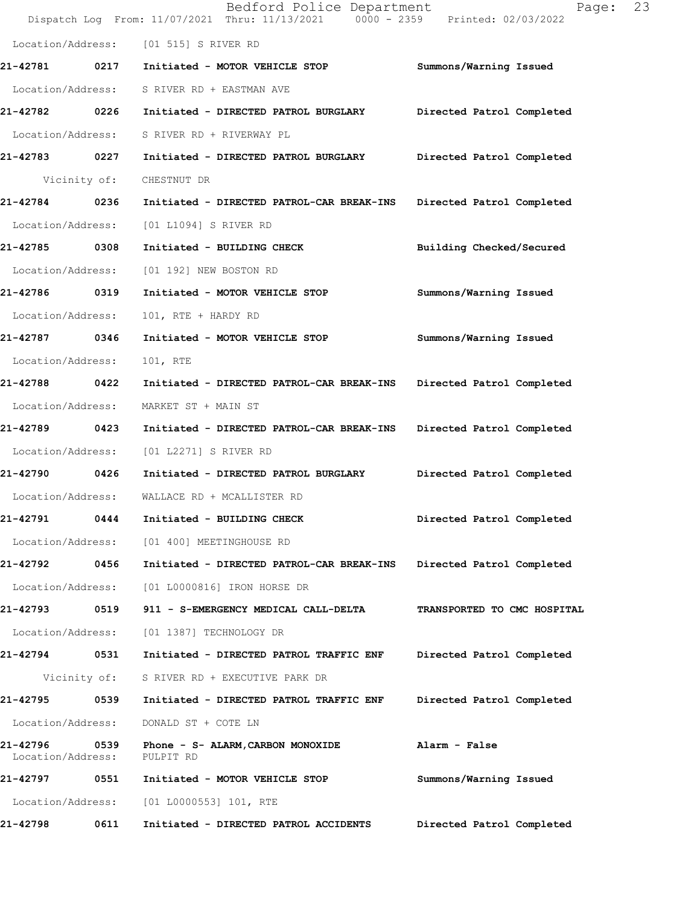|                               |              | Bedford Police Department<br>Dispatch Log From: 11/07/2021 Thru: 11/13/2021   0000 - 2359   Printed: 02/03/2022 | 23<br>Page:                 |
|-------------------------------|--------------|-----------------------------------------------------------------------------------------------------------------|-----------------------------|
| Location/Address:             |              | [01 515] S RIVER RD                                                                                             |                             |
| 21-42781 0217                 |              | Initiated - MOTOR VEHICLE STOP                                                                                  | Summons/Warning Issued      |
| Location/Address:             |              | S RIVER RD + EASTMAN AVE                                                                                        |                             |
| 21-42782 0226                 |              | Initiated - DIRECTED PATROL BURGLARY                                                                            | Directed Patrol Completed   |
| Location/Address:             |              | S RIVER RD + RIVERWAY PL                                                                                        |                             |
| 21-42783 0227                 |              | Initiated - DIRECTED PATROL BURGLARY                                                                            | Directed Patrol Completed   |
|                               | Vicinity of: | CHESTNUT DR                                                                                                     |                             |
| 21-42784 0236                 |              | Initiated - DIRECTED PATROL-CAR BREAK-INS                                                                       | Directed Patrol Completed   |
| Location/Address:             |              | [01 L1094] S RIVER RD                                                                                           |                             |
| 21-42785                      | 0308         | Initiated - BUILDING CHECK                                                                                      | Building Checked/Secured    |
| Location/Address:             |              | [01 192] NEW BOSTON RD                                                                                          |                             |
| 21-42786 0319                 |              | Initiated - MOTOR VEHICLE STOP                                                                                  | Summons/Warning Issued      |
| Location/Address:             |              | 101, RTE + HARDY RD                                                                                             |                             |
| 21-42787 0346                 |              | Initiated - MOTOR VEHICLE STOP                                                                                  | Summons/Warning Issued      |
| Location/Address:             |              | 101, RTE                                                                                                        |                             |
| 21-42788                      | 0422         | Initiated - DIRECTED PATROL-CAR BREAK-INS                                                                       | Directed Patrol Completed   |
| Location/Address:             |              | MARKET ST + MAIN ST                                                                                             |                             |
| 21-42789 0423                 |              | Initiated - DIRECTED PATROL-CAR BREAK-INS                                                                       | Directed Patrol Completed   |
| Location/Address:             |              | [01 L2271] S RIVER RD                                                                                           |                             |
| 21-42790 0426                 |              | Initiated - DIRECTED PATROL BURGLARY                                                                            | Directed Patrol Completed   |
| Location/Address:             |              | WALLACE RD + MCALLISTER RD                                                                                      |                             |
| 21-42791                      | 0444         | Initiated - BUILDING CHECK                                                                                      | Directed Patrol Completed   |
| Location/Address:             |              | [01 400] MEETINGHOUSE RD                                                                                        |                             |
| 21-42792 0456                 |              | Initiated - DIRECTED PATROL-CAR BREAK-INS                                                                       | Directed Patrol Completed   |
| Location/Address:             |              | [01 L0000816] IRON HORSE DR                                                                                     |                             |
| 21-42793                      | 0519         | 911 - S-EMERGENCY MEDICAL CALL-DELTA                                                                            | TRANSPORTED TO CMC HOSPITAL |
| Location/Address:             |              | [01 1387] TECHNOLOGY DR                                                                                         |                             |
| 21-42794                      | 0531         | Initiated - DIRECTED PATROL TRAFFIC ENF                                                                         | Directed Patrol Completed   |
|                               | Vicinity of: | S RIVER RD + EXECUTIVE PARK DR                                                                                  |                             |
| 21-42795                      | 0539         | Initiated - DIRECTED PATROL TRAFFIC ENF                                                                         | Directed Patrol Completed   |
| Location/Address:             |              | DONALD ST + COTE LN                                                                                             |                             |
| 21-42796<br>Location/Address: | 0539         | Phone - S- ALARM, CARBON MONOXIDE<br>PULPIT RD                                                                  | Alarm - False               |
| 21-42797                      | 0551         | Initiated - MOTOR VEHICLE STOP                                                                                  | Summons/Warning Issued      |
| Location/Address:             |              | $[01 L0000553] 101$ , RTE                                                                                       |                             |
| 21-42798                      | 0611         | Initiated - DIRECTED PATROL ACCIDENTS                                                                           | Directed Patrol Completed   |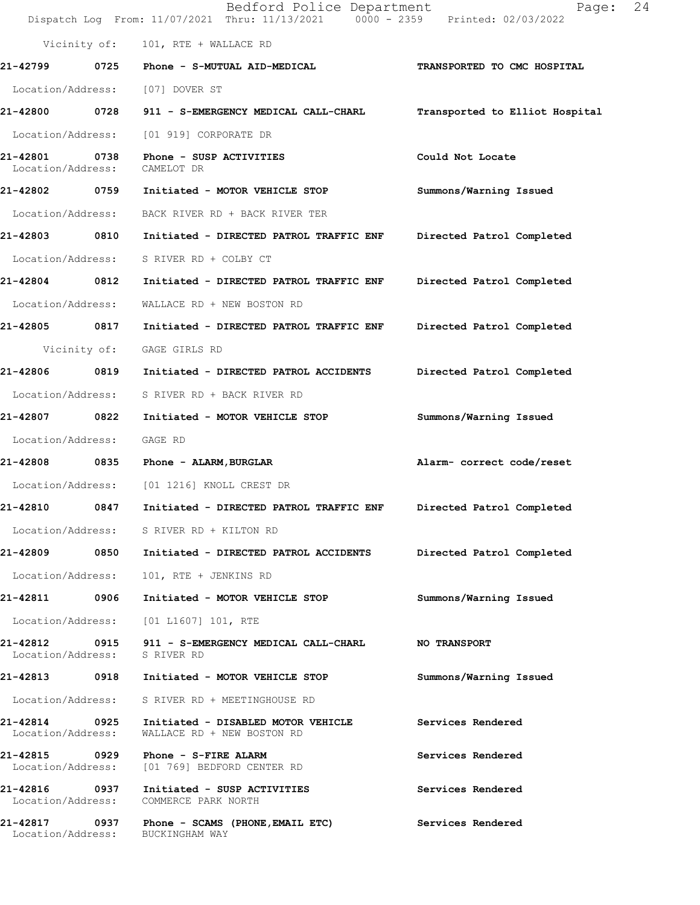|                                    |              | Bedford Police Department<br>Dispatch Log From: 11/07/2021 Thru: 11/13/2021 0000 - 2359 Printed: 02/03/2022 | Page:                          | 24 |
|------------------------------------|--------------|-------------------------------------------------------------------------------------------------------------|--------------------------------|----|
|                                    |              | Vicinity of: 101, RTE + WALLACE RD                                                                          |                                |    |
|                                    |              | 21-42799 0725 Phone - S-MUTUAL AID-MEDICAL                                                                  | TRANSPORTED TO CMC HOSPITAL    |    |
|                                    |              | Location/Address: [07] DOVER ST                                                                             |                                |    |
|                                    |              | 21-42800 0728 911 - S-EMERGENCY MEDICAL CALL-CHARL                                                          | Transported to Elliot Hospital |    |
| Location/Address:                  |              | [01 919] CORPORATE DR                                                                                       |                                |    |
| 21-42801<br>Location/Address:      | 0738         | Phone - SUSP ACTIVITIES<br>CAMELOT DR                                                                       | Could Not Locate               |    |
|                                    |              | 21-42802 0759 Initiated - MOTOR VEHICLE STOP                                                                | Summons/Warning Issued         |    |
| Location/Address:                  |              | BACK RIVER RD + BACK RIVER TER                                                                              |                                |    |
| 21-42803 0810                      |              | Initiated - DIRECTED PATROL TRAFFIC ENF                                                                     | Directed Patrol Completed      |    |
| Location/Address:                  |              | S RIVER RD + COLBY CT                                                                                       |                                |    |
| 21-42804 0812                      |              | Initiated - DIRECTED PATROL TRAFFIC ENF                                                                     | Directed Patrol Completed      |    |
| Location/Address:                  |              | WALLACE RD + NEW BOSTON RD                                                                                  |                                |    |
| 21-42805 0817                      |              | Initiated - DIRECTED PATROL TRAFFIC ENF                                                                     | Directed Patrol Completed      |    |
|                                    | Vicinity of: | GAGE GIRLS RD                                                                                               |                                |    |
| 21-42806 0819                      |              | Initiated - DIRECTED PATROL ACCIDENTS                                                                       | Directed Patrol Completed      |    |
| Location/Address:                  |              | S RIVER RD + BACK RIVER RD                                                                                  |                                |    |
| 21-42807 0822                      |              | Initiated - MOTOR VEHICLE STOP                                                                              | Summons/Warning Issued         |    |
| Location/Address:                  |              | GAGE RD                                                                                                     |                                |    |
|                                    |              | 21-42808 0835 Phone - ALARM, BURGLAR                                                                        | Alarm- correct code/reset      |    |
| Location/Address:                  |              | [01 1216] KNOLL CREST DR                                                                                    |                                |    |
| 21-42810                           | 0847         | Initiated - DIRECTED PATROL TRAFFIC ENF                                                                     | Directed Patrol Completed      |    |
|                                    |              | Location/Address: S RIVER RD + KILTON RD                                                                    |                                |    |
|                                    |              | 21-42809 0850 Initiated - DIRECTED PATROL ACCIDENTS                                                         | Directed Patrol Completed      |    |
| Location/Address:                  |              | 101, RTE + JENKINS RD                                                                                       |                                |    |
| 21-42811                           | 0906         | Initiated - MOTOR VEHICLE STOP                                                                              | Summons/Warning Issued         |    |
|                                    |              | Location/Address: [01 L1607] 101, RTE                                                                       |                                |    |
| Location/Address: S RIVER RD       |              | 21-42812 0915 911 - S-EMERGENCY MEDICAL CALL-CHARL                                                          | <b>NO TRANSPORT</b>            |    |
|                                    |              | 21-42813 0918 Initiated - MOTOR VEHICLE STOP                                                                | Summons/Warning Issued         |    |
|                                    |              | Location/Address: S RIVER RD + MEETINGHOUSE RD                                                              |                                |    |
| 21-42814 0925<br>Location/Address: |              | Initiated - DISABLED MOTOR VEHICLE<br>WALLACE RD + NEW BOSTON RD                                            | Services Rendered              |    |
|                                    |              | 21-42815 0929 Phone - S-FIRE ALARM<br>Location/Address: [01 769] BEDFORD CENTER RD                          | Services Rendered              |    |
|                                    |              | 21-42816 0937 Initiated - SUSP ACTIVITIES<br>Location/Address: COMMERCE PARK NORTH                          | Services Rendered              |    |
| Location/Address:                  |              | 21-42817 0937 Phone - SCAMS (PHONE, EMAIL ETC)<br>BUCKINGHAM WAY                                            | Services Rendered              |    |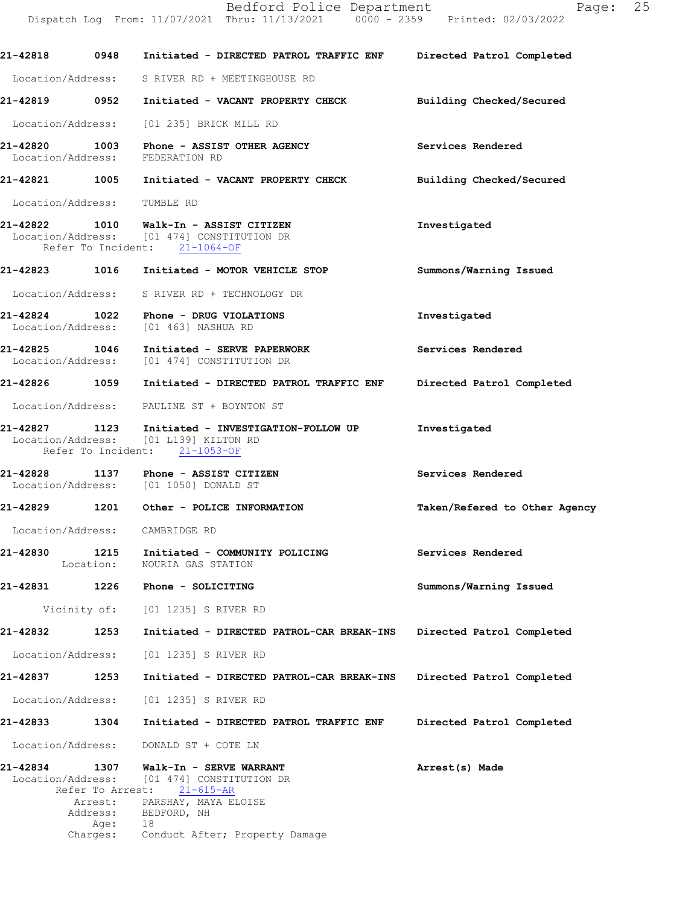**21-42818 0948 Initiated - DIRECTED PATROL TRAFFIC ENF Directed Patrol Completed** Location/Address: S RIVER RD + MEETINGHOUSE RD **21-42819 0952 Initiated - VACANT PROPERTY CHECK Building Checked/Secured** Location/Address: [01 235] BRICK MILL RD **21-42820 1003 Phone - ASSIST OTHER AGENCY Services Rendered** Location/Address: FEDERATION RD **21-42821 1005 Initiated - VACANT PROPERTY CHECK Building Checked/Secured** Location/Address: TUMBLE RD **21-42822 1010 Investigated Walk-In - ASSIST CITIZEN** Location/Address: [01 474] CONSTITUTION DR Refer To Incident: 21-1064-OF **21-42823 1016 Initiated - MOTOR VEHICLE STOP Summons/Warning Issued**  Location/Address: S RIVER RD + TECHNOLOGY DR **21-42824 1022 Phone - DRUG VIOLATIONS Investigated**  Location/Address: [01 463] NASHUA RD **21-42825 1046 Initiated - SERVE PAPERWORK Services Rendered**  Location/Address: [01 474] CONSTITUTION DR

**21-42826 1059 Initiated - DIRECTED PATROL TRAFFIC ENF Directed Patrol Completed** 

Location/Address: PAULINE ST + BOYNTON ST

**21-42827 1123 Investigated Initiated - INVESTIGATION-FOLLOW UP** Location/Address: [01 L139] KILTON RD Refer To Incident: 21-1053-OF

**21-42828 1137 Phone - ASSIST CITIZEN Services Rendered**  Location/Address: [01 1050] DONALD ST

**21-42829 1201 Other - POLICE INFORMATION Taken/Refered to Other Agency**

Location/Address: CAMBRIDGE RD

**21-42830 1215 Initiated - COMMUNITY POLICING Services Rendered**  Location: NOURIA GAS STATION

**21-42831 1226 Phone - SOLICITING Summons/Warning Issued** 

Vicinity of: [01 1235] S RIVER RD

**21-42832 1253 Initiated - DIRECTED PATROL-CAR BREAK-INS Directed Patrol Completed** 

Location/Address: [01 1235] S RIVER RD

**21-42837 1253 Initiated - DIRECTED PATROL-CAR BREAK-INS Directed Patrol Completed** 

Location/Address: [01 1235] S RIVER RD

**21-42833 1304 Initiated - DIRECTED PATROL TRAFFIC ENF Directed Patrol Completed** 

Location/Address: DONALD ST + COTE LN

**21-42834 1307 Arrest(s) Made Walk-In - SERVE WARRANT** Location/Address: [01 474] CONSTITUTION DR Refer To Arrest: 21-615-AR Arrest: PARSHAY, MAYA ELOISE Address: BEDFORD, NH Age: 18 Charges: Conduct After; Property Damage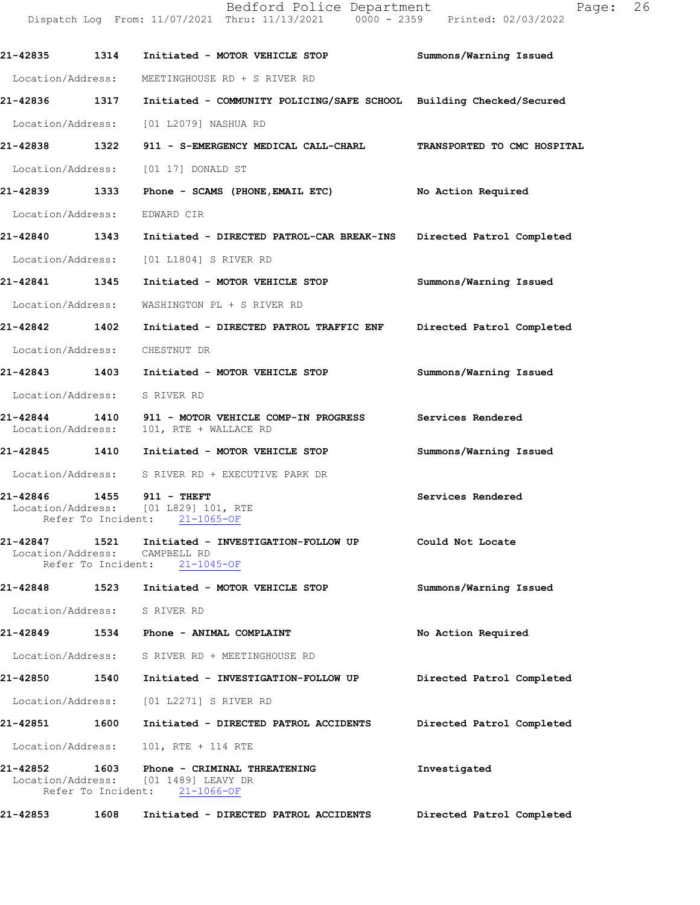|                                    |      | Dispatch Log From: 11/07/2021 Thru: 11/13/2021 0000 - 2359 Printed: 02/03/2022                        |                           |
|------------------------------------|------|-------------------------------------------------------------------------------------------------------|---------------------------|
| 21-42835 1314                      |      | Initiated - MOTOR VEHICLE STOP                                                                        | Summons/Warning Issued    |
|                                    |      | Location/Address: MEETINGHOUSE RD + S RIVER RD                                                        |                           |
| 21-42836                           | 1317 | Initiated - COMMUNITY POLICING/SAFE SCHOOL Building Checked/Secured                                   |                           |
|                                    |      | Location/Address: [01 L2079] NASHUA RD                                                                |                           |
| 21-42838 1322                      |      | 911 - S-EMERGENCY MEDICAL CALL-CHARL TRANSPORTED TO CMC HOSPITAL                                      |                           |
|                                    |      | Location/Address: [01 17] DONALD ST                                                                   |                           |
| 21-42839 1333                      |      | Phone - SCAMS (PHONE, EMAIL ETC)                                                                      | No Action Required        |
| Location/Address:                  |      | EDWARD CIR                                                                                            |                           |
| 21-42840 1343                      |      | Initiated - DIRECTED PATROL-CAR BREAK-INS                                                             | Directed Patrol Completed |
|                                    |      | Location/Address: [01 L1804] S RIVER RD                                                               |                           |
| 21-42841 1345                      |      | Initiated - MOTOR VEHICLE STOP                                                                        | Summons/Warning Issued    |
| Location/Address:                  |      | WASHINGTON PL + S RIVER RD                                                                            |                           |
| 21-42842 1402                      |      | Initiated - DIRECTED PATROL TRAFFIC ENF                                                               | Directed Patrol Completed |
|                                    |      | Location/Address: CHESTNUT DR                                                                         |                           |
| 21-42843 1403                      |      | Initiated - MOTOR VEHICLE STOP                                                                        | Summons/Warning Issued    |
| Location/Address:                  |      | S RIVER RD                                                                                            |                           |
| 21-42844 1410<br>Location/Address: |      | 911 - MOTOR VEHICLE COMP-IN PROGRESS<br>101, RTE + WALLACE RD                                         | Services Rendered         |
| 21-42845 1410                      |      | Initiated - MOTOR VEHICLE STOP                                                                        | Summons/Warning Issued    |
|                                    |      | Location/Address: S RIVER RD + EXECUTIVE PARK DR                                                      |                           |
|                                    |      | 21-42846 1455 911 - THEFT<br>Location/Address: [01 L829] 101, RTE<br>Refer To Incident: 21-1065-OF    | Services Rendered         |
| 21-42847<br>Location/Address:      | 1521 | Initiated - INVESTIGATION-FOLLOW UP<br>CAMPBELL RD<br>Refer To Incident: 21-1045-OF                   | Could Not Locate          |
| 21-42848                           | 1523 | Initiated - MOTOR VEHICLE STOP                                                                        | Summons/Warning Issued    |
|                                    |      | Location/Address: S RIVER RD                                                                          |                           |
| 21-42849                           |      | 1534 Phone - ANIMAL COMPLAINT                                                                         | No Action Required        |
| Location/Address:                  |      | S RIVER RD + MEETINGHOUSE RD                                                                          |                           |
| 21-42850                           | 1540 | Initiated - INVESTIGATION-FOLLOW UP                                                                   | Directed Patrol Completed |
|                                    |      | Location/Address: [01 L2271] S RIVER RD                                                               |                           |
| 21-42851                           | 1600 | Initiated - DIRECTED PATROL ACCIDENTS                                                                 | Directed Patrol Completed |
|                                    |      | Location/Address: 101, RTE + 114 RTE                                                                  |                           |
| 21-42852                           | 1603 | Phone - CRIMINAL THREATENING<br>Location/Address: [01 1489] LEAVY DR<br>Refer To Incident: 21-1066-OF | Investigated              |

**21-42853 1608 Initiated - DIRECTED PATROL ACCIDENTS Directed Patrol Completed** 

Bedford Police Department Fage: 26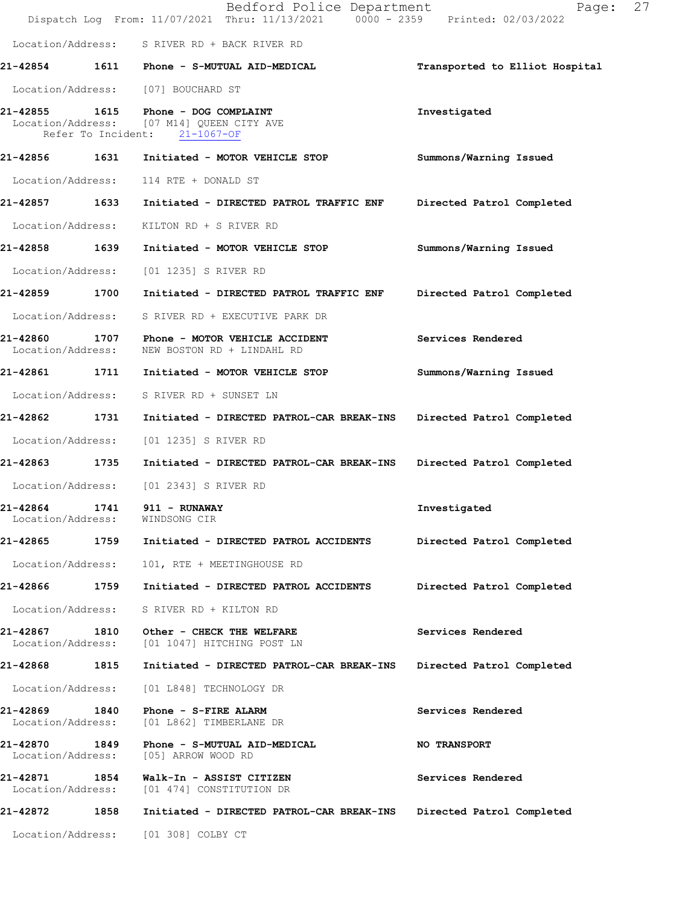|                                    |      | Bedford Police Department<br>Dispatch Log From: 11/07/2021 Thru: 11/13/2021 0000 - 2359 Printed: 02/03/2022 | 27<br>Page:                    |
|------------------------------------|------|-------------------------------------------------------------------------------------------------------------|--------------------------------|
|                                    |      | Location/Address: S RIVER RD + BACK RIVER RD                                                                |                                |
|                                    |      | 21-42854 1611 Phone - S-MUTUAL AID-MEDICAL                                                                  | Transported to Elliot Hospital |
|                                    |      | Location/Address: [07] BOUCHARD ST                                                                          |                                |
| 21-42855                           |      | 1615 Phone - DOG COMPLAINT<br>Location/Address: [07 M14] QUEEN CITY AVE<br>Refer To Incident: 21-1067-OF    | Investigated                   |
|                                    |      |                                                                                                             | Summons/Warning Issued         |
| Location/Address:                  |      | 114 RTE + DONALD ST                                                                                         |                                |
| 21-42857 1633                      |      | Initiated - DIRECTED PATROL TRAFFIC ENF                                                                     | Directed Patrol Completed      |
| Location/Address:                  |      | KILTON RD + S RIVER RD                                                                                      |                                |
| 21-42858 1639                      |      | Initiated - MOTOR VEHICLE STOP                                                                              | Summons/Warning Issued         |
| Location/Address:                  |      | [01 1235] S RIVER RD                                                                                        |                                |
| 21-42859 1700                      |      | Initiated - DIRECTED PATROL TRAFFIC ENF                                                                     | Directed Patrol Completed      |
| Location/Address:                  |      | S RIVER RD + EXECUTIVE PARK DR                                                                              |                                |
| 21-42860<br>Location/Address:      | 1707 | Phone - MOTOR VEHICLE ACCIDENT<br>NEW BOSTON RD + LINDAHL RD                                                | Services Rendered              |
| 21-42861 1711                      |      | Initiated - MOTOR VEHICLE STOP                                                                              | Summons/Warning Issued         |
| Location/Address:                  |      | S RIVER RD + SUNSET LN                                                                                      |                                |
| 21-42862 1731                      |      | Initiated - DIRECTED PATROL-CAR BREAK-INS                                                                   | Directed Patrol Completed      |
| Location/Address:                  |      | [01 1235] S RIVER RD                                                                                        |                                |
| 21-42863 1735                      |      | Initiated - DIRECTED PATROL-CAR BREAK-INS                                                                   | Directed Patrol Completed      |
| Location/Address:                  |      | [01 2343] S RIVER RD                                                                                        |                                |
| 21-42864<br>Location/Address:      | 1741 | 911 - RUNAWAY<br>WINDSONG CIR                                                                               | Investigated                   |
| 21-42865                           | 1759 | Initiated - DIRECTED PATROL ACCIDENTS                                                                       | Directed Patrol Completed      |
| Location/Address:                  |      | 101, RTE + MEETINGHOUSE RD                                                                                  |                                |
| 21-42866                           | 1759 | Initiated - DIRECTED PATROL ACCIDENTS                                                                       | Directed Patrol Completed      |
| Location/Address:                  |      | S RIVER RD + KILTON RD                                                                                      |                                |
| 21-42867<br>Location/Address:      | 1810 | Other - CHECK THE WELFARE<br>[01 1047] HITCHING POST LN                                                     | Services Rendered              |
| 21-42868                           | 1815 | Initiated - DIRECTED PATROL-CAR BREAK-INS                                                                   | Directed Patrol Completed      |
| Location/Address:                  |      | [01 L848] TECHNOLOGY DR                                                                                     |                                |
| 21-42869 1840<br>Location/Address: |      | Phone - S-FIRE ALARM<br>[01 L862] TIMBERLANE DR                                                             | Services Rendered              |
| 21-42870<br>Location/Address:      | 1849 | Phone - S-MUTUAL AID-MEDICAL<br>[05] ARROW WOOD RD                                                          | <b>NO TRANSPORT</b>            |
| 21-42871<br>Location/Address:      | 1854 | Walk-In - ASSIST CITIZEN<br>[01 474] CONSTITUTION DR                                                        | Services Rendered              |
| 21-42872                           | 1858 | Initiated - DIRECTED PATROL-CAR BREAK-INS                                                                   | Directed Patrol Completed      |
| Location/Address:                  |      | [01 308] COLBY CT                                                                                           |                                |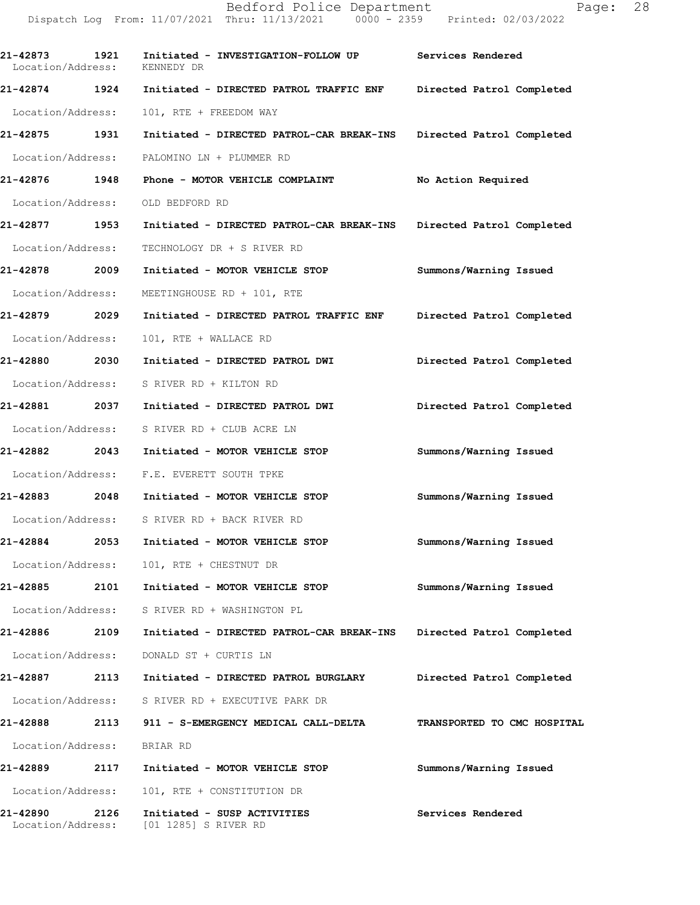**21-42873 1921 Initiated - INVESTIGATION-FOLLOW UP Services Rendered**  Location/Address: KENNEDY DR **21-42874 1924 Initiated - DIRECTED PATROL TRAFFIC ENF Directed Patrol Completed**  Location/Address: 101, RTE + FREEDOM WAY **21-42875 1931 Initiated - DIRECTED PATROL-CAR BREAK-INS Directed Patrol Completed**  Location/Address: PALOMINO LN + PLUMMER RD **21-42876 1948 Phone - MOTOR VEHICLE COMPLAINT No Action Required**  Location/Address: OLD BEDFORD RD **21-42877 1953 Initiated - DIRECTED PATROL-CAR BREAK-INS Directed Patrol Completed**  Location/Address: TECHNOLOGY DR + S RIVER RD **21-42878 2009 Initiated - MOTOR VEHICLE STOP Summons/Warning Issued**  Location/Address: MEETINGHOUSE RD + 101, RTE **21-42879 2029 Initiated - DIRECTED PATROL TRAFFIC ENF Directed Patrol Completed**  Location/Address: 101, RTE + WALLACE RD **21-42880 2030 Initiated - DIRECTED PATROL DWI Directed Patrol Completed**  Location/Address: S RIVER RD + KILTON RD **21-42881 2037 Initiated - DIRECTED PATROL DWI Directed Patrol Completed**  Location/Address: S RIVER RD + CLUB ACRE LN **21-42882 2043 Initiated - MOTOR VEHICLE STOP Summons/Warning Issued**  Location/Address: F.E. EVERETT SOUTH TPKE **21-42883 2048 Initiated - MOTOR VEHICLE STOP Summons/Warning Issued**  Location/Address: S RIVER RD + BACK RIVER RD **21-42884 2053 Initiated - MOTOR VEHICLE STOP Summons/Warning Issued**  Location/Address: 101, RTE + CHESTNUT DR **21-42885 2101 Initiated - MOTOR VEHICLE STOP Summons/Warning Issued**  Location/Address: S RIVER RD + WASHINGTON PL **21-42886 2109 Initiated - DIRECTED PATROL-CAR BREAK-INS Directed Patrol Completed**  Location/Address: DONALD ST + CURTIS LN **21-42887 2113 Initiated - DIRECTED PATROL BURGLARY Directed Patrol Completed**  Location/Address: S RIVER RD + EXECUTIVE PARK DR **21-42888 2113 911 - S-EMERGENCY MEDICAL CALL-DELTA TRANSPORTED TO CMC HOSPITAL**  Location/Address: BRIAR RD **21-42889 2117 Initiated - MOTOR VEHICLE STOP Summons/Warning Issued**  Location/Address: 101, RTE + CONSTITUTION DR **21-42890 2126 Initiated - SUSP ACTIVITIES Services Rendered**  Location/Address: [01 1285] S RIVER RD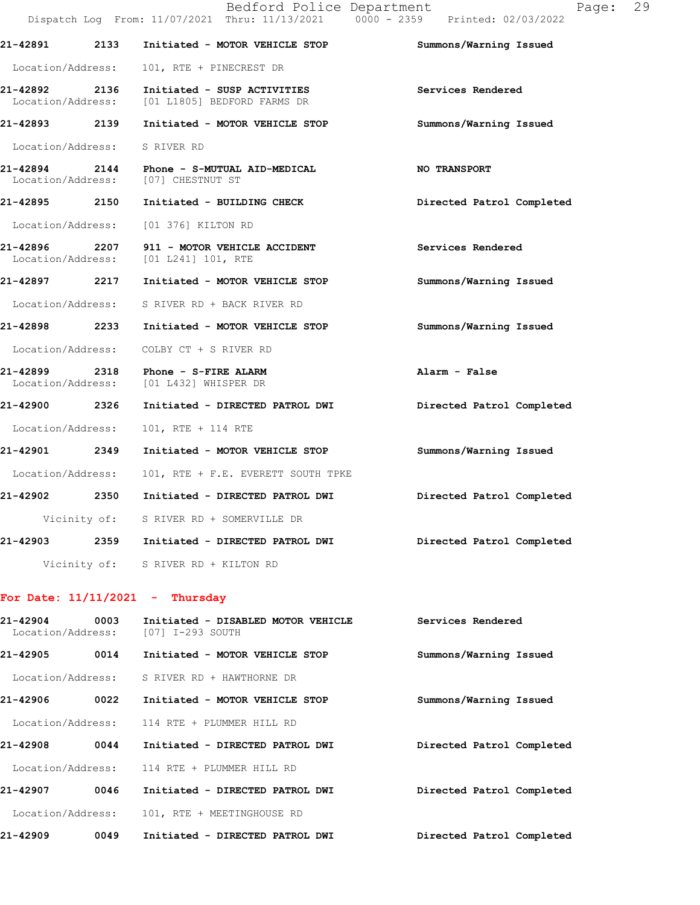|                               |      | Bedford Police Department<br>Dispatch Log From: 11/07/2021 Thru: 11/13/2021 0000 - 2359 Printed: 02/03/2022 | Page:                     | 29 |
|-------------------------------|------|-------------------------------------------------------------------------------------------------------------|---------------------------|----|
| 21-42891                      | 2133 | Initiated - MOTOR VEHICLE STOP                                                                              | Summons/Warning Issued    |    |
| Location/Address:             |      | 101, RTE + PINECREST DR                                                                                     |                           |    |
| 21-42892<br>Location/Address: | 2136 | Initiated - SUSP ACTIVITIES<br>[01 L1805] BEDFORD FARMS DR                                                  | Services Rendered         |    |
| 21-42893 2139                 |      | Initiated - MOTOR VEHICLE STOP                                                                              | Summons/Warning Issued    |    |
| Location/Address:             |      | S RIVER RD                                                                                                  |                           |    |
|                               |      | 21-42894 2144 Phone - S-MUTUAL AID-MEDICAL<br>Location/Address: [07] CHESTNUT ST                            | <b>NO TRANSPORT</b>       |    |
| 21-42895 2150                 |      | Initiated - BUILDING CHECK                                                                                  | Directed Patrol Completed |    |
| Location/Address:             |      | [01 376] KILTON RD                                                                                          |                           |    |
| 21-42896                      | 2207 | 911 - MOTOR VEHICLE ACCIDENT<br>Location/Address: [01 L241] 101, RTE                                        | Services Rendered         |    |
| 21-42897 2217                 |      | Initiated - MOTOR VEHICLE STOP                                                                              | Summons/Warning Issued    |    |
|                               |      | Location/Address: S RIVER RD + BACK RIVER RD                                                                |                           |    |
| 21-42898 2233                 |      | Initiated - MOTOR VEHICLE STOP                                                                              | Summons/Warning Issued    |    |
| Location/Address:             |      | COLBY CT + S RIVER RD                                                                                       |                           |    |
|                               |      | 21-42899 2318 Phone - S-FIRE ALARM<br>Location/Address: [01 L432] WHISPER DR                                | Alarm - False             |    |
| 21-42900 2326                 |      | Initiated - DIRECTED PATROL DWI                                                                             | Directed Patrol Completed |    |
| Location/Address:             |      | 101, RTE + 114 RTE                                                                                          |                           |    |
| 21-42901 2349                 |      | Initiated - MOTOR VEHICLE STOP                                                                              | Summons/Warning Issued    |    |
| Location/Address:             |      | 101, RTE + F.E. EVERETT SOUTH TPKE                                                                          |                           |    |
| 21-42902                      | 2350 | Initiated - DIRECTED PATROL DWI                                                                             | Directed Patrol Completed |    |
|                               |      | Vicinity of: S RIVER RD + SOMERVILLE DR                                                                     |                           |    |
| 21-42903                      |      | 2359 Initiated - DIRECTED PATROL DWI                                                                        | Directed Patrol Completed |    |
|                               |      | Vicinity of: S RIVER RD + KILTON RD                                                                         |                           |    |
|                               |      | For Date: $11/11/2021$ - Thursday                                                                           |                           |    |
| 21-42904<br>Location/Address: | 0003 | Initiated - DISABLED MOTOR VEHICLE<br>[07] I-293 SOUTH                                                      | Services Rendered         |    |
| 21-42905                      | 0014 | Initiated - MOTOR VEHICLE STOP                                                                              | Summons/Warning Issued    |    |
| Location/Address:             |      | S RIVER RD + HAWTHORNE DR                                                                                   |                           |    |
| 21-42906                      | 0022 | Initiated - MOTOR VEHICLE STOP                                                                              | Summons/Warning Issued    |    |
| Location/Address:             |      | 114 RTE + PLUMMER HILL RD                                                                                   |                           |    |

**21-42908 0044 Initiated - DIRECTED PATROL DWI Directed Patrol Completed**  Location/Address: 114 RTE + PLUMMER HILL RD **21-42907 0046 Initiated - DIRECTED PATROL DWI Directed Patrol Completed**  Location/Address: 101, RTE + MEETINGHOUSE RD

**21-42909 0049 Initiated - DIRECTED PATROL DWI Directed Patrol Completed**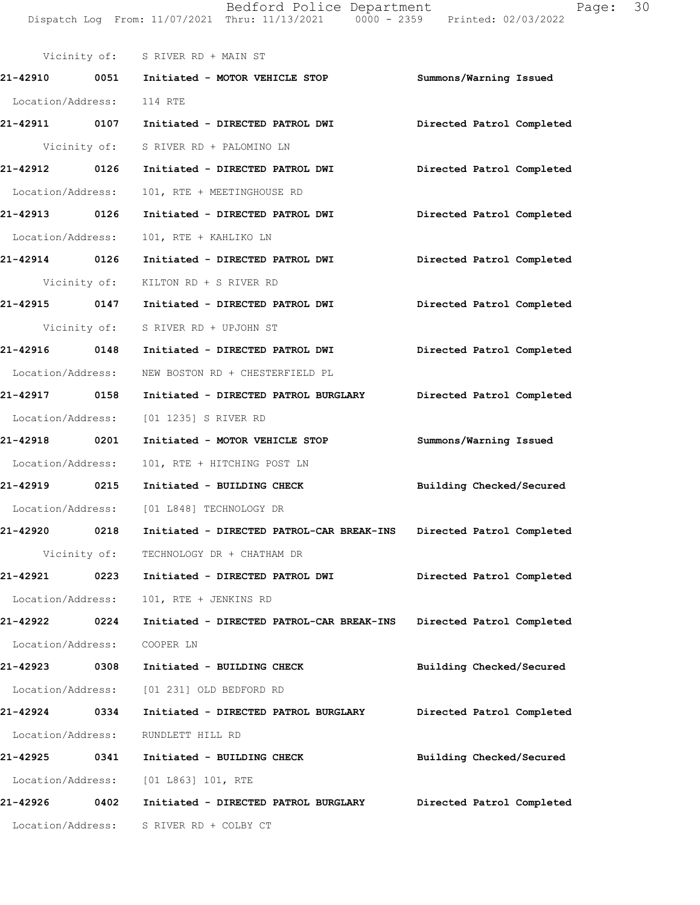Vicinity of: S RIVER RD + MAIN ST **21-42910 0051 Initiated - MOTOR VEHICLE STOP Summons/Warning Issued**  Location/Address: 114 RTE **21-42911 0107 Initiated - DIRECTED PATROL DWI Directed Patrol Completed**  Vicinity of: S RIVER RD + PALOMINO LN **21-42912 0126 Initiated - DIRECTED PATROL DWI Directed Patrol Completed**  Location/Address: 101, RTE + MEETINGHOUSE RD **21-42913 0126 Initiated - DIRECTED PATROL DWI Directed Patrol Completed**  Location/Address: 101, RTE + KAHLIKO LN **21-42914 0126 Initiated - DIRECTED PATROL DWI Directed Patrol Completed**  Vicinity of: KILTON RD + S RIVER RD **21-42915 0147 Initiated - DIRECTED PATROL DWI Directed Patrol Completed**  Vicinity of: S RIVER RD + UPJOHN ST **21-42916 0148 Initiated - DIRECTED PATROL DWI Directed Patrol Completed**  Location/Address: NEW BOSTON RD + CHESTERFIELD PL **21-42917 0158 Initiated - DIRECTED PATROL BURGLARY Directed Patrol Completed**  Location/Address: [01 1235] S RIVER RD **21-42918 0201 Initiated - MOTOR VEHICLE STOP Summons/Warning Issued**  Location/Address: 101, RTE + HITCHING POST LN **21-42919 0215 Initiated - BUILDING CHECK Building Checked/Secured**  Location/Address: [01 L848] TECHNOLOGY DR **21-42920 0218 Initiated - DIRECTED PATROL-CAR BREAK-INS Directed Patrol Completed**  Vicinity of: TECHNOLOGY DR + CHATHAM DR **21-42921 0223 Initiated - DIRECTED PATROL DWI Directed Patrol Completed**  Location/Address: 101, RTE + JENKINS RD **21-42922 0224 Initiated - DIRECTED PATROL-CAR BREAK-INS Directed Patrol Completed**  Location/Address: COOPER LN **21-42923 0308 Initiated - BUILDING CHECK Building Checked/Secured**  Location/Address: [01 231] OLD BEDFORD RD **21-42924 0334 Initiated - DIRECTED PATROL BURGLARY Directed Patrol Completed**  Location/Address: RUNDLETT HILL RD **21-42925 0341 Initiated - BUILDING CHECK Building Checked/Secured**  Location/Address: [01 L863] 101, RTE **21-42926 0402 Initiated - DIRECTED PATROL BURGLARY Directed Patrol Completed**  Location/Address: S RIVER RD + COLBY CT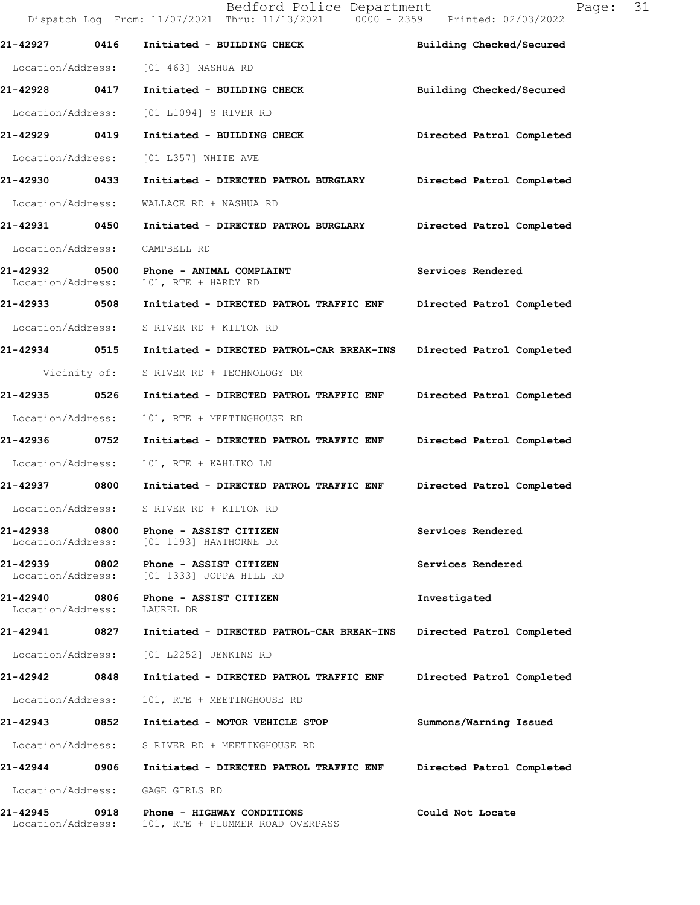|                                    |      | Bedford Police Department<br>Dispatch Log From: 11/07/2021 Thru: 11/13/2021 0000 - 2359 Printed: 02/03/2022 | 31<br>Page:               |
|------------------------------------|------|-------------------------------------------------------------------------------------------------------------|---------------------------|
| 21-42927                           | 0416 | Initiated - BUILDING CHECK                                                                                  | Building Checked/Secured  |
|                                    |      | Location/Address: [01 463] NASHUA RD                                                                        |                           |
| 21-42928 0417                      |      | Initiated - BUILDING CHECK                                                                                  | Building Checked/Secured  |
| Location/Address:                  |      | [01 L1094] S RIVER RD                                                                                       |                           |
| 21-42929 0419                      |      | Initiated - BUILDING CHECK                                                                                  | Directed Patrol Completed |
| Location/Address:                  |      | [01 L357] WHITE AVE                                                                                         |                           |
| 21-42930 0433                      |      | Initiated - DIRECTED PATROL BURGLARY Directed Patrol Completed                                              |                           |
| Location/Address:                  |      | WALLACE RD + NASHUA RD                                                                                      |                           |
|                                    |      |                                                                                                             | Directed Patrol Completed |
| Location/Address:                  |      | CAMPBELL RD                                                                                                 |                           |
| 21-42932<br>Location/Address:      | 0500 | Phone - ANIMAL COMPLAINT<br>101, RTE + HARDY RD                                                             | Services Rendered         |
| 21-42933 0508                      |      | Initiated - DIRECTED PATROL TRAFFIC ENF                                                                     | Directed Patrol Completed |
|                                    |      | Location/Address: S RIVER RD + KILTON RD                                                                    |                           |
|                                    |      | 21-42934 0515 Initiated - DIRECTED PATROL-CAR BREAK-INS                                                     | Directed Patrol Completed |
|                                    |      | Vicinity of: S RIVER RD + TECHNOLOGY DR                                                                     |                           |
| 21-42935 0526                      |      | Initiated - DIRECTED PATROL TRAFFIC ENF                                                                     | Directed Patrol Completed |
| Location/Address:                  |      | 101, RTE + MEETINGHOUSE RD                                                                                  |                           |
| 21-42936                           | 0752 | Initiated - DIRECTED PATROL TRAFFIC ENF Directed Patrol Completed                                           |                           |
| Location/Address:                  |      | 101, RTE + KAHLIKO LN                                                                                       |                           |
|                                    |      | 21-42937 0800 Initiated - DIRECTED PATROL TRAFFIC ENF                                                       | Directed Patrol Completed |
| Location/Address:                  |      | S RIVER RD + KILTON RD                                                                                      |                           |
| 21-42938<br>Location/Address:      | 0800 | Phone - ASSIST CITIZEN<br>[01 1193] HAWTHORNE DR                                                            | Services Rendered         |
| 21-42939 0802<br>Location/Address: |      | Phone - ASSIST CITIZEN<br>[01 1333] JOPPA HILL RD                                                           | Services Rendered         |
| 21-42940<br>Location/Address:      | 0806 | Phone - ASSIST CITIZEN<br>LAUREL DR                                                                         | Investigated              |
| 21-42941                           | 0827 | Initiated - DIRECTED PATROL-CAR BREAK-INS                                                                   | Directed Patrol Completed |
| Location/Address:                  |      | [01 L2252] JENKINS RD                                                                                       |                           |
| 21-42942                           | 0848 | Initiated - DIRECTED PATROL TRAFFIC ENF                                                                     | Directed Patrol Completed |
| Location/Address:                  |      | 101, RTE + MEETINGHOUSE RD                                                                                  |                           |
| 21-42943                           | 0852 | Initiated - MOTOR VEHICLE STOP                                                                              | Summons/Warning Issued    |
| Location/Address:                  |      | S RIVER RD + MEETINGHOUSE RD                                                                                |                           |
| 21-42944                           | 0906 | Initiated - DIRECTED PATROL TRAFFIC ENF                                                                     | Directed Patrol Completed |
| Location/Address:                  |      | GAGE GIRLS RD                                                                                               |                           |
| 21-42945<br>Location/Address:      | 0918 | Phone - HIGHWAY CONDITIONS<br>101, RTE + PLUMMER ROAD OVERPASS                                              | Could Not Locate          |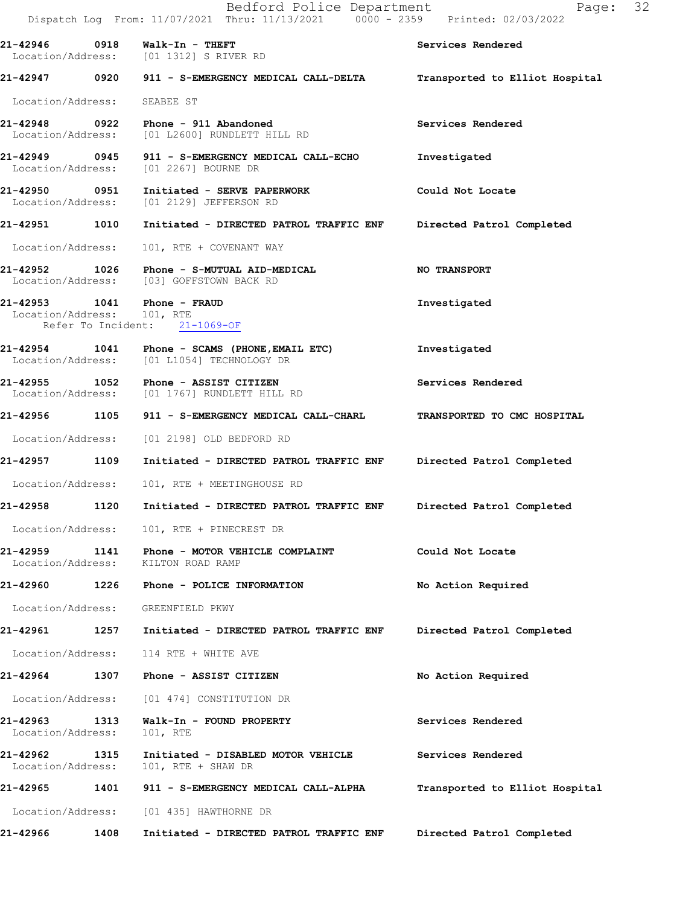|                               |      | Bedford Police Department<br>Dispatch Log From: 11/07/2021 Thru: 11/13/2021 0000 - 2359 Printed: 02/03/2022 | Page: 32                       |  |
|-------------------------------|------|-------------------------------------------------------------------------------------------------------------|--------------------------------|--|
|                               |      | Location/Address: [01 1312] S RIVER RD                                                                      | Services Rendered              |  |
|                               |      | 21-42947 0920 911 - S-EMERGENCY MEDICAL CALL-DELTA                                                          | Transported to Elliot Hospital |  |
| Location/Address: SEABEE ST   |      |                                                                                                             |                                |  |
|                               |      | 21-42948 0922 Phone - 911 Abandoned<br>Location/Address: [01 L2600] RUNDLETT HILL RD                        | Services Rendered              |  |
|                               |      | 21-42949 0945 911 - S-EMERGENCY MEDICAL CALL-ECHO<br>Location/Address: [01 2267] BOURNE DR                  | Investigated                   |  |
|                               |      | 21-42950 0951 Initiated - SERVE PAPERWORK<br>Location/Address: [01 2129] JEFFERSON RD                       | Could Not Locate               |  |
|                               |      | 21-42951 1010 Initiated - DIRECTED PATROL TRAFFIC ENF Directed Patrol Completed                             |                                |  |
| Location/Address:             |      | 101, RTE + COVENANT WAY                                                                                     |                                |  |
|                               |      | 21-42952 1026 Phone - S-MUTUAL AID-MEDICAL<br>Location/Address: [03] GOFFSTOWN BACK RD                      | <b>NO TRANSPORT</b>            |  |
| Location/Address: 101, RTE    |      | 21-42953 1041 Phone - FRAUD<br>Refer To Incident: 21-1069-OF                                                | Investigated                   |  |
|                               |      | 21-42954 1041 Phone - SCAMS (PHONE, EMAIL ETC)<br>Location/Address: [01 L1054] TECHNOLOGY DR                | Investigated                   |  |
|                               |      | 21-42955 1052 Phone - ASSIST CITIZEN<br>Location/Address: [01 1767] RUNDLETT HILL RD                        | Services Rendered              |  |
|                               |      | 21-42956 1105 911 - S-EMERGENCY MEDICAL CALL-CHARL                                                          | TRANSPORTED TO CMC HOSPITAL    |  |
|                               |      | Location/Address: [01 2198] OLD BEDFORD RD                                                                  |                                |  |
| 21-42957 1109                 |      | Initiated - DIRECTED PATROL TRAFFIC ENF Directed Patrol Completed                                           |                                |  |
| Location/Address:             |      | 101, RTE + MEETINGHOUSE RD                                                                                  |                                |  |
| 21-42958                      | 1120 | Initiated - DIRECTED PATROL TRAFFIC ENF Directed Patrol Completed                                           |                                |  |
| Location/Address:             |      | 101, RTE + PINECREST DR                                                                                     |                                |  |
| 21-42959<br>Location/Address: | 1141 | Phone - MOTOR VEHICLE COMPLAINT<br>KILTON ROAD RAMP                                                         | Could Not Locate               |  |
| 21-42960                      | 1226 | Phone - POLICE INFORMATION                                                                                  | No Action Required             |  |
| Location/Address:             |      | GREENFIELD PKWY                                                                                             |                                |  |
| 21-42961                      | 1257 | Initiated - DIRECTED PATROL TRAFFIC ENF                                                                     | Directed Patrol Completed      |  |
| Location/Address:             |      | 114 RTE + WHITE AVE                                                                                         |                                |  |
| 21-42964                      | 1307 | Phone - ASSIST CITIZEN                                                                                      | No Action Required             |  |
| Location/Address:             |      | [01 474] CONSTITUTION DR                                                                                    |                                |  |
| 21-42963<br>Location/Address: | 1313 | Walk-In - FOUND PROPERTY<br>101, RTE                                                                        | Services Rendered              |  |
| 21-42962<br>Location/Address: | 1315 | Initiated - DISABLED MOTOR VEHICLE<br>101, RTE + SHAW DR                                                    | Services Rendered              |  |
| 21-42965                      | 1401 | 911 - S-EMERGENCY MEDICAL CALL-ALPHA                                                                        | Transported to Elliot Hospital |  |
| Location/Address:             |      | [01 435] HAWTHORNE DR                                                                                       |                                |  |
| 21-42966                      | 1408 | Initiated - DIRECTED PATROL TRAFFIC ENF                                                                     | Directed Patrol Completed      |  |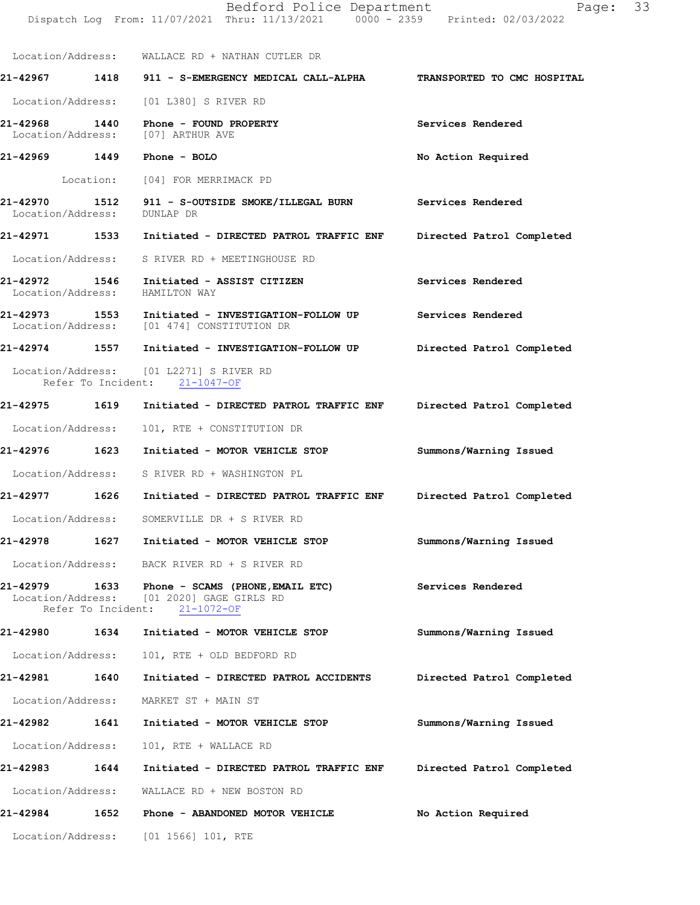|                                    |           | Bedford Police Department<br>Dispatch Log From: 11/07/2021 Thru: 11/13/2021 0000 - 2359 Printed: 02/03/2022    | Page:                       | 33 |
|------------------------------------|-----------|----------------------------------------------------------------------------------------------------------------|-----------------------------|----|
|                                    |           | Location/Address: WALLACE RD + NATHAN CUTLER DR                                                                |                             |    |
|                                    |           | 21-42967 1418 911 - S-EMERGENCY MEDICAL CALL-ALPHA                                                             | TRANSPORTED TO CMC HOSPITAL |    |
| Location/Address:                  |           | [01 L380] S RIVER RD                                                                                           |                             |    |
| 21-42968<br>Location/Address:      | 1440      | Phone - FOUND PROPERTY<br>[07] ARTHUR AVE                                                                      | Services Rendered           |    |
|                                    |           | 21-42969 1449 Phone - BOLO                                                                                     | No Action Required          |    |
|                                    | Location: | [04] FOR MERRIMACK PD                                                                                          |                             |    |
| 21-42970<br>Location/Address:      |           | 1512 911 - S-OUTSIDE SMOKE/ILLEGAL BURN<br>DUNLAP DR                                                           | Services Rendered           |    |
| 21-42971 1533                      |           | Initiated - DIRECTED PATROL TRAFFIC ENF                                                                        | Directed Patrol Completed   |    |
| Location/Address:                  |           | S RIVER RD + MEETINGHOUSE RD                                                                                   |                             |    |
| 21-42972 1546<br>Location/Address: |           | Initiated - ASSIST CITIZEN<br>HAMILTON WAY                                                                     | Services Rendered           |    |
| 21-42973                           |           | 1553 Initiated - INVESTIGATION-FOLLOW UP<br>Location/Address: [01 474] CONSTITUTION DR                         | Services Rendered           |    |
| 21-42974 1557                      |           | Initiated - INVESTIGATION-FOLLOW UP                                                                            | Directed Patrol Completed   |    |
|                                    |           | Location/Address: [01 L2271] S RIVER RD<br>Refer To Incident: 21-1047-OF                                       |                             |    |
| 21-42975 1619                      |           | Initiated - DIRECTED PATROL TRAFFIC ENF                                                                        | Directed Patrol Completed   |    |
| Location/Address:                  |           | 101, RTE + CONSTITUTION DR                                                                                     |                             |    |
| 21-42976 1623                      |           | Initiated - MOTOR VEHICLE STOP                                                                                 | Summons/Warning Issued      |    |
|                                    |           | Location/Address: S RIVER RD + WASHINGTON PL                                                                   |                             |    |
| 21-42977                           | 1626      | Initiated - DIRECTED PATROL TRAFFIC ENF                                                                        | Directed Patrol Completed   |    |
| Location/Address:                  |           | SOMERVILLE DR + S RIVER RD                                                                                     |                             |    |
| 21-42978                           |           | 1627 Initiated - MOTOR VEHICLE STOP                                                                            | Summons/Warning Issued      |    |
| Location/Address:                  |           | BACK RIVER RD + S RIVER RD                                                                                     |                             |    |
| 21-42979 1633                      |           | Phone - SCAMS (PHONE, EMAIL ETC)<br>Location/Address: [01 2020] GAGE GIRLS RD<br>Refer To Incident: 21-1072-OF | Services Rendered           |    |
| 21-42980 1634                      |           | Initiated - MOTOR VEHICLE STOP                                                                                 | Summons/Warning Issued      |    |
| Location/Address:                  |           | 101, RTE + OLD BEDFORD RD                                                                                      |                             |    |
| 21-42981                           | 1640      | Initiated - DIRECTED PATROL ACCIDENTS                                                                          | Directed Patrol Completed   |    |
| Location/Address:                  |           | MARKET ST + MAIN ST                                                                                            |                             |    |
| 21-42982                           | 1641      | Initiated - MOTOR VEHICLE STOP                                                                                 | Summons/Warning Issued      |    |
| Location/Address:                  |           | 101, RTE + WALLACE RD                                                                                          |                             |    |
| 21-42983 1644                      |           | Initiated - DIRECTED PATROL TRAFFIC ENF                                                                        | Directed Patrol Completed   |    |
| Location/Address:                  |           | WALLACE RD + NEW BOSTON RD                                                                                     |                             |    |
| 21-42984                           |           | 1652 Phone - ABANDONED MOTOR VEHICLE                                                                           | No Action Required          |    |
|                                    |           | Location/Address: [01 1566] 101, RTE                                                                           |                             |    |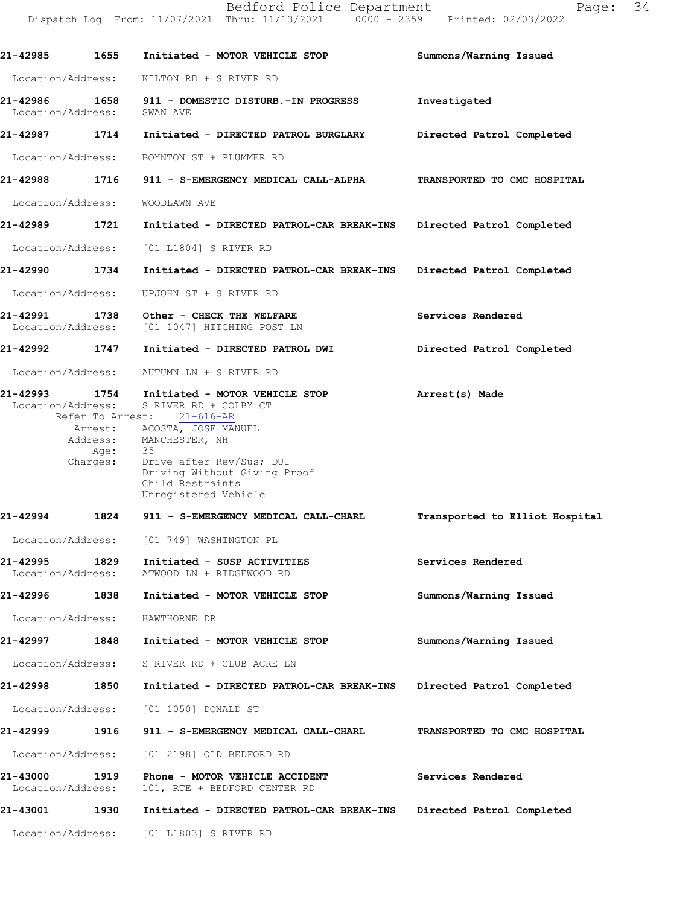| 21-42985                           | 1655              | Initiated - MOTOR VEHICLE STOP                                                                                                                                                                                                                                              | Summons/Warning Issued         |
|------------------------------------|-------------------|-----------------------------------------------------------------------------------------------------------------------------------------------------------------------------------------------------------------------------------------------------------------------------|--------------------------------|
|                                    |                   | Location/Address: KILTON RD + S RIVER RD                                                                                                                                                                                                                                    |                                |
| 21-42986 1658<br>Location/Address: |                   | 911 - DOMESTIC DISTURB.-IN PROGRESS<br>SWAN AVE                                                                                                                                                                                                                             | Investigated                   |
| 21-42987 1714                      |                   | Initiated - DIRECTED PATROL BURGLARY                                                                                                                                                                                                                                        | Directed Patrol Completed      |
|                                    |                   | Location/Address: BOYNTON ST + PLUMMER RD                                                                                                                                                                                                                                   |                                |
|                                    |                   | 21-42988         1716     911 - S-EMERGENCY MEDICAL CALL-ALPHA                                                                                                                                                                                                              | TRANSPORTED TO CMC HOSPITAL    |
| Location/Address:                  |                   | WOODLAWN AVE                                                                                                                                                                                                                                                                |                                |
| 21-42989 1721                      |                   | Initiated - DIRECTED PATROL-CAR BREAK-INS Directed Patrol Completed                                                                                                                                                                                                         |                                |
|                                    |                   | Location/Address: [01 L1804] S RIVER RD                                                                                                                                                                                                                                     |                                |
| 21-42990 1734                      |                   | Initiated - DIRECTED PATROL-CAR BREAK-INS                                                                                                                                                                                                                                   | Directed Patrol Completed      |
| Location/Address:                  |                   | UPJOHN ST + S RIVER RD                                                                                                                                                                                                                                                      |                                |
| 21-42991 1738                      |                   | Other - CHECK THE WELFARE<br>Location/Address: [01 1047] HITCHING POST LN                                                                                                                                                                                                   | Services Rendered              |
| 21-42992 1747                      |                   | Initiated - DIRECTED PATROL DWI                                                                                                                                                                                                                                             | Directed Patrol Completed      |
|                                    |                   | Location/Address: AUTUMN LN + S RIVER RD                                                                                                                                                                                                                                    |                                |
| 21-42993 1754                      | Location/Address: | Initiated - MOTOR VEHICLE STOP<br>S RIVER RD + COLBY CT<br>Refer To Arrest: 21-616-AR<br>Arrest: ACOSTA, JOSE MANUEL<br>Address: MANCHESTER, NH<br>Age: 35<br>Charges: Drive after Rev/Sus; DUI<br>Driving Without Giving Proof<br>Child Restraints<br>Unregistered Vehicle | Arrest(s) Made                 |
| 21-42994 1824                      |                   | 911 - S-EMERGENCY MEDICAL CALL-CHARL                                                                                                                                                                                                                                        | Transported to Elliot Hospital |
|                                    |                   | Location/Address: [01 749] WASHINGTON PL                                                                                                                                                                                                                                    |                                |
| 21-42995<br>Location/Address:      | 1829              | Initiated - SUSP ACTIVITIES<br>ATWOOD LN + RIDGEWOOD RD                                                                                                                                                                                                                     | Services Rendered              |
| 21-42996                           | 1838              | Initiated - MOTOR VEHICLE STOP                                                                                                                                                                                                                                              | Summons/Warning Issued         |
| Location/Address:                  |                   | HAWTHORNE DR                                                                                                                                                                                                                                                                |                                |
| 21-42997                           | 1848              | Initiated - MOTOR VEHICLE STOP                                                                                                                                                                                                                                              | Summons/Warning Issued         |
| Location/Address:                  |                   | S RIVER RD + CLUB ACRE LN                                                                                                                                                                                                                                                   |                                |
| 21-42998                           | 1850              | Initiated - DIRECTED PATROL-CAR BREAK-INS                                                                                                                                                                                                                                   | Directed Patrol Completed      |
|                                    |                   | Location/Address: [01 1050] DONALD ST                                                                                                                                                                                                                                       |                                |
| 21-42999                           | 1916              | 911 - S-EMERGENCY MEDICAL CALL-CHARL                                                                                                                                                                                                                                        | TRANSPORTED TO CMC HOSPITAL    |
| Location/Address:                  |                   | [01 2198] OLD BEDFORD RD                                                                                                                                                                                                                                                    |                                |
| 21-43000<br>Location/Address:      | 1919              | Phone - MOTOR VEHICLE ACCIDENT<br>101, RTE + BEDFORD CENTER RD                                                                                                                                                                                                              | Services Rendered              |
| 21-43001                           | 1930              | Initiated - DIRECTED PATROL-CAR BREAK-INS                                                                                                                                                                                                                                   | Directed Patrol Completed      |
|                                    |                   | Location/Address: [01 L1803] S RIVER RD                                                                                                                                                                                                                                     |                                |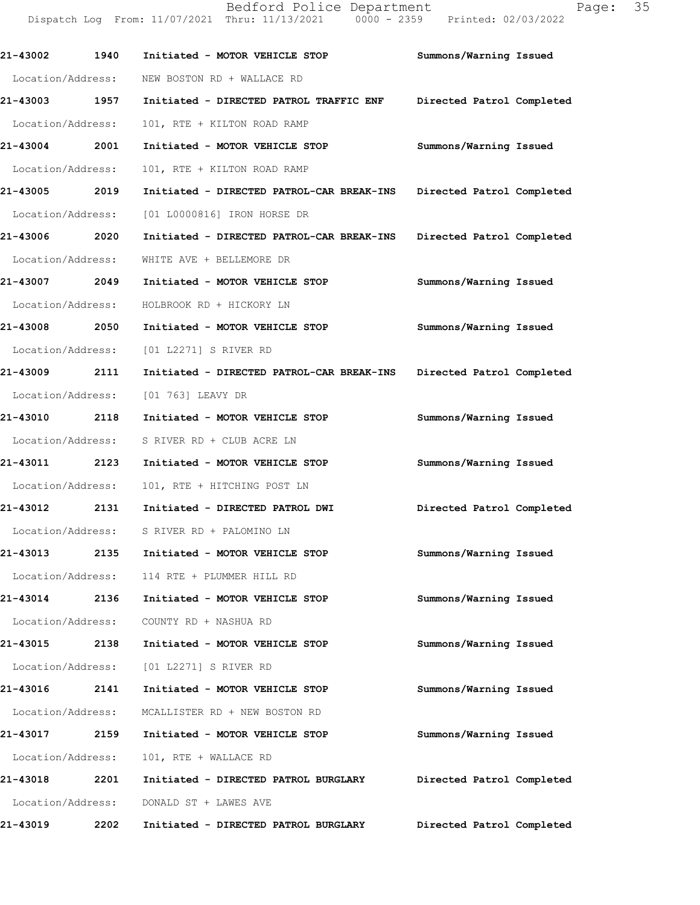**21-43002 1940 Initiated - MOTOR VEHICLE STOP Summons/Warning Issued**  Location/Address: NEW BOSTON RD + WALLACE RD **21-43003 1957 Initiated - DIRECTED PATROL TRAFFIC ENF Directed Patrol Completed**  Location/Address: 101, RTE + KILTON ROAD RAMP **21-43004 2001 Initiated - MOTOR VEHICLE STOP Summons/Warning Issued**  Location/Address: 101, RTE + KILTON ROAD RAMP **21-43005 2019 Initiated - DIRECTED PATROL-CAR BREAK-INS Directed Patrol Completed**  Location/Address: [01 L0000816] IRON HORSE DR **21-43006 2020 Initiated - DIRECTED PATROL-CAR BREAK-INS Directed Patrol Completed**  Location/Address: WHITE AVE + BELLEMORE DR **21-43007 2049 Initiated - MOTOR VEHICLE STOP Summons/Warning Issued**  Location/Address: HOLBROOK RD + HICKORY LN **21-43008 2050 Initiated - MOTOR VEHICLE STOP Summons/Warning Issued**  Location/Address: [01 L2271] S RIVER RD **21-43009 2111 Initiated - DIRECTED PATROL-CAR BREAK-INS Directed Patrol Completed**  Location/Address: [01 763] LEAVY DR **21-43010 2118 Initiated - MOTOR VEHICLE STOP Summons/Warning Issued**  Location/Address: S RIVER RD + CLUB ACRE LN **21-43011 2123 Initiated - MOTOR VEHICLE STOP Summons/Warning Issued**  Location/Address: 101, RTE + HITCHING POST LN **21-43012 2131 Initiated - DIRECTED PATROL DWI Directed Patrol Completed**  Location/Address: S RIVER RD + PALOMINO LN **21-43013 2135 Initiated - MOTOR VEHICLE STOP Summons/Warning Issued**  Location/Address: 114 RTE + PLUMMER HILL RD **21-43014 2136 Initiated - MOTOR VEHICLE STOP Summons/Warning Issued**  Location/Address: COUNTY RD + NASHUA RD **21-43015 2138 Initiated - MOTOR VEHICLE STOP Summons/Warning Issued**  Location/Address: [01 L2271] S RIVER RD **21-43016 2141 Initiated - MOTOR VEHICLE STOP Summons/Warning Issued**  Location/Address: MCALLISTER RD + NEW BOSTON RD **21-43017 2159 Initiated - MOTOR VEHICLE STOP Summons/Warning Issued**  Location/Address: 101, RTE + WALLACE RD

Dispatch Log From: 11/07/2021 Thru: 11/13/2021 0000 - 2359 Printed: 02/03/2022

**21-43018 2201 Initiated - DIRECTED PATROL BURGLARY Directed Patrol Completed**  Location/Address: DONALD ST + LAWES AVE **21-43019 2202 Initiated - DIRECTED PATROL BURGLARY Directed Patrol Completed** 

Bedford Police Department Page: 35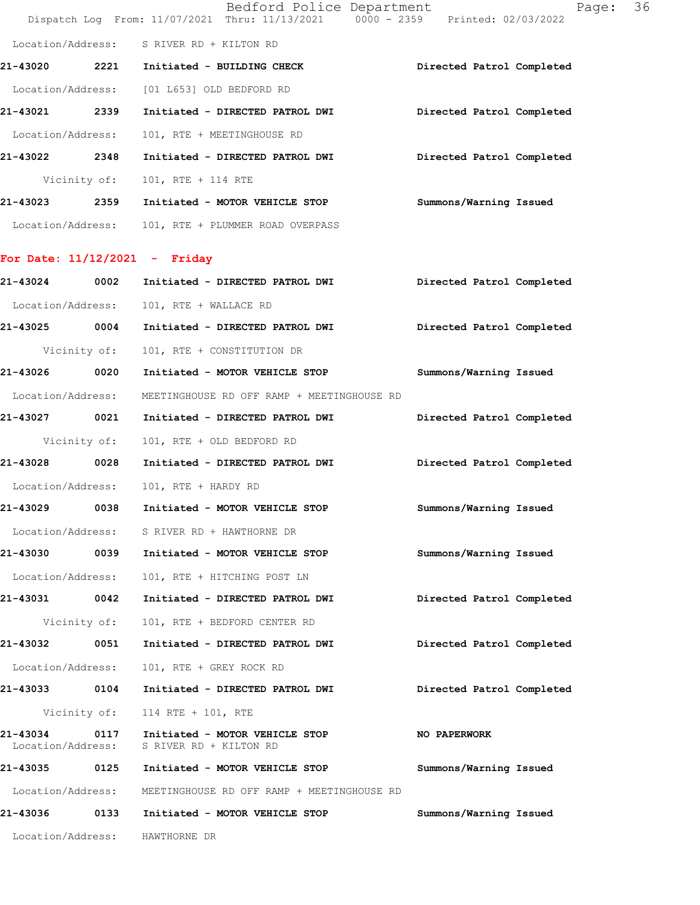|                               |              | Bedford Police Department<br>Dispatch Log From: 11/07/2021 Thru: 11/13/2021   0000 - 2359   Printed: 02/03/2022 | 36<br>Page:               |
|-------------------------------|--------------|-----------------------------------------------------------------------------------------------------------------|---------------------------|
|                               |              | Location/Address: S RIVER RD + KILTON RD                                                                        |                           |
| 21-43020                      |              | 2221 Initiated - BUILDING CHECK                                                                                 | Directed Patrol Completed |
|                               |              | Location/Address: [01 L653] OLD BEDFORD RD                                                                      |                           |
| 21-43021 2339                 |              | Initiated - DIRECTED PATROL DWI                                                                                 | Directed Patrol Completed |
| Location/Address:             |              | 101, RTE + MEETINGHOUSE RD                                                                                      |                           |
| 21-43022 2348                 |              | Initiated - DIRECTED PATROL DWI                                                                                 | Directed Patrol Completed |
|                               | Vicinity of: | 101, RTE + 114 RTE                                                                                              |                           |
|                               |              | 21-43023 2359 Initiated - MOTOR VEHICLE STOP                                                                    | Summons/Warning Issued    |
|                               |              | Location/Address: 101, RTE + PLUMMER ROAD OVERPASS                                                              |                           |
|                               |              | For Date: $11/12/2021$ - Friday                                                                                 |                           |
| 21-43024 0002                 |              | Initiated - DIRECTED PATROL DWI                                                                                 | Directed Patrol Completed |
| Location/Address:             |              | 101, RTE + WALLACE RD                                                                                           |                           |
|                               |              | 21-43025 0004 Initiated - DIRECTED PATROL DWI                                                                   | Directed Patrol Completed |
|                               | Vicinity of: | 101, RTE + CONSTITUTION DR                                                                                      |                           |
| 21-43026                      | 0020         | Initiated - MOTOR VEHICLE STOP                                                                                  | Summons/Warning Issued    |
| Location/Address:             |              | MEETINGHOUSE RD OFF RAMP + MEETINGHOUSE RD                                                                      |                           |
| 21-43027 0021                 |              | Initiated - DIRECTED PATROL DWI                                                                                 | Directed Patrol Completed |
|                               | Vicinity of: | 101, RTE + OLD BEDFORD RD                                                                                       |                           |
| 21-43028 0028                 |              | Initiated - DIRECTED PATROL DWI                                                                                 | Directed Patrol Completed |
| Location/Address:             |              | 101, RTE + HARDY RD                                                                                             |                           |
| 21-43029                      | 0038         | Initiated - MOTOR VEHICLE STOP                                                                                  | Summons/Warning Issued    |
|                               |              | Location/Address: S RIVER RD + HAWTHORNE DR                                                                     |                           |
| 21-43030                      | 0039         | Initiated - MOTOR VEHICLE STOP                                                                                  | Summons/Warning Issued    |
| Location/Address:             |              | 101, RTE + HITCHING POST LN                                                                                     |                           |
| 21-43031                      | 0042         | Initiated - DIRECTED PATROL DWI                                                                                 | Directed Patrol Completed |
|                               | Vicinity of: | 101, RTE + BEDFORD CENTER RD                                                                                    |                           |
| 21-43032                      | 0051         | Initiated - DIRECTED PATROL DWI                                                                                 | Directed Patrol Completed |
| Location/Address:             |              | 101, RTE + GREY ROCK RD                                                                                         |                           |
| 21-43033 0104                 |              | Initiated - DIRECTED PATROL DWI                                                                                 | Directed Patrol Completed |
|                               | Vicinity of: | 114 RTE + 101, RTE                                                                                              |                           |
| 21-43034<br>Location/Address: | 0117         | Initiated - MOTOR VEHICLE STOP<br>S RIVER RD + KILTON RD                                                        | NO PAPERWORK              |
| 21-43035 0125                 |              | Initiated - MOTOR VEHICLE STOP                                                                                  | Summons/Warning Issued    |
| Location/Address:             |              | MEETINGHOUSE RD OFF RAMP + MEETINGHOUSE RD                                                                      |                           |
| 21-43036                      | 0133         | Initiated - MOTOR VEHICLE STOP                                                                                  | Summons/Warning Issued    |
| Location/Address:             |              | HAWTHORNE DR                                                                                                    |                           |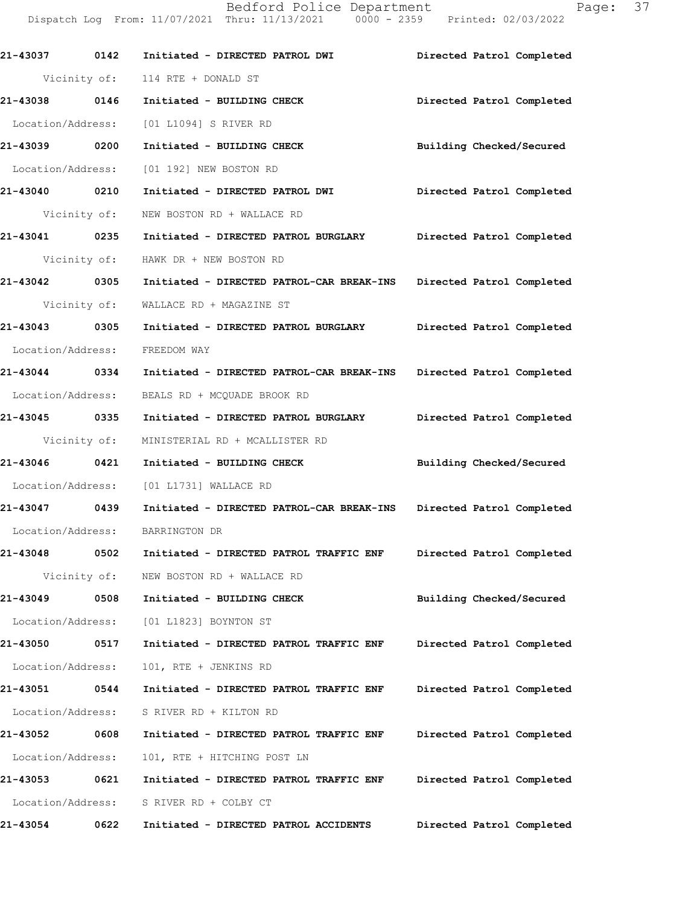Bedford Police Department Fage: 37 Dispatch Log From: 11/07/2021 Thru: 11/13/2021 0000 - 2359 Printed: 02/03/2022

| 21-43037 0142     |              | Initiated - DIRECTED PATROL DWI                                     | Directed Patrol Completed |
|-------------------|--------------|---------------------------------------------------------------------|---------------------------|
|                   |              | Vicinity of: 114 RTE + DONALD ST                                    |                           |
| 21-43038 0146     |              | Initiated - BUILDING CHECK                                          | Directed Patrol Completed |
|                   |              | Location/Address: [01 L1094] S RIVER RD                             |                           |
| 21-43039 0200     |              | Initiated - BUILDING CHECK                                          | Building Checked/Secured  |
|                   |              | Location/Address: [01 192] NEW BOSTON RD                            |                           |
| 21-43040 0210     |              | Initiated - DIRECTED PATROL DWI Directed Patrol Completed           |                           |
|                   | Vicinity of: | NEW BOSTON RD + WALLACE RD                                          |                           |
| 21-43041 0235     |              | Initiated - DIRECTED PATROL BURGLARY Directed Patrol Completed      |                           |
|                   |              | Vicinity of: HAWK DR + NEW BOSTON RD                                |                           |
| 21-43042 0305     |              | Initiated - DIRECTED PATROL-CAR BREAK-INS Directed Patrol Completed |                           |
|                   | Vicinity of: | WALLACE RD + MAGAZINE ST                                            |                           |
| 21-43043 0305     |              | Initiated - DIRECTED PATROL BURGLARY Directed Patrol Completed      |                           |
| Location/Address: |              | FREEDOM WAY                                                         |                           |
| 21-43044 0334     |              | Initiated - DIRECTED PATROL-CAR BREAK-INS                           | Directed Patrol Completed |
|                   |              | Location/Address: BEALS RD + MCQUADE BROOK RD                       |                           |
| 21-43045 0335     |              | Initiated - DIRECTED PATROL BURGLARY Directed Patrol Completed      |                           |
| Vicinity of:      |              | MINISTERIAL RD + MCALLISTER RD                                      |                           |
|                   |              | 21-43046  0421 Initiated - BUILDING CHECK                           | Building Checked/Secured  |
|                   |              | Location/Address: [01 L1731] WALLACE RD                             |                           |
| 21-43047 0439     |              | Initiated - DIRECTED PATROL-CAR BREAK-INS Directed Patrol Completed |                           |
|                   |              | Location/Address: BARRINGTON DR                                     |                           |
|                   |              |                                                                     | Directed Patrol Completed |
|                   | Vicinity of: | NEW BOSTON RD + WALLACE RD                                          |                           |
| 21-43049          | 0508         | Initiated - BUILDING CHECK                                          | Building Checked/Secured  |
| Location/Address: |              | [01 L1823] BOYNTON ST                                               |                           |
| 21-43050          | 0517         | Initiated - DIRECTED PATROL TRAFFIC ENF                             | Directed Patrol Completed |
| Location/Address: |              | 101, RTE + JENKINS RD                                               |                           |
| 21-43051          | 0544         | Initiated - DIRECTED PATROL TRAFFIC ENF                             | Directed Patrol Completed |
| Location/Address: |              | S RIVER RD + KILTON RD                                              |                           |
| 21-43052          | 0608         | Initiated - DIRECTED PATROL TRAFFIC ENF                             | Directed Patrol Completed |
| Location/Address: |              | 101, RTE + HITCHING POST LN                                         |                           |
| 21-43053          | 0621         | Initiated - DIRECTED PATROL TRAFFIC ENF                             | Directed Patrol Completed |
| Location/Address: |              | S RIVER RD + COLBY CT                                               |                           |
| 21-43054          | 0622         | Initiated - DIRECTED PATROL ACCIDENTS                               | Directed Patrol Completed |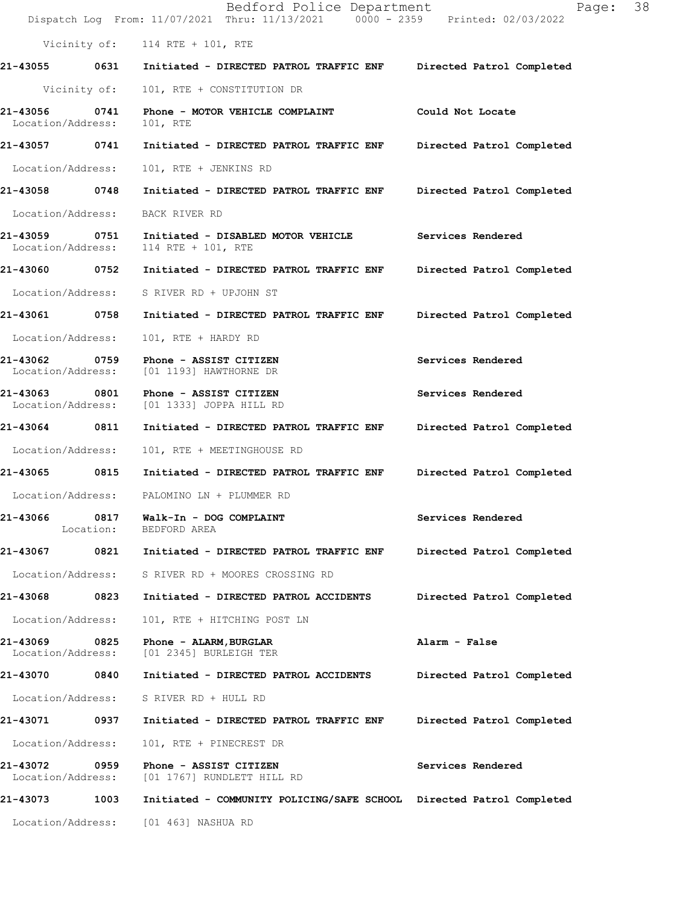|                                       | Bedford Police Department<br>Dispatch Log From: 11/07/2021 Thru: 11/13/2021 0000 - 2359 Printed: 02/03/2022 | 38<br>Page:               |
|---------------------------------------|-------------------------------------------------------------------------------------------------------------|---------------------------|
|                                       | Vicinity of: 114 RTE + 101, RTE                                                                             |                           |
| 21-43055 0631                         | Initiated - DIRECTED PATROL TRAFFIC ENF                                                                     | Directed Patrol Completed |
| Vicinity of:                          | 101, RTE + CONSTITUTION DR                                                                                  |                           |
| 21-43056<br>0741<br>Location/Address: | Phone - MOTOR VEHICLE COMPLAINT<br>101, RTE                                                                 | Could Not Locate          |
| 21-43057 0741                         | Initiated - DIRECTED PATROL TRAFFIC ENF                                                                     | Directed Patrol Completed |
| Location/Address:                     | 101, RTE + JENKINS RD                                                                                       |                           |
| 21-43058 0748                         | Initiated - DIRECTED PATROL TRAFFIC ENF                                                                     | Directed Patrol Completed |
| Location/Address:                     | BACK RIVER RD                                                                                               |                           |
| 21-43059 0751<br>Location/Address:    | Initiated - DISABLED MOTOR VEHICLE<br>114 RTE + 101, RTE                                                    | Services Rendered         |
| 21-43060 0752                         | Initiated - DIRECTED PATROL TRAFFIC ENF                                                                     | Directed Patrol Completed |
| Location/Address:                     | S RIVER RD + UPJOHN ST                                                                                      |                           |
| 0758<br>21-43061                      | Initiated - DIRECTED PATROL TRAFFIC ENF                                                                     | Directed Patrol Completed |
| Location/Address:                     | 101, RTE + HARDY RD                                                                                         |                           |
| 21-43062 0759<br>Location/Address:    | Phone - ASSIST CITIZEN<br>[01 1193] HAWTHORNE DR                                                            | Services Rendered         |
| 21-43063<br>0801<br>Location/Address: | Phone - ASSIST CITIZEN<br>[01 1333] JOPPA HILL RD                                                           | Services Rendered         |
| 21-43064 0811                         | Initiated - DIRECTED PATROL TRAFFIC ENF                                                                     | Directed Patrol Completed |
| Location/Address:                     | 101, RTE + MEETINGHOUSE RD                                                                                  |                           |
| 21-43065 0815                         | Initiated - DIRECTED PATROL TRAFFIC ENF                                                                     | Directed Patrol Completed |
|                                       | Location/Address: PALOMINO LN + PLUMMER RD                                                                  |                           |
| 21-43066<br>0817<br>Location:         | Walk-In - DOG COMPLAINT<br>BEDFORD AREA                                                                     | Services Rendered         |
| 21-43067<br>0821                      | Initiated - DIRECTED PATROL TRAFFIC ENF                                                                     | Directed Patrol Completed |
| Location/Address:                     | S RIVER RD + MOORES CROSSING RD                                                                             |                           |
| 21-43068<br>0823                      | Initiated - DIRECTED PATROL ACCIDENTS                                                                       | Directed Patrol Completed |
| Location/Address:                     | 101, RTE + HITCHING POST LN                                                                                 |                           |
| 21-43069<br>0825<br>Location/Address: | Phone - ALARM, BURGLAR<br>[01 2345] BURLEIGH TER                                                            | Alarm - False             |
| 21-43070<br>0840                      | Initiated - DIRECTED PATROL ACCIDENTS                                                                       | Directed Patrol Completed |
| Location/Address:                     | S RIVER RD + HULL RD                                                                                        |                           |
| 21-43071<br>0937                      | Initiated - DIRECTED PATROL TRAFFIC ENF                                                                     | Directed Patrol Completed |
| Location/Address:                     | 101, RTE + PINECREST DR                                                                                     |                           |
| 21-43072<br>0959<br>Location/Address: | Phone - ASSIST CITIZEN<br>[01 1767] RUNDLETT HILL RD                                                        | Services Rendered         |
| 21-43073<br>1003                      | Initiated - COMMUNITY POLICING/SAFE SCHOOL Directed Patrol Completed                                        |                           |
| Location/Address:                     | [01 463] NASHUA RD                                                                                          |                           |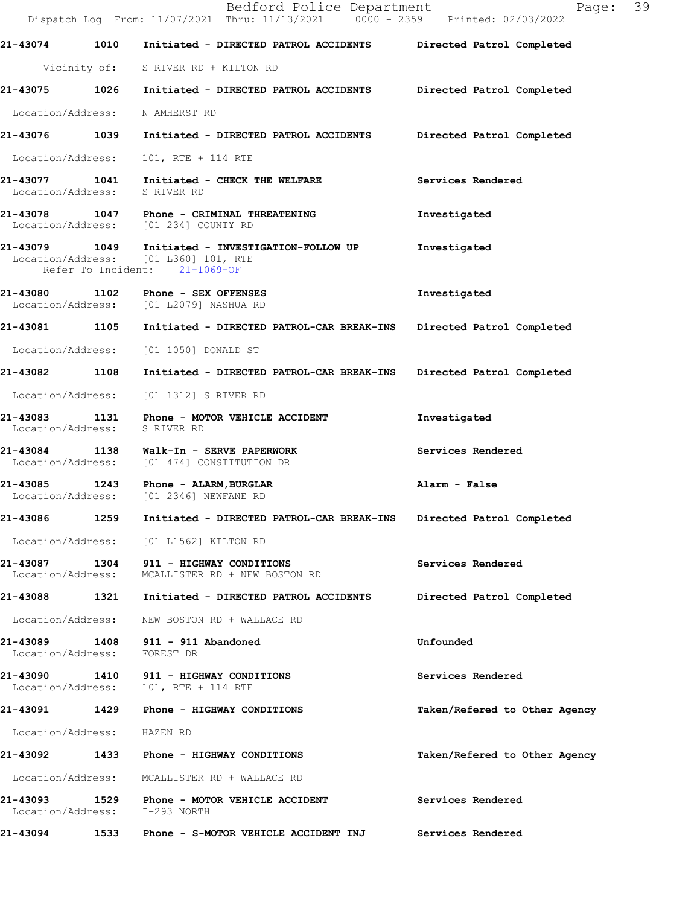|                                    |      | Bedford Police Department<br>Dispatch Log From: 11/07/2021 Thru: 11/13/2021 0000 - 2359 Printed: 02/03/2022                    | Page: 39                      |
|------------------------------------|------|--------------------------------------------------------------------------------------------------------------------------------|-------------------------------|
|                                    |      | 21-43074 1010 Initiated - DIRECTED PATROL ACCIDENTS Directed Patrol Completed                                                  |                               |
|                                    |      | Vicinity of: S RIVER RD + KILTON RD                                                                                            |                               |
|                                    |      | 21-43075 1026 Initiated - DIRECTED PATROL ACCIDENTS Directed Patrol Completed                                                  |                               |
| Location/Address: N AMHERST RD     |      |                                                                                                                                |                               |
|                                    |      | 21-43076 1039 Initiated - DIRECTED PATROL ACCIDENTS Directed Patrol Completed                                                  |                               |
| Location/Address:                  |      | 101, RTE + 114 RTE                                                                                                             |                               |
| Location/Address: S RIVER RD       |      | 21-43077 1041 Initiated - CHECK THE WELFARE                                                                                    | Services Rendered             |
|                                    |      | 21-43078 1047 Phone - CRIMINAL THREATENING<br>Location/Address: [01 234] COUNTY RD                                             | Investigated                  |
|                                    |      | 21-43079   1049   Initiated - INVESTIGATION-FOLLOW UP<br>Location/Address: [01 L360] 101, RTE<br>Refer To Incident: 21-1069-OF | Investigated                  |
|                                    |      | 21-43080 1102 Phone - SEX OFFENSES<br>Location/Address: [01 L2079] NASHUA RD                                                   | Investigated                  |
|                                    |      | 21-43081 1105 Initiated - DIRECTED PATROL-CAR BREAK-INS                                                                        | Directed Patrol Completed     |
|                                    |      | Location/Address: [01 1050] DONALD ST                                                                                          |                               |
|                                    |      | 21-43082 1108 Initiated - DIRECTED PATROL-CAR BREAK-INS Directed Patrol Completed                                              |                               |
| Location/Address:                  |      | [01 1312] S RIVER RD                                                                                                           |                               |
| Location/Address:                  |      | 21-43083 1131 Phone - MOTOR VEHICLE ACCIDENT<br>S RIVER RD                                                                     | Investigated                  |
|                                    |      | 21-43084 1138 Walk-In - SERVE PAPERWORK<br>Location/Address: [01 474] CONSTITUTION DR                                          | Services Rendered             |
|                                    |      | 21-43085 1243 Phone - ALARM, BURGLAR<br>Location/Address: [01 2346] NEWFANE RD                                                 | Alarm - False                 |
| 21-43086                           | 1259 | Initiated - DIRECTED PATROL-CAR BREAK-INS                                                                                      | Directed Patrol Completed     |
|                                    |      | Location/Address: [01 L1562] KILTON RD                                                                                         |                               |
| 21-43087 1304<br>Location/Address: |      | 911 - HIGHWAY CONDITIONS<br>MCALLISTER RD + NEW BOSTON RD                                                                      | Services Rendered             |
| 21-43088                           |      | 1321 Initiated - DIRECTED PATROL ACCIDENTS                                                                                     | Directed Patrol Completed     |
| Location/Address:                  |      | NEW BOSTON RD + WALLACE RD                                                                                                     |                               |
| Location/Address:                  |      | 21-43089 1408 911 - 911 Abandoned<br>FOREST DR                                                                                 | Unfounded                     |
|                                    |      | 21-43090 1410 911 - HIGHWAY CONDITIONS<br>Location/Address: 101, RTE + 114 RTE                                                 | Services Rendered             |
|                                    |      | 21-43091 1429 Phone - HIGHWAY CONDITIONS                                                                                       | Taken/Refered to Other Agency |
| Location/Address: HAZEN RD         |      |                                                                                                                                |                               |
|                                    |      |                                                                                                                                | Taken/Refered to Other Agency |
| Location/Address:                  |      | MCALLISTER RD + WALLACE RD                                                                                                     |                               |
| Location/Address: I-293 NORTH      |      | 21-43093 1529 Phone - MOTOR VEHICLE ACCIDENT                                                                                   | Services Rendered             |
| 21-43094                           | 1533 | Phone - S-MOTOR VEHICLE ACCIDENT INJ                                                                                           | Services Rendered             |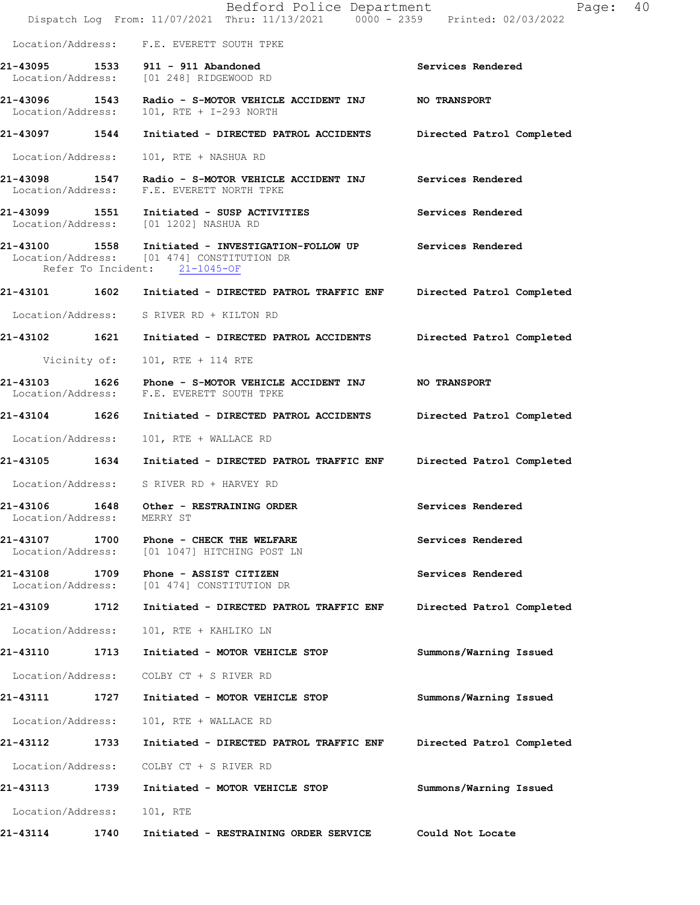|                                    |      | Bedford Police Department<br>Dispatch Log From: 11/07/2021 Thru: 11/13/2021 0000 - 2359 Printed: 02/03/2022                                        | Page: 40                  |
|------------------------------------|------|----------------------------------------------------------------------------------------------------------------------------------------------------|---------------------------|
|                                    |      | Location/Address: F.E. EVERETT SOUTH TPKE                                                                                                          |                           |
| 21-43095                           |      | 1533 911 - 911 Abandoned<br>Location/Address: [01 248] RIDGEWOOD RD                                                                                | Services Rendered         |
| 21-43096 1543<br>Location/Address: |      | Radio - S-MOTOR VEHICLE ACCIDENT INJ NO TRANSPORT<br>101, RTE + I-293 NORTH                                                                        |                           |
|                                    |      | 21-43097 1544 Initiated - DIRECTED PATROL ACCIDENTS                                                                                                | Directed Patrol Completed |
| Location/Address:                  |      | 101, RTE + NASHUA RD                                                                                                                               |                           |
|                                    |      | 21-43098   1547   Radio - S-MOTOR VEHICLE ACCIDENT INJ   Services Rendered Location/Address: F.E. EVERETT NORTH TPKE                               |                           |
|                                    |      | 21-43099 1551 Initiated - SUSP ACTIVITIES<br>Location/Address: [01 1202] NASHUA RD                                                                 | Services Rendered         |
|                                    |      | 21-43100 1558 Initiated - INVESTIGATION-FOLLOW UP Services Rendered<br>Location/Address: [01 474] CONSTITUTION DR<br>Refer To Incident: 21-1045-OF |                           |
|                                    |      |                                                                                                                                                    | Directed Patrol Completed |
|                                    |      | Location/Address: S RIVER RD + KILTON RD                                                                                                           |                           |
| 21-43102 1621                      |      | Initiated - DIRECTED PATROL ACCIDENTS                                                                                                              | Directed Patrol Completed |
| Vicinity of:                       |      | 101, RTE + 114 RTE                                                                                                                                 |                           |
| 21-43103                           |      | Location/Address: F.E. EVERETT SOUTH TPKE                                                                                                          |                           |
| 21-43104 1626                      |      | Initiated - DIRECTED PATROL ACCIDENTS                                                                                                              | Directed Patrol Completed |
| Location/Address:                  |      | 101, RTE + WALLACE RD                                                                                                                              |                           |
|                                    |      | 21-43105 1634 Initiated - DIRECTED PATROL TRAFFIC ENF                                                                                              | Directed Patrol Completed |
|                                    |      | Location/Address: S RIVER RD + HARVEY RD                                                                                                           |                           |
| 21-43106<br>Location/Address:      | 1648 | Other - RESTRAINING ORDER<br>MERRY ST                                                                                                              | Services Rendered         |
| 21-43107<br>Location/Address:      | 1700 | Phone - CHECK THE WELFARE<br>[01 1047] HITCHING POST LN                                                                                            | Services Rendered         |
| 21-43108<br>Location/Address:      | 1709 | Phone - ASSIST CITIZEN<br>[01 474] CONSTITUTION DR                                                                                                 | Services Rendered         |
| 21-43109                           | 1712 | Initiated - DIRECTED PATROL TRAFFIC ENF                                                                                                            | Directed Patrol Completed |
| Location/Address:                  |      | 101, RTE + KAHLIKO LN                                                                                                                              |                           |
| 21-43110                           | 1713 | Initiated - MOTOR VEHICLE STOP                                                                                                                     | Summons/Warning Issued    |
| Location/Address:                  |      | COLBY CT + S RIVER RD                                                                                                                              |                           |
| 21-43111 1727                      |      | Initiated - MOTOR VEHICLE STOP                                                                                                                     | Summons/Warning Issued    |
| Location/Address:                  |      | 101, RTE + WALLACE RD                                                                                                                              |                           |
| 21-43112 1733                      |      | Initiated - DIRECTED PATROL TRAFFIC ENF                                                                                                            | Directed Patrol Completed |
| Location/Address:                  |      | COLBY CT + S RIVER RD                                                                                                                              |                           |
| 21-43113                           | 1739 | Initiated - MOTOR VEHICLE STOP                                                                                                                     | Summons/Warning Issued    |
| Location/Address:                  |      | 101, RTE                                                                                                                                           |                           |
| 21-43114                           | 1740 | Initiated - RESTRAINING ORDER SERVICE                                                                                                              | Could Not Locate          |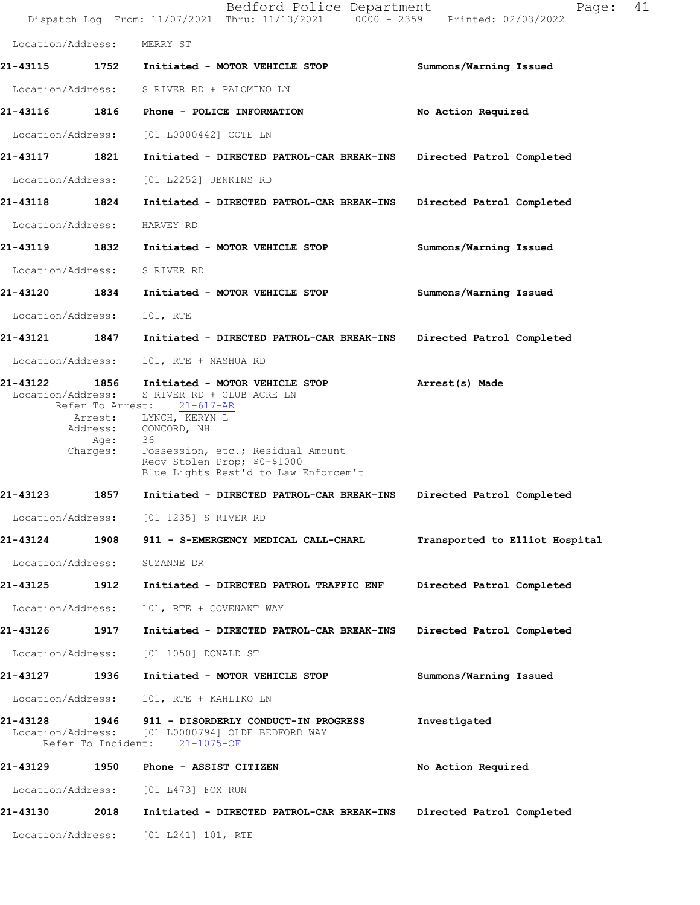|                                                     |                                                         | Bedford Police Department<br>Dispatch Log From: 11/07/2021 Thru: 11/13/2021 0000 - 2359 Printed: 02/03/2022                                                                                                                           | 41<br>Page:                    |  |
|-----------------------------------------------------|---------------------------------------------------------|---------------------------------------------------------------------------------------------------------------------------------------------------------------------------------------------------------------------------------------|--------------------------------|--|
| Location/Address:                                   |                                                         | MERRY ST                                                                                                                                                                                                                              |                                |  |
|                                                     |                                                         | 21-43115 1752 Initiated - MOTOR VEHICLE STOP                                                                                                                                                                                          | Summons/Warning Issued         |  |
| Location/Address:                                   |                                                         | S RIVER RD + PALOMINO LN                                                                                                                                                                                                              |                                |  |
| 21-43116 1816                                       |                                                         | Phone - POLICE INFORMATION                                                                                                                                                                                                            | No Action Required             |  |
| Location/Address:                                   |                                                         | [01 L0000442] COTE LN                                                                                                                                                                                                                 |                                |  |
| 21-43117 1821                                       |                                                         | Initiated - DIRECTED PATROL-CAR BREAK-INS                                                                                                                                                                                             | Directed Patrol Completed      |  |
| Location/Address:                                   |                                                         | [01 L2252] JENKINS RD                                                                                                                                                                                                                 |                                |  |
| 21-43118 1824                                       |                                                         | Initiated - DIRECTED PATROL-CAR BREAK-INS                                                                                                                                                                                             | Directed Patrol Completed      |  |
| Location/Address:                                   |                                                         | HARVEY RD                                                                                                                                                                                                                             |                                |  |
| 21-43119                                            | 1832                                                    | Initiated - MOTOR VEHICLE STOP                                                                                                                                                                                                        | Summons/Warning Issued         |  |
| Location/Address:                                   |                                                         | S RIVER RD                                                                                                                                                                                                                            |                                |  |
| 21-43120 1834                                       |                                                         | Initiated - MOTOR VEHICLE STOP                                                                                                                                                                                                        | Summons/Warning Issued         |  |
| Location/Address:                                   |                                                         | 101, RTE                                                                                                                                                                                                                              |                                |  |
| 21-43121 1847                                       |                                                         | Initiated - DIRECTED PATROL-CAR BREAK-INS                                                                                                                                                                                             | Directed Patrol Completed      |  |
| Location/Address:                                   |                                                         | 101, RTE + NASHUA RD                                                                                                                                                                                                                  |                                |  |
| 21-43122<br>Location/Address:                       | 1856<br>Refer To Arrest:<br>Arrest:<br>Age:<br>Charges: | Initiated - MOTOR VEHICLE STOP<br>S RIVER RD + CLUB ACRE LN<br>21-617-AR<br>LYNCH, KERYN L<br>Address: CONCORD, NH<br>36<br>Possession, etc.; Residual Amount<br>Recv Stolen Prop; \$0-\$1000<br>Blue Lights Rest'd to Law Enforcem't | Arrest(s) Made                 |  |
| 21-43123                                            | 1857                                                    | Initiated - DIRECTED PATROL-CAR BREAK-INS                                                                                                                                                                                             | Directed Patrol Completed      |  |
| Location/Address:                                   |                                                         | [01 1235] S RIVER RD                                                                                                                                                                                                                  |                                |  |
| 21-43124                                            | 1908                                                    | 911 - S-EMERGENCY MEDICAL CALL-CHARL                                                                                                                                                                                                  | Transported to Elliot Hospital |  |
| Location/Address:                                   |                                                         | SUZANNE DR                                                                                                                                                                                                                            |                                |  |
| 21-43125                                            | 1912                                                    | Initiated - DIRECTED PATROL TRAFFIC ENF                                                                                                                                                                                               | Directed Patrol Completed      |  |
| Location/Address:                                   |                                                         | 101, RTE + COVENANT WAY                                                                                                                                                                                                               |                                |  |
| 21-43126                                            | 1917                                                    | Initiated - DIRECTED PATROL-CAR BREAK-INS                                                                                                                                                                                             | Directed Patrol Completed      |  |
| Location/Address:                                   |                                                         | [01 1050] DONALD ST                                                                                                                                                                                                                   |                                |  |
| 21-43127                                            | 1936                                                    | Initiated - MOTOR VEHICLE STOP                                                                                                                                                                                                        | Summons/Warning Issued         |  |
| Location/Address:                                   |                                                         | 101, RTE + KAHLIKO LN                                                                                                                                                                                                                 |                                |  |
| 21-43128<br>Location/Address:<br>Refer To Incident: | 1946                                                    | 911 - DISORDERLY CONDUCT-IN PROGRESS<br>[01 L0000794] OLDE BEDFORD WAY<br>$21 - 1075 - OF$                                                                                                                                            | Investigated                   |  |
| 21-43129                                            | 1950                                                    | Phone - ASSIST CITIZEN                                                                                                                                                                                                                | No Action Required             |  |
| Location/Address:                                   |                                                         | [01 L473] FOX RUN                                                                                                                                                                                                                     |                                |  |
| 21-43130                                            | 2018                                                    | Initiated - DIRECTED PATROL-CAR BREAK-INS                                                                                                                                                                                             | Directed Patrol Completed      |  |
| Location/Address:                                   |                                                         | $[01 L241] 101$ , RTE                                                                                                                                                                                                                 |                                |  |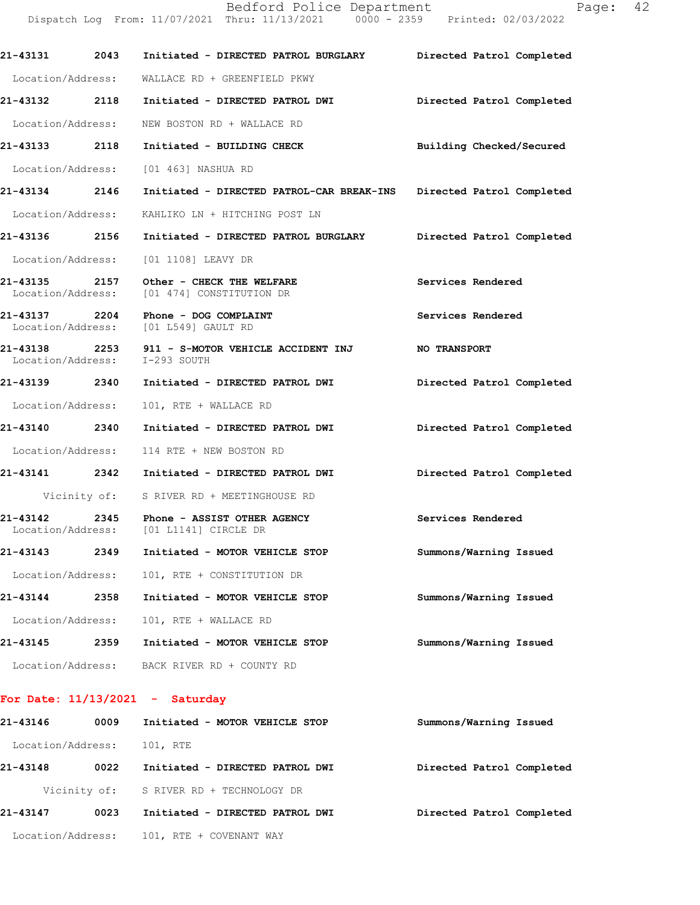|                   |      | Dispatch Log From: 11/07/2021 Thru: 11/13/2021 0000 - 2359 Printed: 02/03/2022                 |                           |
|-------------------|------|------------------------------------------------------------------------------------------------|---------------------------|
|                   |      | 21-43131 2043 Initiated - DIRECTED PATROL BURGLARY Directed Patrol Completed                   |                           |
|                   |      | Location/Address: WALLACE RD + GREENFIELD PKWY                                                 |                           |
|                   |      | 21-43132 2118 Initiated - DIRECTED PATROL DWI Directed Patrol Completed                        |                           |
|                   |      | Location/Address: WEW BOSTON RD + WALLACE RD                                                   |                           |
|                   |      | 21-43133 2118 Initiated - BUILDING CHECK Building Checked/Secured                              |                           |
|                   |      | Location/Address: [01 463] NASHUA RD                                                           |                           |
|                   |      | 21-43134 2146 Initiated - DIRECTED PATROL-CAR BREAK-INS Directed Patrol Completed              |                           |
|                   |      | Location/Address: KAHLIKO LN + HITCHING POST LN                                                |                           |
|                   |      | 21-43136 2156 Initiated - DIRECTED PATROL BURGLARY Directed Patrol Completed                   |                           |
|                   |      | Location/Address: [01 1108] LEAVY DR                                                           |                           |
|                   |      | 21-43135 2157 Other - CHECK THE WELFARE<br>Location/Address: [01 474] CONSTITUTION DR          | Services Rendered         |
|                   |      | 21-43137 2204 Phone - DOG COMPLAINT<br>Location/Address: [01 L549] GAULT RD                    | Services Rendered         |
|                   |      | 21-43138 2253 911 - S-MOTOR VEHICLE ACCIDENT INJ NO TRANSPORT<br>Location/Address: I-293 SOUTH |                           |
|                   |      | 21-43139  2340  Initiated - DIRECTED PATROL DWI                                                | Directed Patrol Completed |
| Location/Address: |      | 101, RTE + WALLACE RD                                                                          |                           |
|                   |      | 21-43140 2340 Initiated - DIRECTED PATROL DWI Directed Patrol Completed                        |                           |
|                   |      | Location/Address: 114 RTE + NEW BOSTON RD                                                      |                           |
|                   |      | 21-43141 2342 Initiated - DIRECTED PATROL DWI                                                  | Directed Patrol Completed |
|                   |      | Vicinity of: S RIVER RD + MEETINGHOUSE RD                                                      |                           |
| Location/Address: |      | 21-43142 2345 Phone - ASSIST OTHER AGENCY<br>[01 L1141] CIRCLE DR                              | Services Rendered         |
| 21-43143          | 2349 | Initiated - MOTOR VEHICLE STOP                                                                 | Summons/Warning Issued    |
| Location/Address: |      | 101, RTE + CONSTITUTION DR                                                                     |                           |
| 21-43144          | 2358 | Initiated - MOTOR VEHICLE STOP                                                                 | Summons/Warning Issued    |
| Location/Address: |      | 101, RTE + WALLACE RD                                                                          |                           |
| 21-43145          | 2359 | Initiated - MOTOR VEHICLE STOP                                                                 | Summons/Warning Issued    |
| Location/Address: |      | BACK RIVER RD + COUNTY RD                                                                      |                           |

Bedford Police Department Page: 42

## **For Date: 11/13/2021 - Saturday**

| 21-43146          | 0009 | Initiated - MOTOR VEHICLE STOP          | Summons/Warning Issued    |
|-------------------|------|-----------------------------------------|---------------------------|
| Location/Address: |      | 101, RTE                                |                           |
| 21-43148          | 0022 | Initiated - DIRECTED PATROL DWI         | Directed Patrol Completed |
|                   |      | Vicinity of: S RIVER RD + TECHNOLOGY DR |                           |
| 21-43147          | 0023 | Initiated - DIRECTED PATROL DWI         | Directed Patrol Completed |
| Location/Address: |      | 101, RTE + COVENANT WAY                 |                           |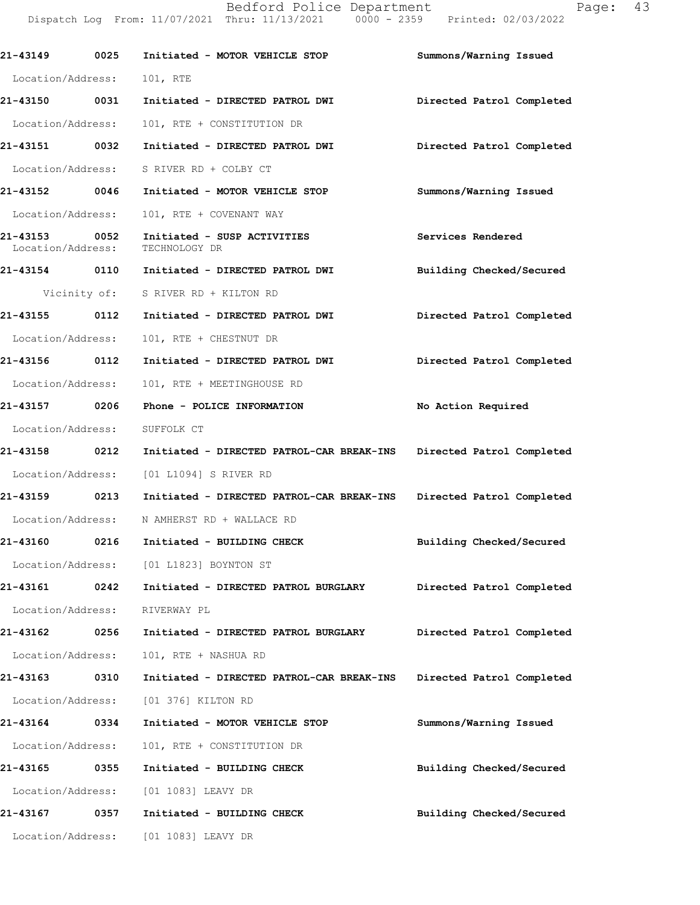Bedford Police Department Fage: 43 Dispatch Log From: 11/07/2021 Thru: 11/13/2021 0000 - 2359 Printed: 02/03/2022

| 21-43149                           | 0025 | Initiated - MOTOR VEHICLE STOP                                      | Summons/Warning Issued    |
|------------------------------------|------|---------------------------------------------------------------------|---------------------------|
| Location/Address: 101, RTE         |      |                                                                     |                           |
| 21-43150 0031                      |      | Initiated - DIRECTED PATROL DWI                                     | Directed Patrol Completed |
| Location/Address:                  |      | 101, RTE + CONSTITUTION DR                                          |                           |
| 21-43151 0032                      |      | Initiated - DIRECTED PATROL DWI                                     | Directed Patrol Completed |
| Location/Address:                  |      | S RIVER RD + COLBY CT                                               |                           |
| 21-43152 0046                      |      | Initiated - MOTOR VEHICLE STOP                                      | Summons/Warning Issued    |
| Location/Address:                  |      | 101, RTE + COVENANT WAY                                             |                           |
| 21-43153 0052<br>Location/Address: |      | Initiated - SUSP ACTIVITIES<br>TECHNOLOGY DR                        | Services Rendered         |
|                                    |      |                                                                     | Building Checked/Secured  |
|                                    |      | Vicinity of: S RIVER RD + KILTON RD                                 |                           |
| 21-43155 0112                      |      | Initiated - DIRECTED PATROL DWI                                     | Directed Patrol Completed |
| Location/Address:                  |      | 101, RTE + CHESTNUT DR                                              |                           |
| 21-43156 0112                      |      | Initiated - DIRECTED PATROL DWI                                     | Directed Patrol Completed |
| Location/Address:                  |      | 101, RTE + MEETINGHOUSE RD                                          |                           |
| 21-43157 0206                      |      | Phone - POLICE INFORMATION                                          | No Action Required        |
| Location/Address:                  |      | SUFFOLK CT                                                          |                           |
| 21-43158 0212                      |      | Initiated - DIRECTED PATROL-CAR BREAK-INS Directed Patrol Completed |                           |
|                                    |      | Location/Address: [01 L1094] S RIVER RD                             |                           |
| 21-43159 0213                      |      | Initiated - DIRECTED PATROL-CAR BREAK-INS                           | Directed Patrol Completed |
|                                    |      | Location/Address: N AMHERST RD + WALLACE RD                         |                           |
|                                    |      | 21-43160 0216 Initiated - BUILDING CHECK                            | Building Checked/Secured  |
|                                    |      | Location/Address: [01 L1823] BOYNTON ST                             |                           |
| 21-43161                           | 0242 | Initiated - DIRECTED PATROL BURGLARY                                | Directed Patrol Completed |
| Location/Address:                  |      | RIVERWAY PL                                                         |                           |
| 21-43162                           | 0256 | Initiated - DIRECTED PATROL BURGLARY                                | Directed Patrol Completed |
| Location/Address:                  |      | 101, RTE + NASHUA RD                                                |                           |
| 21-43163                           | 0310 | Initiated - DIRECTED PATROL-CAR BREAK-INS                           | Directed Patrol Completed |
| Location/Address:                  |      | [01 376] KILTON RD                                                  |                           |
| 21-43164                           | 0334 | Initiated - MOTOR VEHICLE STOP                                      | Summons/Warning Issued    |
| Location/Address:                  |      | 101, RTE + CONSTITUTION DR                                          |                           |
| 21-43165                           | 0355 | Initiated - BUILDING CHECK                                          | Building Checked/Secured  |
| Location/Address:                  |      | [01 1083] LEAVY DR                                                  |                           |
| 21-43167                           | 0357 | Initiated - BUILDING CHECK                                          | Building Checked/Secured  |
| Location/Address:                  |      | [01 1083] LEAVY DR                                                  |                           |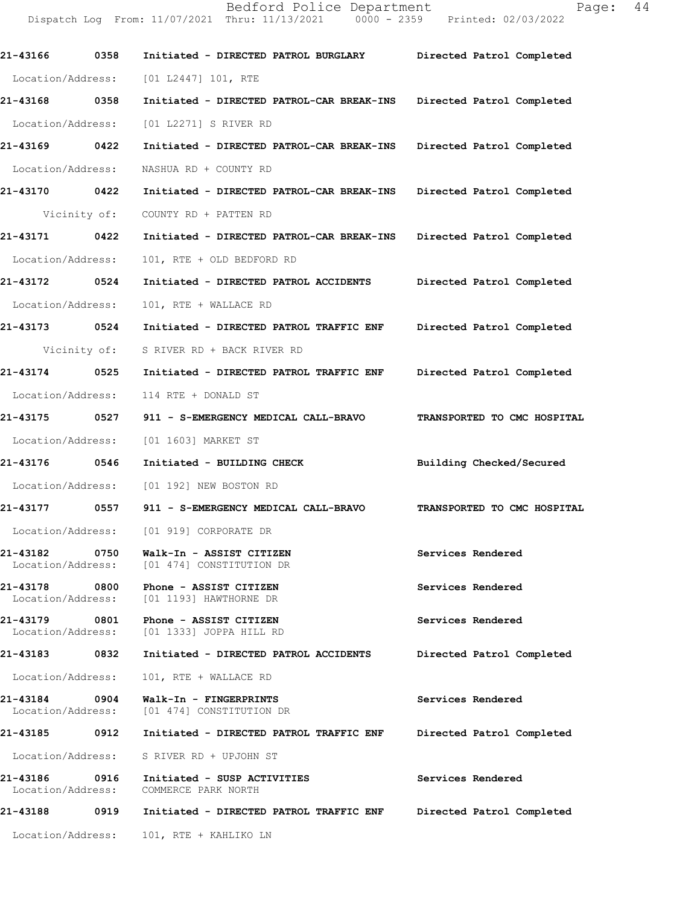Bedford Police Department Page: 44 Dispatch Log From: 11/07/2021 Thru: 11/13/2021 0000 - 2359 Printed: 02/03/2022 **21-43166 0358 Initiated - DIRECTED PATROL BURGLARY Directed Patrol Completed**  Location/Address: [01 L2447] 101, RTE **21-43168 0358 Initiated - DIRECTED PATROL-CAR BREAK-INS Directed Patrol Completed**  Location/Address: [01 L2271] S RIVER RD **21-43169 0422 Initiated - DIRECTED PATROL-CAR BREAK-INS Directed Patrol Completed**  Location/Address: NASHUA RD + COUNTY RD **21-43170 0422 Initiated - DIRECTED PATROL-CAR BREAK-INS Directed Patrol Completed**  Vicinity of: COUNTY RD + PATTEN RD **21-43171 0422 Initiated - DIRECTED PATROL-CAR BREAK-INS Directed Patrol Completed**  Location/Address: 101, RTE + OLD BEDFORD RD **21-43172 0524 Initiated - DIRECTED PATROL ACCIDENTS Directed Patrol Completed**  Location/Address: 101, RTE + WALLACE RD **21-43173 0524 Initiated - DIRECTED PATROL TRAFFIC ENF Directed Patrol Completed**  Vicinity of: S RIVER RD + BACK RIVER RD

**21-43174 0525 Initiated - DIRECTED PATROL TRAFFIC ENF Directed Patrol Completed**  Location/Address: 114 RTE + DONALD ST

**21-43175 0527 911 - S-EMERGENCY MEDICAL CALL-BRAVO TRANSPORTED TO CMC HOSPITAL**  Location/Address: [01 1603] MARKET ST

**21-43176 0546 Initiated - BUILDING CHECK Building Checked/Secured** 

Location/Address: [01 192] NEW BOSTON RD

- **21-43177 0557 911 S-EMERGENCY MEDICAL CALL-BRAVO TRANSPORTED TO CMC HOSPITAL**  Location/Address: [01 919] CORPORATE DR
- **21-43182 0750 Walk-In ASSIST CITIZEN Services Rendered**  Location/Address: [01 474] CONSTITUTION DR
- **21-43178 0800 Phone ASSIST CITIZEN Services Rendered**  Location/Address: [01 1193] HAWTHORNE DR
- **21-43179 0801 Phone ASSIST CITIZEN Services Rendered**  Location/Address: [01 1333] JOPPA HILL RD
- **21-43183 0832 Initiated DIRECTED PATROL ACCIDENTS Directed Patrol Completed**  Location/Address: 101, RTE + WALLACE RD
- **21-43184 0904 Walk-In FINGERPRINTS Services Rendered**  Location/Address: [01 474] CONSTITUTION DR
- **21-43185 0912 Initiated DIRECTED PATROL TRAFFIC ENF Directed Patrol Completed**  Location/Address: S RIVER RD + UPJOHN ST
- **21-43186 0916 Initiated SUSP ACTIVITIES Services Rendered**  Location/Address: COMMERCE PARK NORTH
- **21-43188 0919 Initiated DIRECTED PATROL TRAFFIC ENF Directed Patrol Completed**

Location/Address: 101, RTE + KAHLIKO LN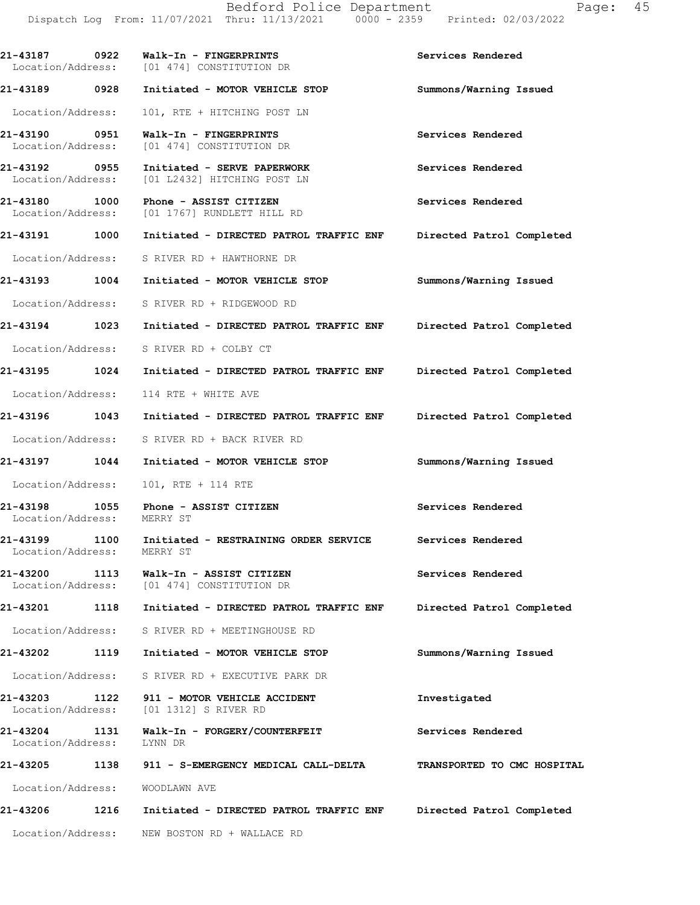**21-43187 0922 Walk-In - FINGERPRINTS Services Rendered**  Location/Address: [01 474] CONSTITUTION DR **21-43189 0928 Initiated - MOTOR VEHICLE STOP Summons/Warning Issued**  Location/Address: 101, RTE + HITCHING POST LN **21-43190 0951 Walk-In - FINGERPRINTS Services Rendered**  Location/Address: [01 474] CONSTITUTION DR **21-43192 0955 Initiated - SERVE PAPERWORK Services Rendered**  Location/Address: [01 L2432] HITCHING POST LN 21-43180 1000 Phone - ASSIST CITIZEN **Services Rendered Services Rendered Intervaller Example 101** I767] RUNDLETT HILL RD Location/Address: [01 1767] RUNDLETT HILL RD **21-43191 1000 Initiated - DIRECTED PATROL TRAFFIC ENF Directed Patrol Completed**  Location/Address: S RIVER RD + HAWTHORNE DR **21-43193 1004 Initiated - MOTOR VEHICLE STOP Summons/Warning Issued**  Location/Address: S RIVER RD + RIDGEWOOD RD **21-43194 1023 Initiated - DIRECTED PATROL TRAFFIC ENF Directed Patrol Completed**  Location/Address: S RIVER RD + COLBY CT **21-43195 1024 Initiated - DIRECTED PATROL TRAFFIC ENF Directed Patrol Completed**  Location/Address: 114 RTE + WHITE AVE **21-43196 1043 Initiated - DIRECTED PATROL TRAFFIC ENF Directed Patrol Completed**  Location/Address: S RIVER RD + BACK RIVER RD **21-43197 1044 Initiated - MOTOR VEHICLE STOP Summons/Warning Issued**  Location/Address: 101, RTE + 114 RTE **21-43198 1055 Phone - ASSIST CITIZEN 10031** Services Rendered **Services** Rendered Location/Address: **21-43199 1100 Initiated - RESTRAINING ORDER SERVICE Services Rendered**  Location/Address: MERRY ST **21-43200 1113 Walk-In - ASSIST CITIZEN Services Rendered**  Location/Address: [01 474] CONSTITUTION DR **21-43201 1118 Initiated - DIRECTED PATROL TRAFFIC ENF Directed Patrol Completed**  Location/Address: S RIVER RD + MEETINGHOUSE RD **21-43202 1119 Initiated - MOTOR VEHICLE STOP Summons/Warning Issued**  Location/Address: S RIVER RD + EXECUTIVE PARK DR **21-43203 1122 911 - MOTOR VEHICLE ACCIDENT Investigated**  Location/Address: [01 1312] S RIVER RD **21-43204 1131 Walk-In - FORGERY/COUNTERFEIT Services Rendered**  Location/Address: LYNN DR **21-43205 1138 911 - S-EMERGENCY MEDICAL CALL-DELTA TRANSPORTED TO CMC HOSPITAL**  Location/Address: WOODLAWN AVE **21-43206 1216 Initiated - DIRECTED PATROL TRAFFIC ENF Directed Patrol Completed**  Location/Address: NEW BOSTON RD + WALLACE RD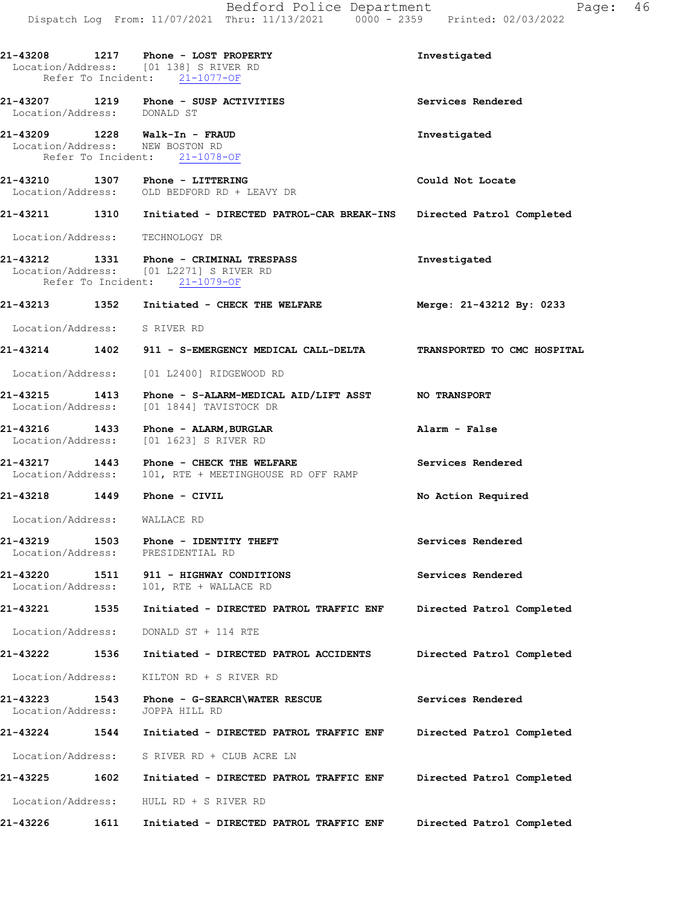|                                                                  | Bedford Police Department<br>Dispatch Log From: 11/07/2021 Thru: 11/13/2021 0000 - 2359 Printed: 02/03/2022         | 46<br>Page:                 |
|------------------------------------------------------------------|---------------------------------------------------------------------------------------------------------------------|-----------------------------|
|                                                                  | 21-43208 1217 Phone - LOST PROPERTY<br>Location/Address: [01 138] S RIVER RD<br>Refer To Incident: 21-1077-OF       | Investigated                |
| Location/Address: DONALD ST                                      | 21-43207 1219 Phone - SUSP ACTIVITIES                                                                               | Services Rendered           |
| 21-43209 1228 Walk-In - FRAUD<br>Location/Address: NEW BOSTON RD | Refer To Incident: 21-1078-OF                                                                                       | Investigated                |
| 21-43210 1307 Phone - LITTERING                                  | Location/Address: OLD BEDFORD RD + LEAVY DR                                                                         | Could Not Locate            |
|                                                                  | 21-43211 1310 Initiated - DIRECTED PATROL-CAR BREAK-INS                                                             | Directed Patrol Completed   |
| Location/Address:                                                | TECHNOLOGY DR                                                                                                       |                             |
|                                                                  | 21-43212 1331 Phone - CRIMINAL TRESPASS<br>Location/Address: [01 L2271] S RIVER RD<br>Refer To Incident: 21-1079-OF | Investigated                |
|                                                                  | 21-43213 1352 Initiated - CHECK THE WELFARE                                                                         | Merge: 21-43212 By: 0233    |
| Location/Address: S RIVER RD                                     |                                                                                                                     |                             |
|                                                                  | 21-43214 1402 911 - S-EMERGENCY MEDICAL CALL-DELTA                                                                  | TRANSPORTED TO CMC HOSPITAL |
| Location/Address:                                                | [01 L2400] RIDGEWOOD RD                                                                                             |                             |
| 1413<br>21-43215<br>Location/Address:                            | Phone - S-ALARM-MEDICAL AID/LIFT ASST NO TRANSPORT<br>[01 1844] TAVISTOCK DR                                        |                             |
| Location/Address:                                                | 21-43216 1433 Phone - ALARM, BURGLAR<br>[01 1623] S RIVER RD                                                        | Alarm - False               |
| 21-43217<br>Location/Address:                                    | 1443 Phone - CHECK THE WELFARE<br>101, RTE + MEETINGHOUSE RD OFF RAMP                                               | Services Rendered           |
| 21-43218                                                         | 1449 Phone - CIVIL                                                                                                  | No Action Required          |
| Location/Address:                                                | WALLACE RD                                                                                                          |                             |
| 1503<br>21-43219<br>Location/Address:                            | Phone - IDENTITY THEFT<br>PRESIDENTIAL RD                                                                           | Services Rendered           |
| 21-43220<br>1511<br>Location/Address:                            | 911 - HIGHWAY CONDITIONS<br>101, RTE + WALLACE RD                                                                   | Services Rendered           |
| 21-43221<br>1535                                                 | Initiated - DIRECTED PATROL TRAFFIC ENF                                                                             | Directed Patrol Completed   |
| Location/Address:                                                | DONALD ST + 114 RTE                                                                                                 |                             |
| 1536<br>21-43222                                                 | Initiated - DIRECTED PATROL ACCIDENTS                                                                               | Directed Patrol Completed   |
| Location/Address:                                                | KILTON RD + S RIVER RD                                                                                              |                             |
| 21-43223<br>1543<br>Location/Address:                            | Phone - G-SEARCH\WATER RESCUE<br>JOPPA HILL RD                                                                      | Services Rendered           |
| 21-43224<br>1544                                                 | Initiated - DIRECTED PATROL TRAFFIC ENF                                                                             | Directed Patrol Completed   |
| Location/Address:                                                | S RIVER RD + CLUB ACRE LN                                                                                           |                             |
| 21-43225<br>1602                                                 | Initiated - DIRECTED PATROL TRAFFIC ENF                                                                             | Directed Patrol Completed   |
| Location/Address:                                                | HULL RD + S RIVER RD                                                                                                |                             |
| 21-43226<br>1611                                                 | Initiated - DIRECTED PATROL TRAFFIC ENF                                                                             | Directed Patrol Completed   |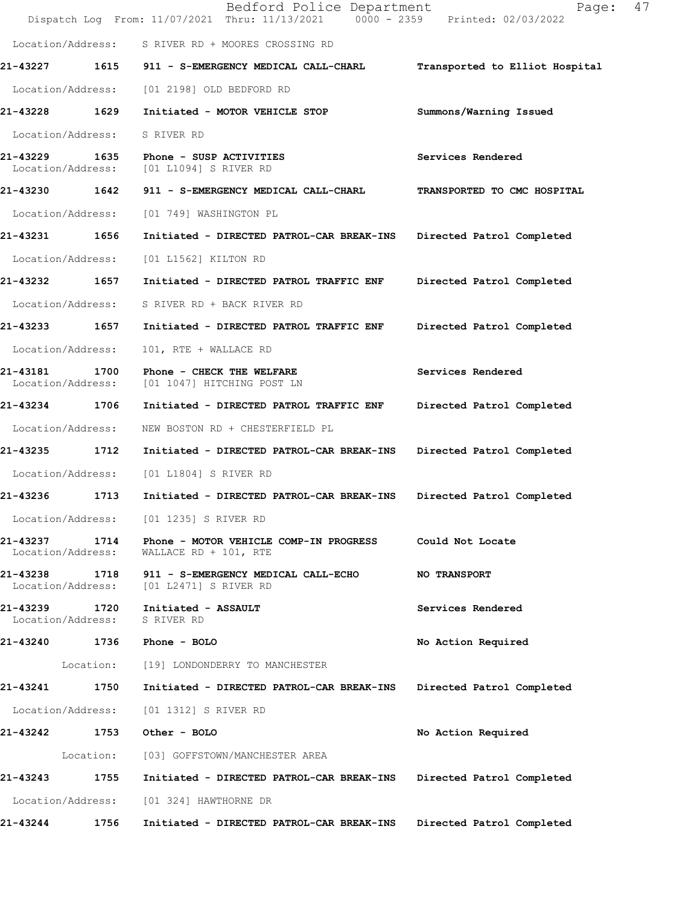|                                       |                    | Bedford Police Department<br>Dispatch Log From: 11/07/2021 Thru: 11/13/2021 0000 - 2359 Printed: 02/03/2022 | 47<br>Page:                    |
|---------------------------------------|--------------------|-------------------------------------------------------------------------------------------------------------|--------------------------------|
|                                       |                    | Location/Address: S RIVER RD + MOORES CROSSING RD                                                           |                                |
| 21-43227                              |                    | 1615 911 - S-EMERGENCY MEDICAL CALL-CHARL                                                                   | Transported to Elliot Hospital |
| Location/Address:                     |                    | [01 2198] OLD BEDFORD RD                                                                                    |                                |
| 21-43228 1629                         |                    | Initiated - MOTOR VEHICLE STOP                                                                              | Summons/Warning Issued         |
| Location/Address:                     | S RIVER RD         |                                                                                                             |                                |
| 21-43229 1635<br>Location/Address:    |                    | Phone - SUSP ACTIVITIES<br>[01 L1094] S RIVER RD                                                            | Services Rendered              |
| 21-43230 1642                         |                    | 911 - S-EMERGENCY MEDICAL CALL-CHARL                                                                        | TRANSPORTED TO CMC HOSPITAL    |
| Location/Address:                     |                    | [01 749] WASHINGTON PL                                                                                      |                                |
| 21-43231 1656                         |                    | Initiated - DIRECTED PATROL-CAR BREAK-INS                                                                   | Directed Patrol Completed      |
| Location/Address:                     |                    | [01 L1562] KILTON RD                                                                                        |                                |
| 21-43232 1657                         |                    | Initiated - DIRECTED PATROL TRAFFIC ENF                                                                     | Directed Patrol Completed      |
| Location/Address:                     |                    | S RIVER RD + BACK RIVER RD                                                                                  |                                |
| 21-43233                              | 1657               | Initiated - DIRECTED PATROL TRAFFIC ENF                                                                     | Directed Patrol Completed      |
| Location/Address:                     |                    | 101, RTE + WALLACE RD                                                                                       |                                |
| 21-43181<br>1700<br>Location/Address: |                    | Phone - CHECK THE WELFARE<br>[01 1047] HITCHING POST LN                                                     | Services Rendered              |
| 21-43234 1706                         |                    | Initiated - DIRECTED PATROL TRAFFIC ENF                                                                     | Directed Patrol Completed      |
| Location/Address:                     |                    | NEW BOSTON RD + CHESTERFIELD PL                                                                             |                                |
| 21-43235                              | 1712               | Initiated - DIRECTED PATROL-CAR BREAK-INS                                                                   | Directed Patrol Completed      |
| Location/Address:                     |                    | [01 L1804] S RIVER RD                                                                                       |                                |
| 21-43236                              | 1713               | Initiated - DIRECTED PATROL-CAR BREAK-INS                                                                   | Directed Patrol Completed      |
| Location/Address:                     |                    | [01 1235] S RIVER RD                                                                                        |                                |
| 21-43237<br>Location/Address:         | 1714               | Phone - MOTOR VEHICLE COMP-IN PROGRESS<br>WALLACE RD + 101, RTE                                             | Could Not Locate               |
| 21-43238<br>Location/Address:         | 1718               | 911 - S-EMERGENCY MEDICAL CALL-ECHO<br>[01 L2471] S RIVER RD                                                | <b>NO TRANSPORT</b>            |
| 21-43239<br>Location/Address:         | 1720<br>S RIVER RD | Initiated - ASSAULT                                                                                         | Services Rendered              |
| 21-43240                              | 1736               | Phone - BOLO                                                                                                | No Action Required             |
| Location:                             |                    | [19] LONDONDERRY TO MANCHESTER                                                                              |                                |
| 21-43241                              | 1750               | Initiated - DIRECTED PATROL-CAR BREAK-INS                                                                   | Directed Patrol Completed      |
| Location/Address:                     |                    | [01 1312] S RIVER RD                                                                                        |                                |
| 21-43242                              | 1753               | Other - BOLO                                                                                                | No Action Required             |
| Location:                             |                    | [03] GOFFSTOWN/MANCHESTER AREA                                                                              |                                |
| 21-43243                              | 1755               | Initiated - DIRECTED PATROL-CAR BREAK-INS                                                                   | Directed Patrol Completed      |
| Location/Address:                     |                    | [01 324] HAWTHORNE DR                                                                                       |                                |
| 21-43244                              | 1756               | Initiated - DIRECTED PATROL-CAR BREAK-INS                                                                   | Directed Patrol Completed      |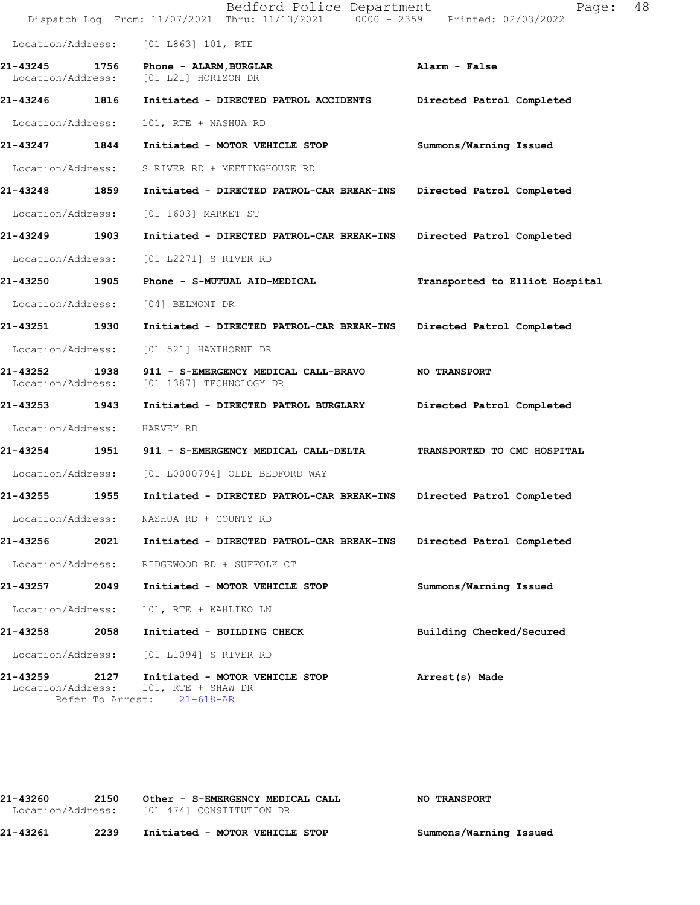|                                                   |      | Bedford Police Department<br>Dispatch Log From: 11/07/2021 Thru: 11/13/2021 0000 - 2359 Printed: 02/03/2022 | 48<br>Page:                    |
|---------------------------------------------------|------|-------------------------------------------------------------------------------------------------------------|--------------------------------|
| Location/Address:                                 |      | [01 L863] 101, RTE                                                                                          |                                |
| 21-43245<br>Location/Address:                     | 1756 | Phone - ALARM, BURGLAR<br>[01 L21] HORIZON DR                                                               | Alarm - False                  |
| 21-43246 1816                                     |      | Initiated - DIRECTED PATROL ACCIDENTS                                                                       | Directed Patrol Completed      |
| Location/Address:                                 |      | 101, RTE + NASHUA RD                                                                                        |                                |
| 21-43247                                          | 1844 | Initiated - MOTOR VEHICLE STOP                                                                              | Summons/Warning Issued         |
| Location/Address:                                 |      | S RIVER RD + MEETINGHOUSE RD                                                                                |                                |
| 21-43248                                          | 1859 | Initiated - DIRECTED PATROL-CAR BREAK-INS                                                                   | Directed Patrol Completed      |
| Location/Address:                                 |      | [01 1603] MARKET ST                                                                                         |                                |
| 21-43249                                          | 1903 | Initiated - DIRECTED PATROL-CAR BREAK-INS                                                                   | Directed Patrol Completed      |
| Location/Address:                                 |      | [01 L2271] S RIVER RD                                                                                       |                                |
| 21-43250 1905                                     |      | Phone - S-MUTUAL AID-MEDICAL                                                                                | Transported to Elliot Hospital |
| Location/Address:                                 |      | [04] BELMONT DR                                                                                             |                                |
| 21-43251                                          | 1930 | Initiated - DIRECTED PATROL-CAR BREAK-INS                                                                   | Directed Patrol Completed      |
| Location/Address:                                 |      | [01 521] HAWTHORNE DR                                                                                       |                                |
| 21-43252<br>Location/Address:                     | 1938 | 911 - S-EMERGENCY MEDICAL CALL-BRAVO<br>[01 1387] TECHNOLOGY DR                                             | <b>NO TRANSPORT</b>            |
| 21-43253 1943                                     |      | Initiated - DIRECTED PATROL BURGLARY                                                                        | Directed Patrol Completed      |
| Location/Address:                                 |      | HARVEY RD                                                                                                   |                                |
| 21-43254                                          | 1951 | 911 - S-EMERGENCY MEDICAL CALL-DELTA                                                                        | TRANSPORTED TO CMC HOSPITAL    |
| Location/Address:                                 |      | [01 L0000794] OLDE BEDFORD WAY                                                                              |                                |
| 21-43255                                          | 1955 | Initiated - DIRECTED PATROL-CAR BREAK-INS                                                                   | Directed Patrol Completed      |
| Location/Address:                                 |      | NASHUA RD + COUNTY RD                                                                                       |                                |
| 21-43256                                          | 2021 | Initiated - DIRECTED PATROL-CAR BREAK-INS                                                                   | Directed Patrol Completed      |
| Location/Address:                                 |      | RIDGEWOOD RD + SUFFOLK CT                                                                                   |                                |
| 21-43257                                          | 2049 | Initiated - MOTOR VEHICLE STOP                                                                              | Summons/Warning Issued         |
| Location/Address:                                 |      | 101, RTE + KAHLIKO LN                                                                                       |                                |
| 21-43258                                          | 2058 | Initiated - BUILDING CHECK                                                                                  | Building Checked/Secured       |
| Location/Address:                                 |      | [01 L1094] S RIVER RD                                                                                       |                                |
| 21-43259<br>Location/Address:<br>Refer To Arrest: | 2127 | Initiated - MOTOR VEHICLE STOP<br>101, RTE + SHAW DR<br>$21 - 618 - AR$                                     | Arrest(s) Made                 |

**21-43260 2150 Other - S-EMERGENCY MEDICAL CALL NO TRANSPORT** Location/Address: [01 474] CONSTITUTION DR **21-43261 2239 Initiated - MOTOR VEHICLE STOP Summons/Warning Issued**